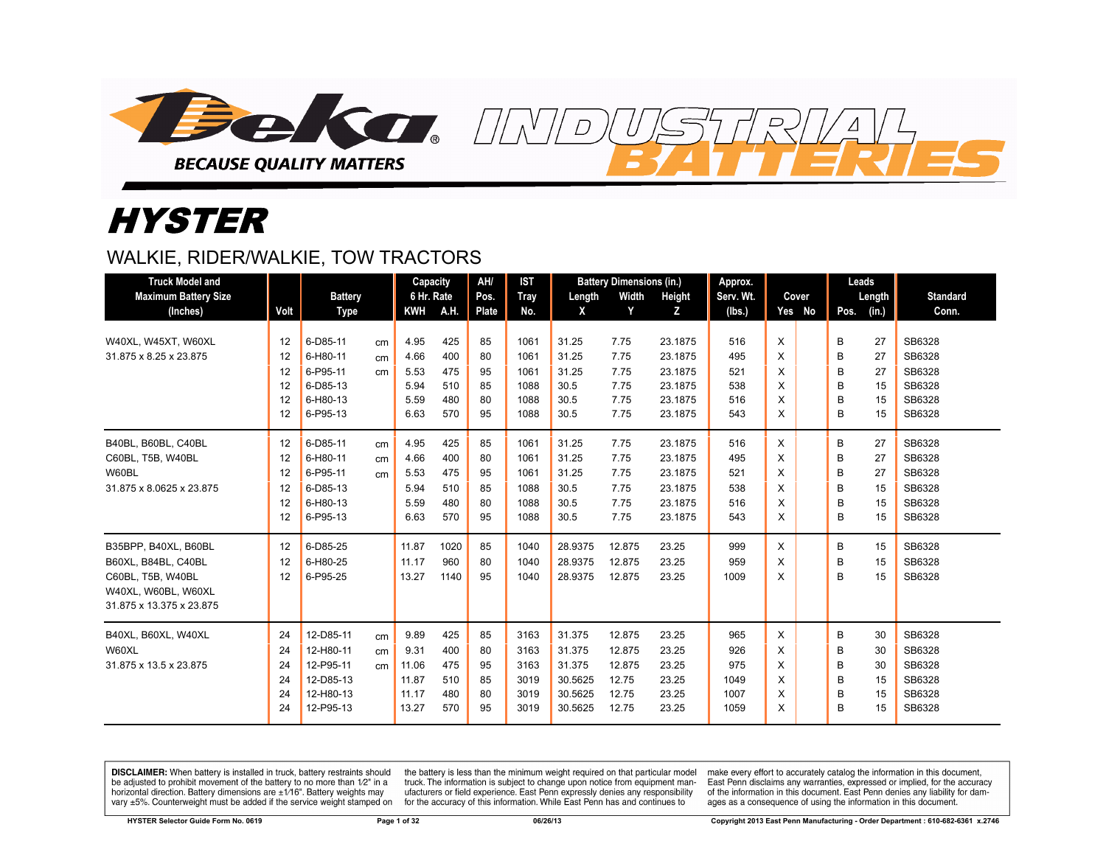

# **HYSTER**

## WALKIE, RIDER/WALKIE, TOW TRACTORS

| <b>Truck Model and</b>      |      |                |    | Capacity   |      | AH/   | <b>IST</b>  |         | <b>Battery Dimensions (in.)</b> |         | Approx.   |   |        | Leads         |    |                 |
|-----------------------------|------|----------------|----|------------|------|-------|-------------|---------|---------------------------------|---------|-----------|---|--------|---------------|----|-----------------|
| <b>Maximum Battery Size</b> |      | <b>Battery</b> |    | 6 Hr. Rate |      | Pos.  | <b>Tray</b> | Length  | Width                           | Height  | Serv. Wt. |   | Cover  | Length        |    | <b>Standard</b> |
| (Inches)                    | Volt | <b>Type</b>    |    | KWH        | A.H. | Plate | No.         | X       | Y                               | Z       | (lbs.)    |   | Yes No | Pos.<br>(in.) |    | Conn.           |
| W40XL, W45XT, W60XL         | 12   | 6-D85-11       | cm | 4.95       | 425  | 85    | 1061        | 31.25   | 7.75                            | 23.1875 | 516       | X |        | 27<br>B       |    | SB6328          |
| 31.875 x 8.25 x 23.875      | 12   | 6-H80-11       | cm | 4.66       | 400  | 80    | 1061        | 31.25   | 7.75                            | 23.1875 | 495       | X |        | 27<br>B       |    | SB6328          |
|                             | 12   | 6-P95-11       | cm | 5.53       | 475  | 95    | 1061        | 31.25   | 7.75                            | 23.1875 | 521       | X |        | B             | 27 | SB6328          |
|                             | 12   | 6-D85-13       |    | 5.94       | 510  | 85    | 1088        | 30.5    | 7.75                            | 23.1875 | 538       | X |        | B             | 15 | SB6328          |
|                             | 12   | 6-H80-13       |    | 5.59       | 480  | 80    | 1088        | 30.5    | 7.75                            | 23.1875 | 516       | X |        | B             | 15 | SB6328          |
|                             | 12   | 6-P95-13       |    | 6.63       | 570  | 95    | 1088        | 30.5    | 7.75                            | 23.1875 | 543       | X |        | B             | 15 | SB6328          |
| B40BL, B60BL, C40BL         | 12   | 6-D85-11       | cm | 4.95       | 425  | 85    | 1061        | 31.25   | 7.75                            | 23.1875 | 516       | X |        | в<br>27       |    | SB6328          |
| C60BL, T5B, W40BL           | 12   | 6-H80-11       | cm | 4.66       | 400  | 80    | 1061        | 31.25   | 7.75                            | 23.1875 | 495       | X |        | B<br>27       |    | SB6328          |
| W60BL                       | 12   | 6-P95-11       | cm | 5.53       | 475  | 95    | 1061        | 31.25   | 7.75                            | 23.1875 | 521       | X |        | 27<br>B       |    | SB6328          |
| 31.875 x 8.0625 x 23.875    | 12   | 6-D85-13       |    | 5.94       | 510  | 85    | 1088        | 30.5    | 7.75                            | 23.1875 | 538       | X |        | B             | 15 | SB6328          |
|                             | 12   | 6-H80-13       |    | 5.59       | 480  | 80    | 1088        | 30.5    | 7.75                            | 23.1875 | 516       | X |        | B             | 15 | SB6328          |
|                             | 12   | 6-P95-13       |    | 6.63       | 570  | 95    | 1088        | 30.5    | 7.75                            | 23.1875 | 543       | X |        | B             | 15 | SB6328          |
| B35BPP, B40XL, B60BL        | 12   | 6-D85-25       |    | 11.87      | 1020 | 85    | 1040        | 28.9375 | 12.875                          | 23.25   | 999       | X |        | В             | 15 | SB6328          |
| B60XL, B84BL, C40BL         | 12   | 6-H80-25       |    | 11.17      | 960  | 80    | 1040        | 28.9375 | 12.875                          | 23.25   | 959       | X |        | B<br>15       |    | SB6328          |
| C60BL, T5B, W40BL           | 12   | 6-P95-25       |    | 13.27      | 1140 | 95    | 1040        | 28.9375 | 12.875                          | 23.25   | 1009      | X |        | B             | 15 | SB6328          |
| W40XL, W60BL, W60XL         |      |                |    |            |      |       |             |         |                                 |         |           |   |        |               |    |                 |
| 31.875 x 13.375 x 23.875    |      |                |    |            |      |       |             |         |                                 |         |           |   |        |               |    |                 |
| B40XL, B60XL, W40XL         | 24   | 12-D85-11      | cm | 9.89       | 425  | 85    | 3163        | 31.375  | 12.875                          | 23.25   | 965       | X |        | B             | 30 | SB6328          |
| W60XL                       | 24   | 12-H80-11      | cm | 9.31       | 400  | 80    | 3163        | 31.375  | 12.875                          | 23.25   | 926       | X |        | B             | 30 | SB6328          |
| 31.875 x 13.5 x 23.875      | 24   | 12-P95-11      | cm | 11.06      | 475  | 95    | 3163        | 31.375  | 12.875                          | 23.25   | 975       | X |        | B             | 30 | SB6328          |
|                             | 24   | 12-D85-13      |    | 11.87      | 510  | 85    | 3019        | 30.5625 | 12.75                           | 23.25   | 1049      | X |        | B             | 15 | SB6328          |
|                             | 24   | 12-H80-13      |    | 11.17      | 480  | 80    | 3019        | 30.5625 | 12.75                           | 23.25   | 1007      | X |        | B             | 15 | SB6328          |
|                             | 24   | 12-P95-13      |    | 13.27      | 570  | 95    | 3019        | 30.5625 | 12.75                           | 23.25   | 1059      | X |        | B             | 15 | SB6328          |

 $\overline{D}$ 

DISCLAIMER: When battery is installed in truck, battery restraints should be adjusted to prohibit movement of the battery to no more than 1/2" in a horizontal direction. Battery dimensions are  $\pm 1/16$ ". Battery weights may vary ±5%. Counterweight must be added if the service weight stamped on

the battery is less than the minimum weight required on that particular model truck. The information is subject to change upon notice from equipment manufacturers or field experience. East Penn expressly denies any responsibility for the accuracy of this information. While East Penn has and continues to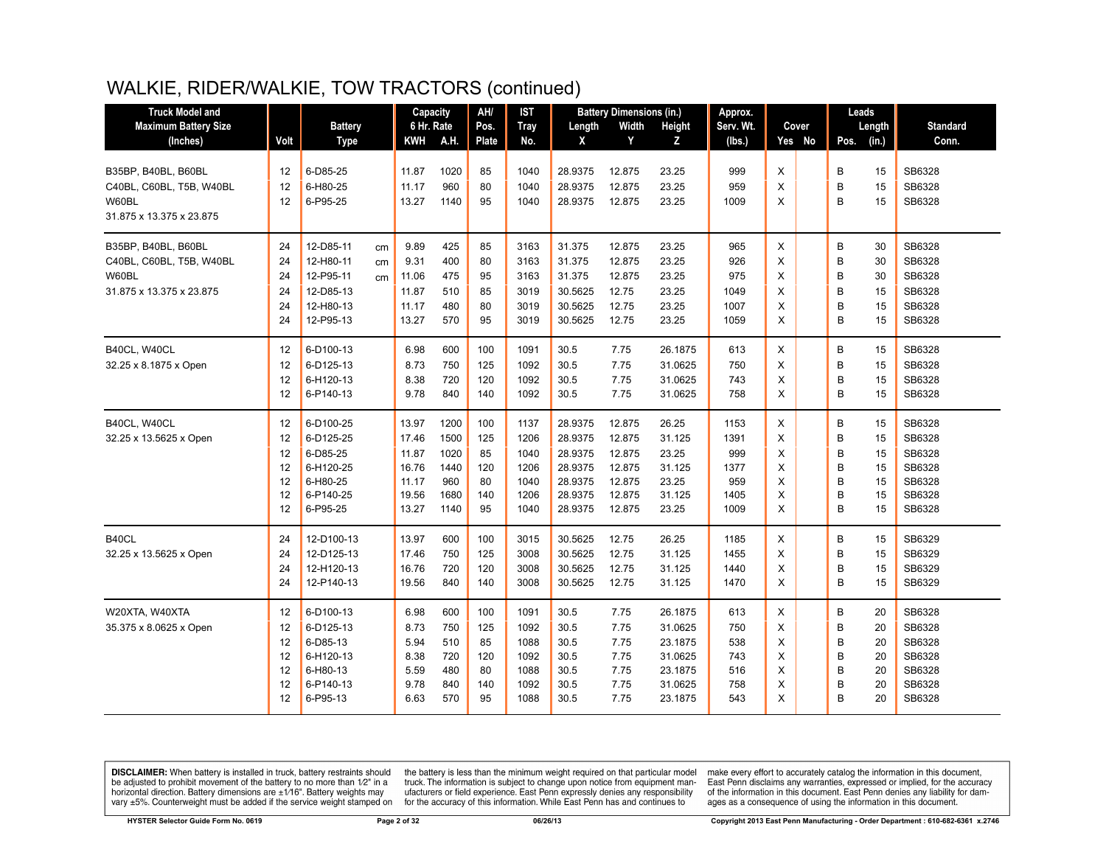| <b>Truck Model and</b>                                                               |                                        |                                                                                              | Capacity                                                    |                                                     | AH/                                        | <b>IST</b>                                           |                                                                           | <b>Battery Dimensions (in.)</b>                                    |                                                                           | Approx.                                            |                                 |        | Leads                                                                     |                                                                    |
|--------------------------------------------------------------------------------------|----------------------------------------|----------------------------------------------------------------------------------------------|-------------------------------------------------------------|-----------------------------------------------------|--------------------------------------------|------------------------------------------------------|---------------------------------------------------------------------------|--------------------------------------------------------------------|---------------------------------------------------------------------------|----------------------------------------------------|---------------------------------|--------|---------------------------------------------------------------------------|--------------------------------------------------------------------|
| <b>Maximum Battery Size</b>                                                          |                                        | <b>Battery</b>                                                                               | 6 Hr. Rate                                                  |                                                     | Pos.                                       | <b>Tray</b>                                          | Length                                                                    | Width                                                              | Height                                                                    | Serv. Wt.                                          |                                 | Cover  | Length                                                                    | <b>Standard</b>                                                    |
| (Inches)                                                                             | Volt                                   | <b>Type</b>                                                                                  | <b>KWH</b>                                                  | A.H.                                                | Plate                                      | No.                                                  | X                                                                         | Y                                                                  | z                                                                         | (Ibs.)                                             |                                 | Yes No | Pos.<br>(in.)                                                             | Conn.                                                              |
| B35BP, B40BL, B60BL<br>C40BL, C60BL, T5B, W40BL<br>W60BL<br>31.875 x 13.375 x 23.875 | 12<br>12<br>12                         | 6-D85-25<br>6-H80-25<br>6-P95-25                                                             | 11.87<br>11.17<br>13.27                                     | 1020<br>960<br>1140                                 | 85<br>80<br>95                             | 1040<br>1040<br>1040                                 | 28.9375<br>28.9375<br>28.9375                                             | 12.875<br>12.875<br>12.875                                         | 23.25<br>23.25<br>23.25                                                   | 999<br>959<br>1009                                 | X<br>X<br>X                     |        | В<br>15<br>B<br>15<br>B<br>15                                             | SB6328<br>SB6328<br>SB6328                                         |
| B35BP, B40BL, B60BL<br>C40BL, C60BL, T5B, W40BL<br>W60BL<br>31.875 x 13.375 x 23.875 | 24<br>24<br>24<br>24<br>24<br>24       | 12-D85-11<br>cm<br>12-H80-11<br>cm<br>12-P95-11<br>cm<br>12-D85-13<br>12-H80-13<br>12-P95-13 | 9.89<br>9.31<br>11.06<br>11.87<br>11.17<br>13.27            | 425<br>400<br>475<br>510<br>480<br>570              | 85<br>80<br>95<br>85<br>80<br>95           | 3163<br>3163<br>3163<br>3019<br>3019<br>3019         | 31.375<br>31.375<br>31.375<br>30.5625<br>30.5625<br>30.5625               | 12.875<br>12.875<br>12.875<br>12.75<br>12.75<br>12.75              | 23.25<br>23.25<br>23.25<br>23.25<br>23.25<br>23.25                        | 965<br>926<br>975<br>1049<br>1007<br>1059          | X<br>X<br>X<br>X<br>X<br>X      |        | В<br>30<br>B<br>30<br>B<br>30<br>B<br>15<br>B<br>15<br>B<br>15            | SB6328<br>SB6328<br>SB6328<br>SB6328<br>SB6328<br>SB6328           |
| B40CL, W40CL<br>32.25 x 8.1875 x Open                                                | 12<br>12<br>12<br>12                   | 6-D100-13<br>6-D125-13<br>6-H120-13<br>6-P140-13                                             | 6.98<br>8.73<br>8.38<br>9.78                                | 600<br>750<br>720<br>840                            | 100<br>125<br>120<br>140                   | 1091<br>1092<br>1092<br>1092                         | 30.5<br>30.5<br>30.5<br>30.5                                              | 7.75<br>7.75<br>7.75<br>7.75                                       | 26.1875<br>31.0625<br>31.0625<br>31.0625                                  | 613<br>750<br>743<br>758                           | X<br>X<br>X<br>X                |        | B<br>15<br>B<br>15<br>B<br>15<br>B<br>15                                  | SB6328<br>SB6328<br>SB6328<br>SB6328                               |
| B40CL, W40CL<br>32.25 x 13.5625 x Open                                               | 12<br>12<br>12<br>12<br>12<br>12<br>12 | 6-D100-25<br>6-D125-25<br>6-D85-25<br>6-H120-25<br>6-H80-25<br>6-P140-25<br>6-P95-25         | 13.97<br>17.46<br>11.87<br>16.76<br>11.17<br>19.56<br>13.27 | 1200<br>1500<br>1020<br>1440<br>960<br>1680<br>1140 | 100<br>125<br>85<br>120<br>80<br>140<br>95 | 1137<br>1206<br>1040<br>1206<br>1040<br>1206<br>1040 | 28.9375<br>28.9375<br>28.9375<br>28.9375<br>28.9375<br>28.9375<br>28.9375 | 12.875<br>12.875<br>12.875<br>12.875<br>12.875<br>12.875<br>12.875 | 26.25<br>31.125<br>23.25<br>31.125<br>23.25<br>31.125<br>23.25            | 1153<br>1391<br>999<br>1377<br>959<br>1405<br>1009 | X<br>X<br>X<br>X<br>X<br>X<br>X |        | В<br>15<br>B<br>15<br>15<br>B<br>B<br>15<br>B<br>15<br>B<br>15<br>B<br>15 | SB6328<br>SB6328<br>SB6328<br>SB6328<br>SB6328<br>SB6328<br>SB6328 |
| B40CL<br>32.25 x 13.5625 x Open                                                      | 24<br>24<br>24<br>24                   | 12-D100-13<br>12-D125-13<br>12-H120-13<br>12-P140-13                                         | 13.97<br>17.46<br>16.76<br>19.56                            | 600<br>750<br>720<br>840                            | 100<br>125<br>120<br>140                   | 3015<br>3008<br>3008<br>3008                         | 30.5625<br>30.5625<br>30.5625<br>30.5625                                  | 12.75<br>12.75<br>12.75<br>12.75                                   | 26.25<br>31.125<br>31.125<br>31.125                                       | 1185<br>1455<br>1440<br>1470                       | X<br>X<br>X<br>X                |        | B<br>15<br>B<br>15<br>B<br>15<br>B<br>15                                  | SB6329<br>SB6329<br>SB6329<br>SB6329                               |
| W20XTA, W40XTA<br>35.375 x 8.0625 x Open                                             | 12<br>12<br>12<br>12<br>12<br>12<br>12 | 6-D100-13<br>6-D125-13<br>6-D85-13<br>6-H120-13<br>6-H80-13<br>6-P140-13<br>6-P95-13         | 6.98<br>8.73<br>5.94<br>8.38<br>5.59<br>9.78<br>6.63        | 600<br>750<br>510<br>720<br>480<br>840<br>570       | 100<br>125<br>85<br>120<br>80<br>140<br>95 | 1091<br>1092<br>1088<br>1092<br>1088<br>1092<br>1088 | 30.5<br>30.5<br>30.5<br>30.5<br>30.5<br>30.5<br>30.5                      | 7.75<br>7.75<br>7.75<br>7.75<br>7.75<br>7.75<br>7.75               | 26.1875<br>31.0625<br>23.1875<br>31.0625<br>23.1875<br>31.0625<br>23.1875 | 613<br>750<br>538<br>743<br>516<br>758<br>543      | X<br>X<br>X<br>X<br>Χ<br>X<br>X |        | B<br>20<br>B<br>20<br>B<br>20<br>B<br>20<br>B<br>20<br>B<br>20<br>B<br>20 | SB6328<br>SB6328<br>SB6328<br>SB6328<br>SB6328<br>SB6328<br>SB6328 |

**DISCLAIMER:** When battery is installed in truck, battery restraints should be adjusted to prohibit movement of the battery to no more than  $12^v$  in a horizontal direction. Battery dimensions are  $\pm 1/16^v$ . Battery wei

the battery is less than the minimum weight required on that particular model<br>truck. The information is subject to change upon notice from equipment manufacturers or field experience. East Penn expressly denies any responsibility for the accuracy of this information. While East Penn has and continues to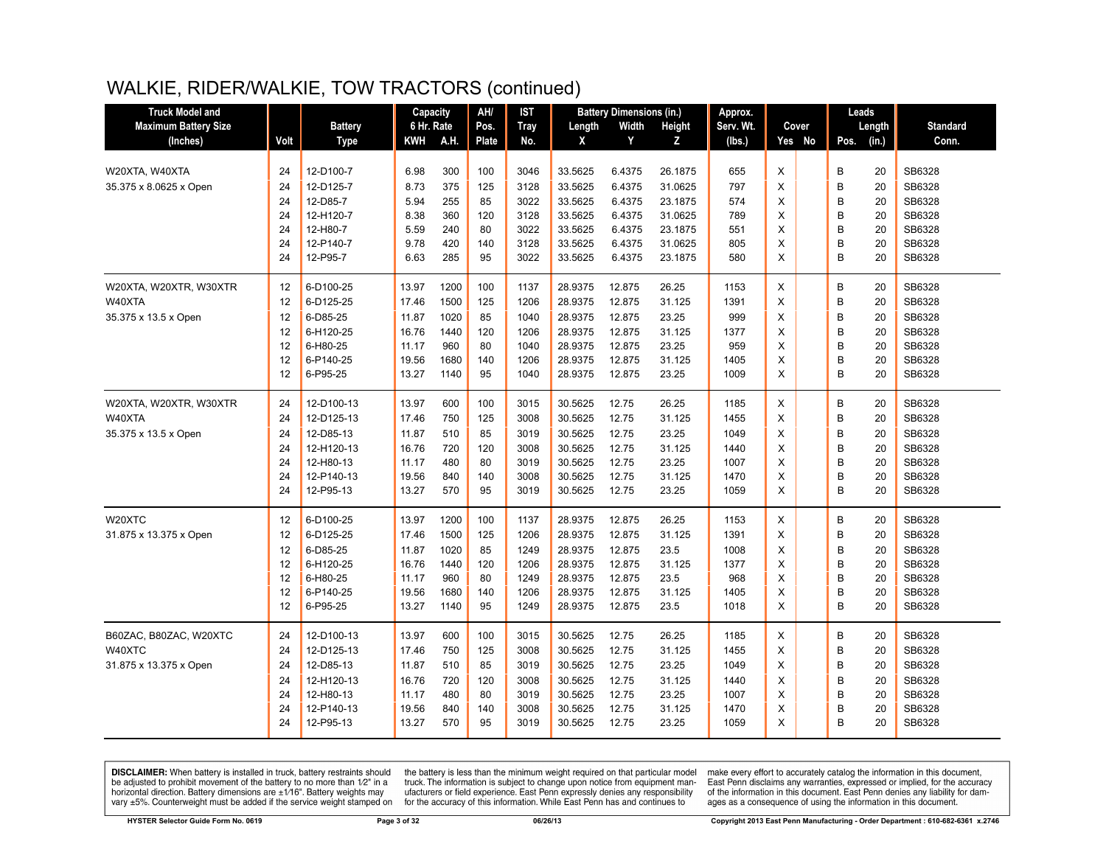| <b>Truck Model and</b>      |      |                | Capacity   |      | AH/   | IST         |         | <b>Battery Dimensions (in.)</b> |         | Approx.   |   |        | Leads         |                 |
|-----------------------------|------|----------------|------------|------|-------|-------------|---------|---------------------------------|---------|-----------|---|--------|---------------|-----------------|
| <b>Maximum Battery Size</b> |      | <b>Battery</b> | 6 Hr. Rate |      | Pos.  | <b>Tray</b> | Length  | Width                           | Height  | Serv. Wt. |   | Cover  | Length        | <b>Standard</b> |
| (Inches)                    | Volt | <b>Type</b>    | KWH        | A.H. | Plate | No.         | X       | Y                               | Z       | (lbs.)    |   | Yes No | (in.)<br>Pos. | Conn.           |
|                             |      |                |            |      |       |             |         |                                 |         |           |   |        |               |                 |
| W20XTA, W40XTA              | 24   | 12-D100-7      | 6.98       | 300  | 100   | 3046        | 33.5625 | 6.4375                          | 26.1875 | 655       | X |        | B<br>20       | SB6328          |
| 35.375 x 8.0625 x Open      | 24   | 12-D125-7      | 8.73       | 375  | 125   | 3128        | 33.5625 | 6.4375                          | 31.0625 | 797       | X |        | B<br>20       | SB6328          |
|                             | 24   | 12-D85-7       | 5.94       | 255  | 85    | 3022        | 33.5625 | 6.4375                          | 23.1875 | 574       | X |        | B<br>20       | SB6328          |
|                             | 24   | 12-H120-7      | 8.38       | 360  | 120   | 3128        | 33.5625 | 6.4375                          | 31.0625 | 789       | X |        | B<br>20       | SB6328          |
|                             | 24   | 12-H80-7       | 5.59       | 240  | 80    | 3022        | 33.5625 | 6.4375                          | 23.1875 | 551       | X |        | B<br>20       | SB6328          |
|                             | 24   | 12-P140-7      | 9.78       | 420  | 140   | 3128        | 33.5625 | 6.4375                          | 31.0625 | 805       | X |        | B<br>20       | SB6328          |
|                             | 24   | 12-P95-7       | 6.63       | 285  | 95    | 3022        | 33.5625 | 6.4375                          | 23.1875 | 580       | X |        | B<br>20       | SB6328          |
| W20XTA, W20XTR, W30XTR      | 12   | 6-D100-25      | 13.97      | 1200 | 100   | 1137        | 28.9375 | 12.875                          | 26.25   | 1153      | X |        | В<br>20       | SB6328          |
| W40XTA                      | 12   | 6-D125-25      | 17.46      | 1500 | 125   | 1206        | 28.9375 | 12.875                          | 31.125  | 1391      | X |        | B<br>20       | SB6328          |
| 35.375 x 13.5 x Open        | 12   | 6-D85-25       | 11.87      | 1020 | 85    | 1040        | 28.9375 | 12.875                          | 23.25   | 999       | X |        | B<br>20       | SB6328          |
|                             | 12   | 6-H120-25      | 16.76      | 1440 | 120   | 1206        | 28.9375 | 12.875                          | 31.125  | 1377      | X |        | B<br>20       | SB6328          |
|                             | 12   | 6-H80-25       | 11.17      | 960  | 80    | 1040        | 28.9375 | 12.875                          | 23.25   | 959       | X |        | B<br>20       | SB6328          |
|                             | 12   | 6-P140-25      | 19.56      | 1680 | 140   | 1206        | 28.9375 | 12.875                          | 31.125  | 1405      | X |        | B<br>20       | SB6328          |
|                             | 12   | 6-P95-25       | 13.27      | 1140 | 95    | 1040        | 28.9375 | 12.875                          | 23.25   | 1009      | X |        | B<br>20       | SB6328          |
| W20XTA, W20XTR, W30XTR      | 24   | 12-D100-13     | 13.97      | 600  | 100   | 3015        | 30.5625 | 12.75                           | 26.25   | 1185      | X |        | В<br>20       | SB6328          |
| W40XTA                      | 24   | 12-D125-13     | 17.46      | 750  | 125   | 3008        | 30.5625 | 12.75                           | 31.125  | 1455      | X |        | B<br>20       | SB6328          |
| 35.375 x 13.5 x Open        | 24   | 12-D85-13      | 11.87      | 510  | 85    | 3019        | 30.5625 | 12.75                           | 23.25   | 1049      | X |        | B<br>20       | SB6328          |
|                             | 24   | 12-H120-13     | 16.76      | 720  | 120   | 3008        | 30.5625 | 12.75                           | 31.125  | 1440      | X |        | B<br>20       | SB6328          |
|                             | 24   | 12-H80-13      | 11.17      | 480  | 80    | 3019        | 30.5625 | 12.75                           | 23.25   | 1007      | X |        | B<br>20       | SB6328          |
|                             | 24   | 12-P140-13     | 19.56      | 840  | 140   | 3008        | 30.5625 | 12.75                           | 31.125  | 1470      | X |        | B<br>20       | SB6328          |
|                             | 24   | 12-P95-13      | 13.27      | 570  | 95    | 3019        | 30.5625 | 12.75                           | 23.25   | 1059      | X |        | B<br>20       | SB6328          |
| W20XTC                      | 12   | 6-D100-25      | 13.97      | 1200 | 100   | 1137        | 28.9375 | 12.875                          | 26.25   | 1153      | X |        | B<br>20       | SB6328          |
| 31.875 x 13.375 x Open      | 12   | 6-D125-25      | 17.46      | 1500 | 125   | 1206        | 28.9375 | 12.875                          | 31.125  | 1391      | X |        | B<br>20       | SB6328          |
|                             | 12   | 6-D85-25       | 11.87      | 1020 | 85    | 1249        | 28.9375 | 12.875                          | 23.5    | 1008      | X |        | B<br>20       | SB6328          |
|                             | 12   | 6-H120-25      | 16.76      | 1440 | 120   | 1206        | 28.9375 | 12.875                          | 31.125  | 1377      | X |        | B<br>20       | SB6328          |
|                             | 12   | 6-H80-25       | 11.17      | 960  | 80    | 1249        | 28.9375 | 12.875                          | 23.5    | 968       | X |        | B<br>20       | SB6328          |
|                             | 12   | 6-P140-25      | 19.56      | 1680 | 140   | 1206        | 28.9375 | 12.875                          | 31.125  | 1405      | X |        | B<br>20       | SB6328          |
|                             | 12   | 6-P95-25       | 13.27      | 1140 | 95    | 1249        | 28.9375 | 12.875                          | 23.5    | 1018      | X |        | B<br>20       | SB6328          |
| B60ZAC, B80ZAC, W20XTC      | 24   | 12-D100-13     | 13.97      | 600  | 100   | 3015        | 30.5625 | 12.75                           | 26.25   | 1185      | X |        | B<br>20       | SB6328          |
| W40XTC                      | 24   | 12-D125-13     | 17.46      | 750  | 125   | 3008        | 30.5625 | 12.75                           | 31.125  | 1455      | X |        | B<br>20       | SB6328          |
| 31.875 x 13.375 x Open      | 24   | 12-D85-13      | 11.87      | 510  | 85    | 3019        | 30.5625 | 12.75                           | 23.25   | 1049      | X |        | B<br>20       | SB6328          |
|                             | 24   | 12-H120-13     | 16.76      | 720  | 120   | 3008        | 30.5625 | 12.75                           | 31.125  | 1440      | X |        | B<br>20       | SB6328          |
|                             | 24   | 12-H80-13      | 11.17      | 480  | 80    | 3019        | 30.5625 | 12.75                           | 23.25   | 1007      | X |        | B<br>20       | SB6328          |
|                             | 24   | 12-P140-13     | 19.56      | 840  | 140   | 3008        | 30.5625 | 12.75                           | 31.125  | 1470      | Χ |        | B<br>20       | SB6328          |
|                             | 24   | 12-P95-13      | 13.27      | 570  | 95    | 3019        | 30.5625 | 12.75                           | 23.25   | 1059      | X |        | B<br>20       | SB6328          |
|                             |      |                |            |      |       |             |         |                                 |         |           |   |        |               |                 |

**DISCLAIMER:** When battery is installed in truck, battery restraints should be adjusted to prohibit movement of the battery to no more than 1/2" in a horizontal direction. Battery dimensions are  $\pm 1/16$ ". Battery weights may vary ±5%. Counterweight must be added if the service weight stamped on

the battery is less than the minimum weight required on that particular model<br>truck. The information is subject to change upon notice from equipment manufacturers or field experience. East Penn expressly denies any responsibility for the accuracy of this information. While East Penn has and continues to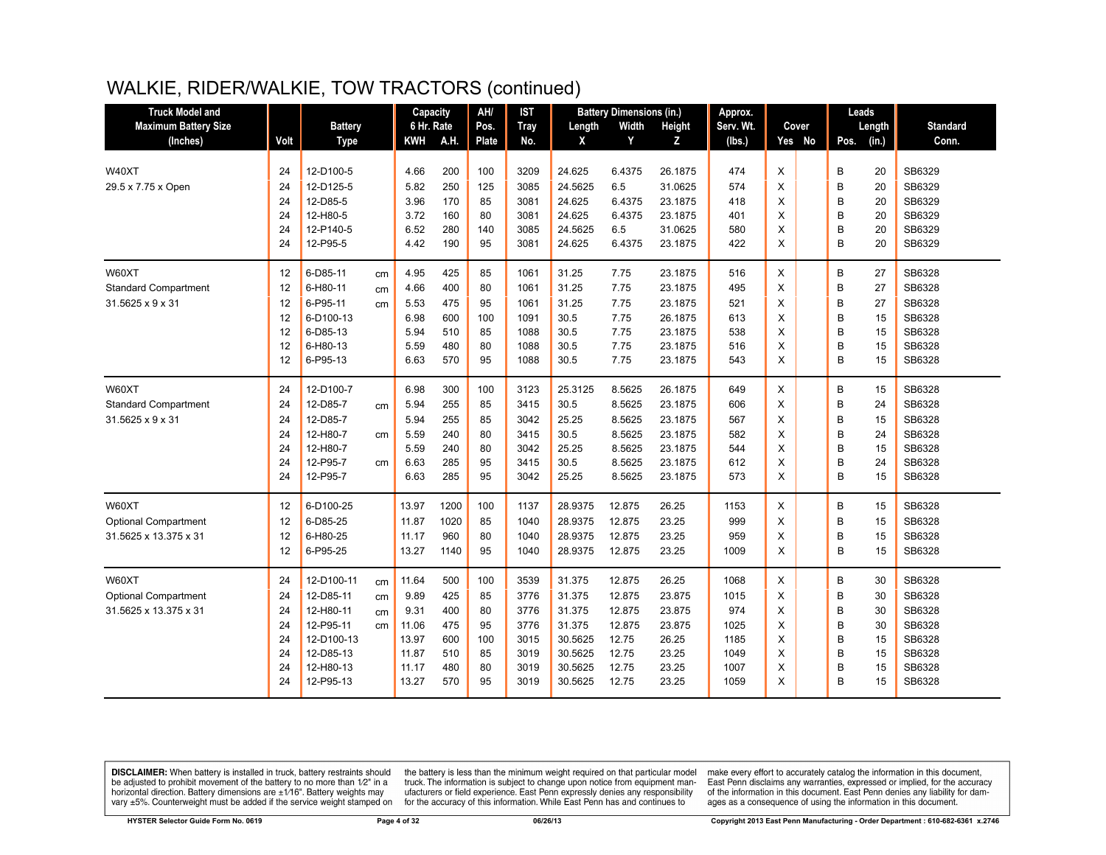| <b>Truck Model and</b>      |      |                |    | Capacity   |      | AH/   | <b>IST</b>  |         | <b>Battery Dimensions (in.)</b> |               | Approx.   |          |        |      | Leads  |                 |
|-----------------------------|------|----------------|----|------------|------|-------|-------------|---------|---------------------------------|---------------|-----------|----------|--------|------|--------|-----------------|
| <b>Maximum Battery Size</b> |      | <b>Battery</b> |    | 6 Hr. Rate |      | Pos.  | <b>Tray</b> | Length  | Width                           | <b>Height</b> | Serv. Wt. |          | Cover  |      | Length | <b>Standard</b> |
| (Inches)                    | Volt | <b>Type</b>    |    | <b>KWH</b> | A.H. | Plate | No.         | X       | Y                               | Z             | (lbs.)    |          | Yes No | Pos. | (in.)  | Conn.           |
|                             |      |                |    |            |      |       |             |         |                                 |               |           |          |        |      |        |                 |
| W40XT                       | 24   | 12-D100-5      |    | 4.66       | 200  | 100   | 3209        | 24.625  | 6.4375                          | 26.1875       | 474       | X        |        | B    | 20     | SB6329          |
| 29.5 x 7.75 x Open          | 24   | 12-D125-5      |    | 5.82       | 250  | 125   | 3085        | 24.5625 | 6.5                             | 31.0625       | 574       | X        |        | B    | 20     | SB6329          |
|                             | 24   | 12-D85-5       |    | 3.96       | 170  | 85    | 3081        | 24.625  | 6.4375                          | 23.1875       | 418       | X        |        | B    | 20     | SB6329          |
|                             | 24   | 12-H80-5       |    | 3.72       | 160  | 80    | 3081        | 24.625  | 6.4375                          | 23.1875       | 401       | X        |        | B    | 20     | SB6329          |
|                             | 24   | 12-P140-5      |    | 6.52       | 280  | 140   | 3085        | 24.5625 | 6.5                             | 31.0625       | 580       | X        |        | B    | 20     | SB6329          |
|                             | 24   | 12-P95-5       |    | 4.42       | 190  | 95    | 3081        | 24.625  | 6.4375                          | 23.1875       | 422       | X        |        | B    | 20     | SB6329          |
| W60XT                       | 12   | 6-D85-11       | cm | 4.95       | 425  | 85    | 1061        | 31.25   | 7.75                            | 23.1875       | 516       | X        |        | B    | 27     | SB6328          |
| <b>Standard Compartment</b> | 12   | 6-H80-11       | cm | 4.66       | 400  | 80    | 1061        | 31.25   | 7.75                            | 23.1875       | 495       | X        |        | B    | 27     | SB6328          |
| 31.5625 x 9 x 31            | 12   | 6-P95-11       | cm | 5.53       | 475  | 95    | 1061        | 31.25   | 7.75                            | 23.1875       | 521       | X        |        | B    | 27     | SB6328          |
|                             | 12   | 6-D100-13      |    | 6.98       | 600  | 100   | 1091        | 30.5    | 7.75                            | 26.1875       | 613       | X        |        | B    | 15     | SB6328          |
|                             | 12   | 6-D85-13       |    | 5.94       | 510  | 85    | 1088        | 30.5    | 7.75                            | 23.1875       | 538       | X        |        | B    | 15     | SB6328          |
|                             | 12   | 6-H80-13       |    | 5.59       | 480  | 80    | 1088        | 30.5    | 7.75                            | 23.1875       | 516       | X        |        | B    | 15     | SB6328          |
|                             | 12   | 6-P95-13       |    | 6.63       | 570  | 95    | 1088        | 30.5    | 7.75                            | 23.1875       | 543       | X        |        | B    | 15     | SB6328          |
| W60XT                       | 24   | 12-D100-7      |    | 6.98       | 300  | 100   | 3123        | 25.3125 | 8.5625                          | 26.1875       | 649       | X        |        | В    | 15     | SB6328          |
| <b>Standard Compartment</b> | 24   | 12-D85-7       | cm | 5.94       | 255  | 85    | 3415        | 30.5    | 8.5625                          | 23.1875       | 606       | X        |        | B    | 24     | SB6328          |
| 31.5625 x 9 x 31            | 24   | 12-D85-7       |    | 5.94       | 255  | 85    | 3042        | 25.25   | 8.5625                          | 23.1875       | 567       | X        |        | B    | 15     | SB6328          |
|                             | 24   | 12-H80-7       | cm | 5.59       | 240  | 80    | 3415        | 30.5    | 8.5625                          | 23.1875       | 582       | X        |        | B    | 24     | SB6328          |
|                             | 24   | 12-H80-7       |    | 5.59       | 240  | 80    | 3042        | 25.25   | 8.5625                          | 23.1875       | 544       | X        |        | B    | 15     | SB6328          |
|                             | 24   | 12-P95-7       | cm | 6.63       | 285  | 95    | 3415        | 30.5    | 8.5625                          | 23.1875       | 612       | X        |        | B    | 24     | SB6328          |
|                             | 24   | 12-P95-7       |    | 6.63       | 285  | 95    | 3042        | 25.25   | 8.5625                          | 23.1875       | 573       | $\times$ |        | B    | 15     | SB6328          |
| W60XT                       | 12   | 6-D100-25      |    | 13.97      | 1200 | 100   | 1137        | 28.9375 | 12.875                          | 26.25         | 1153      | X        |        | В    | 15     | SB6328          |
| <b>Optional Compartment</b> | 12   | 6-D85-25       |    | 11.87      | 1020 | 85    | 1040        | 28.9375 | 12.875                          | 23.25         | 999       | X        |        | B    | 15     | SB6328          |
| 31.5625 x 13.375 x 31       | 12   | 6-H80-25       |    | 11.17      | 960  | 80    | 1040        | 28.9375 | 12.875                          | 23.25         | 959       | X        |        | B    | 15     | SB6328          |
|                             | 12   | 6-P95-25       |    | 13.27      | 1140 | 95    | 1040        | 28.9375 | 12.875                          | 23.25         | 1009      | X        |        | B    | 15     | SB6328          |
| W60XT                       | 24   | 12-D100-11     | cm | 11.64      | 500  | 100   | 3539        | 31.375  | 12.875                          | 26.25         | 1068      | X        |        | B    | 30     | SB6328          |
| <b>Optional Compartment</b> | 24   | 12-D85-11      | cm | 9.89       | 425  | 85    | 3776        | 31.375  | 12.875                          | 23.875        | 1015      | X        |        | B    | 30     | SB6328          |
| 31.5625 x 13.375 x 31       | 24   | 12-H80-11      | cm | 9.31       | 400  | 80    | 3776        | 31.375  | 12.875                          | 23.875        | 974       | X        |        | B    | 30     | SB6328          |
|                             | 24   | 12-P95-11      | cm | 11.06      | 475  | 95    | 3776        | 31.375  | 12.875                          | 23.875        | 1025      | X        |        | B    | 30     | SB6328          |
|                             | 24   | 12-D100-13     |    | 13.97      | 600  | 100   | 3015        | 30.5625 | 12.75                           | 26.25         | 1185      | X        |        | B    | 15     | SB6328          |
|                             | 24   | 12-D85-13      |    | 11.87      | 510  | 85    | 3019        | 30.5625 | 12.75                           | 23.25         | 1049      | X        |        | B    | 15     | SB6328          |
|                             | 24   | 12-H80-13      |    | 11.17      | 480  | 80    | 3019        | 30.5625 | 12.75                           | 23.25         | 1007      | X        |        | B    | 15     | SB6328          |
|                             | 24   | 12-P95-13      |    | 13.27      | 570  | 95    | 3019        | 30.5625 | 12.75                           | 23.25         | 1059      | X        |        | B    | 15     | SB6328          |
|                             |      |                |    |            |      |       |             |         |                                 |               |           |          |        |      |        |                 |

**DISCLAIMER:** When battery is installed in truck, battery restraints should be adjusted to prohibit movement of the battery to no more than  $1/2$ " in a horizontal direction. Battery dimensions are  $\pm 1/16$ ". Battery weig

the battery is less than the minimum weight required on that particular model<br>truck. The information is subject to change upon notice from equipment manufacturers or field experience. East Penn expressly denies any responsibility for the accuracy of this information. While East Penn has and continues to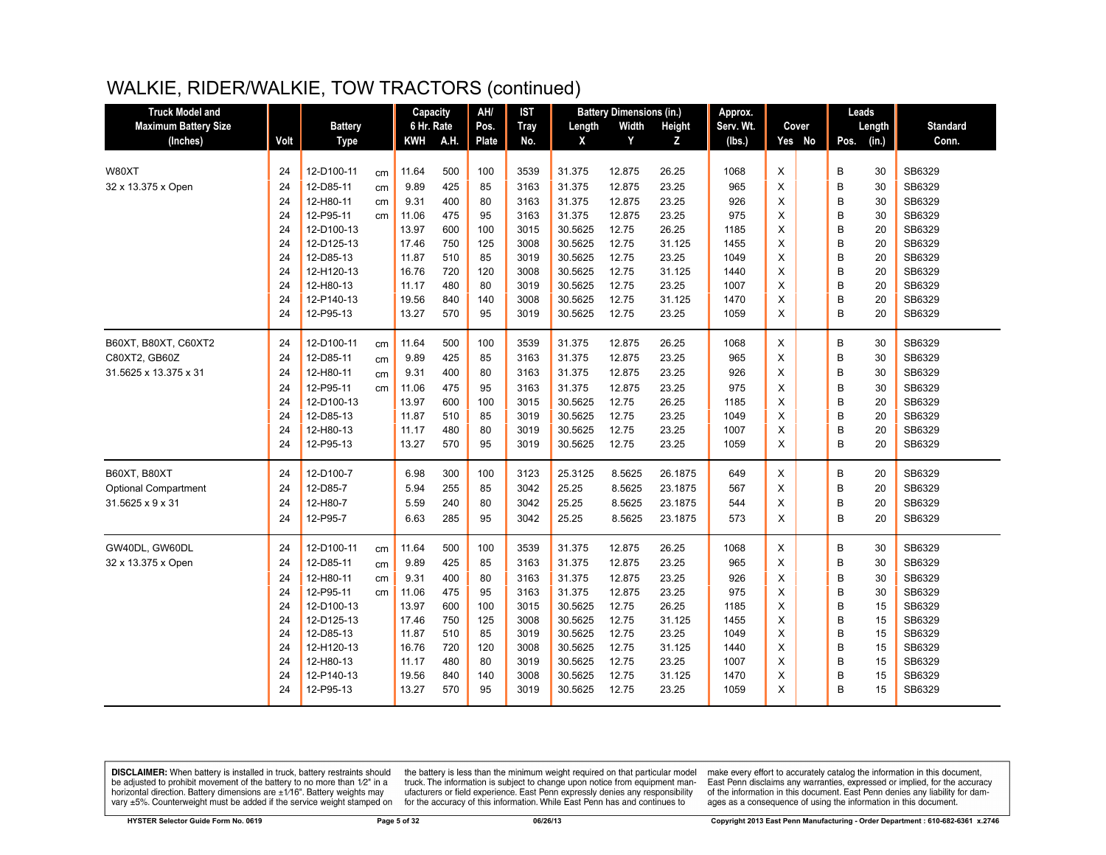| <b>Truck Model and</b>      |      |                |    | Capacity   |      | AH/          | <b>IST</b>  |         | <b>Battery Dimensions (in.)</b> |               | Approx.   |   |        | Leads |        |                 |
|-----------------------------|------|----------------|----|------------|------|--------------|-------------|---------|---------------------------------|---------------|-----------|---|--------|-------|--------|-----------------|
| <b>Maximum Battery Size</b> |      | <b>Battery</b> |    | 6 Hr. Rate |      | Pos.         | <b>Tray</b> | Length  | Width                           | <b>Height</b> | Serv. Wt. |   | Cover  |       | Length | <b>Standard</b> |
| (Inches)                    | Volt | <b>Type</b>    |    | KWH        | A.H. | <b>Plate</b> | No.         | X       | Y                               | z             | (lbs.)    |   | Yes No | Pos.  | (in.)  | Conn.           |
|                             |      |                |    |            |      |              |             |         |                                 |               |           |   |        |       |        |                 |
| W80XT                       | 24   | 12-D100-11     | cm | 11.64      | 500  | 100          | 3539        | 31.375  | 12.875                          | 26.25         | 1068      | X |        | B     | 30     | SB6329          |
| 32 x 13.375 x Open          | 24   | 12-D85-11      | cm | 9.89       | 425  | 85           | 3163        | 31.375  | 12.875                          | 23.25         | 965       | X |        | B     | 30     | SB6329          |
|                             | 24   | 12-H80-11      | cm | 9.31       | 400  | 80           | 3163        | 31.375  | 12.875                          | 23.25         | 926       | X |        | B     | 30     | SB6329          |
|                             | 24   | 12-P95-11      | cm | 11.06      | 475  | 95           | 3163        | 31.375  | 12.875                          | 23.25         | 975       | X |        | B     | 30     | SB6329          |
|                             | 24   | 12-D100-13     |    | 13.97      | 600  | 100          | 3015        | 30.5625 | 12.75                           | 26.25         | 1185      | X |        | B     | 20     | SB6329          |
|                             | 24   | 12-D125-13     |    | 17.46      | 750  | 125          | 3008        | 30.5625 | 12.75                           | 31.125        | 1455      | X |        | B     | 20     | SB6329          |
|                             | 24   | 12-D85-13      |    | 11.87      | 510  | 85           | 3019        | 30.5625 | 12.75                           | 23.25         | 1049      | X |        | B     | 20     | SB6329          |
|                             | 24   | 12-H120-13     |    | 16.76      | 720  | 120          | 3008        | 30.5625 | 12.75                           | 31.125        | 1440      | X |        | B     | 20     | SB6329          |
|                             | 24   | 12-H80-13      |    | 11.17      | 480  | 80           | 3019        | 30.5625 | 12.75                           | 23.25         | 1007      | X |        | B     | 20     | SB6329          |
|                             | 24   | 12-P140-13     |    | 19.56      | 840  | 140          | 3008        | 30.5625 | 12.75                           | 31.125        | 1470      | X |        | B     | 20     | SB6329          |
|                             | 24   | 12-P95-13      |    | 13.27      | 570  | 95           | 3019        | 30.5625 | 12.75                           | 23.25         | 1059      | X |        | B     | 20     | SB6329          |
| B60XT, B80XT, C60XT2        | 24   | 12-D100-11     | cm | 11.64      | 500  | 100          | 3539        | 31.375  | 12.875                          | 26.25         | 1068      | X |        | B     | 30     | SB6329          |
| C80XT2, GB60Z               | 24   | 12-D85-11      | cm | 9.89       | 425  | 85           | 3163        | 31.375  | 12.875                          | 23.25         | 965       | X |        | B     | 30     | SB6329          |
| 31.5625 x 13.375 x 31       | 24   | 12-H80-11      | cm | 9.31       | 400  | 80           | 3163        | 31.375  | 12.875                          | 23.25         | 926       | X |        | B     | 30     | SB6329          |
|                             | 24   | 12-P95-11      | cm | 11.06      | 475  | 95           | 3163        | 31.375  | 12.875                          | 23.25         | 975       | X |        | B     | 30     | SB6329          |
|                             | 24   | 12-D100-13     |    | 13.97      | 600  | 100          | 3015        | 30.5625 | 12.75                           | 26.25         | 1185      | X |        | B     | 20     | SB6329          |
|                             | 24   | 12-D85-13      |    | 11.87      | 510  | 85           | 3019        | 30.5625 | 12.75                           | 23.25         | 1049      | X |        | B     | 20     | SB6329          |
|                             | 24   | 12-H80-13      |    | 11.17      | 480  | 80           | 3019        | 30.5625 | 12.75                           | 23.25         | 1007      | X |        | B     | 20     | SB6329          |
|                             | 24   | 12-P95-13      |    | 13.27      | 570  | 95           | 3019        | 30.5625 | 12.75                           | 23.25         | 1059      | X |        | B     | 20     | SB6329          |
| B60XT, B80XT                | 24   | 12-D100-7      |    | 6.98       | 300  | 100          | 3123        | 25.3125 | 8.5625                          | 26.1875       | 649       | X |        | B     | 20     | SB6329          |
| <b>Optional Compartment</b> | 24   | 12-D85-7       |    | 5.94       | 255  | 85           | 3042        | 25.25   | 8.5625                          | 23.1875       | 567       | X |        | B     | 20     | SB6329          |
| 31.5625 x 9 x 31            | 24   | 12-H80-7       |    | 5.59       | 240  | 80           | 3042        | 25.25   | 8.5625                          | 23.1875       | 544       | X |        | B     | 20     | SB6329          |
|                             | 24   | 12-P95-7       |    | 6.63       | 285  | 95           | 3042        | 25.25   | 8.5625                          | 23.1875       | 573       | X |        | B     | 20     | SB6329          |
|                             |      |                |    |            |      |              |             |         |                                 |               |           |   |        |       |        |                 |
| GW40DL, GW60DL              | 24   | 12-D100-11     | cm | 11.64      | 500  | 100          | 3539        | 31.375  | 12.875                          | 26.25         | 1068      | X |        | B     | 30     | SB6329          |
| 32 x 13.375 x Open          | 24   | 12-D85-11      | cm | 9.89       | 425  | 85           | 3163        | 31.375  | 12.875                          | 23.25         | 965       | X |        | B     | 30     | SB6329          |
|                             | 24   | 12-H80-11      | cm | 9.31       | 400  | 80           | 3163        | 31.375  | 12.875                          | 23.25         | 926       | X |        | B     | 30     | SB6329          |
|                             | 24   | 12-P95-11      | cm | 11.06      | 475  | 95           | 3163        | 31.375  | 12.875                          | 23.25         | 975       | Χ |        | B     | 30     | SB6329          |
|                             | 24   | 12-D100-13     |    | 13.97      | 600  | 100          | 3015        | 30.5625 | 12.75                           | 26.25         | 1185      | X |        | B     | 15     | SB6329          |
|                             | 24   | 12-D125-13     |    | 17.46      | 750  | 125          | 3008        | 30.5625 | 12.75                           | 31.125        | 1455      | X |        | B     | 15     | SB6329          |
|                             | 24   | 12-D85-13      |    | 11.87      | 510  | 85           | 3019        | 30.5625 | 12.75                           | 23.25         | 1049      | X |        | B     | 15     | SB6329          |
|                             | 24   | 12-H120-13     |    | 16.76      | 720  | 120          | 3008        | 30.5625 | 12.75                           | 31.125        | 1440      | X |        | B     | 15     | SB6329          |
|                             | 24   | 12-H80-13      |    | 11.17      | 480  | 80           | 3019        | 30.5625 | 12.75                           | 23.25         | 1007      | X |        | B     | 15     | SB6329          |
|                             | 24   | 12-P140-13     |    | 19.56      | 840  | 140          | 3008        | 30.5625 | 12.75                           | 31.125        | 1470      | X |        | B     | 15     | SB6329          |
|                             | 24   | 12-P95-13      |    | 13.27      | 570  | 95           | 3019        | 30.5625 | 12.75                           | 23.25         | 1059      | X |        | B     | 15     | SB6329          |

**DISCLAIMER:** When battery is installed in truck, battery restraints should be adjusted to prohibit movement of the battery to no more than 1/2" in a horizontal direction. Battery dimensions are  $\pm 1/16$ ". Battery weights vary ±5%. Counterweight must be added if the service weight stamped on

the battery is less than the minimum weight required on that particular model<br>truck. The information is subject to change upon notice from equipment manufacturers or field experience. East Penn expressly denies any responsibility for the accuracy of this information. While East Penn has and continues to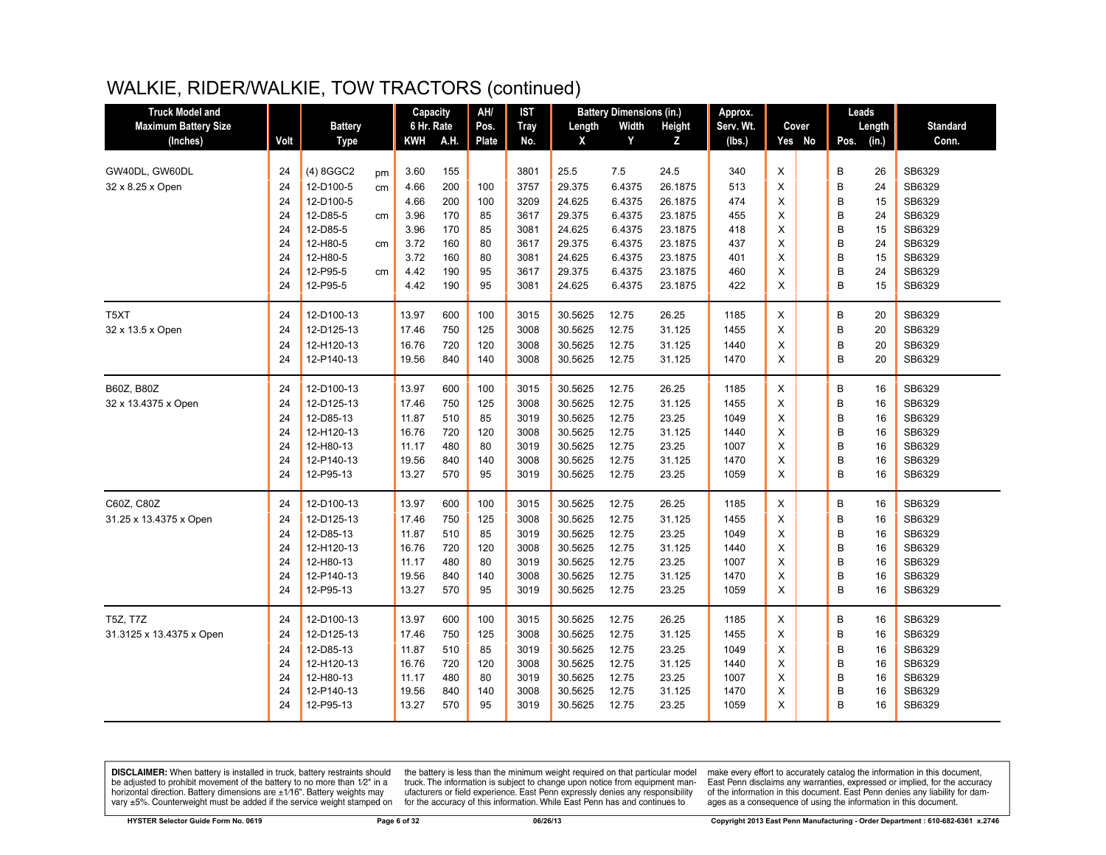| <b>Truck Model and</b>      |          |                         |    | Capacity       |            | AH/          | <b>IST</b>   |                    | <b>Battery Dimensions (in.)</b> |                 | Approx.      |        |        |        | Leads    |                  |
|-----------------------------|----------|-------------------------|----|----------------|------------|--------------|--------------|--------------------|---------------------------------|-----------------|--------------|--------|--------|--------|----------|------------------|
| <b>Maximum Battery Size</b> |          | <b>Battery</b>          |    | 6 Hr. Rate     |            | Pos.         | <b>Tray</b>  | Length             | Width                           | Height          | Serv. Wt.    |        | Cover  |        | Length   | <b>Standard</b>  |
| (Inches)                    | Volt     | <b>Type</b>             |    | KWH            | A.H.       | <b>Plate</b> | No.          | X                  | Y                               | Z               | (lbs.)       |        | Yes No | Pos.   | (in.)    | Conn.            |
|                             |          |                         |    |                |            |              |              |                    |                                 |                 |              |        |        |        |          |                  |
| GW40DL, GW60DL              | 24       | (4) 8GGC2               | pm | 3.60           | 155        |              | 3801         | 25.5               | 7.5                             | 24.5            | 340          | X      |        | B      | 26       | SB6329           |
| 32 x 8.25 x Open            | 24       | 12-D100-5               | cm | 4.66           | 200        | 100          | 3757         | 29.375             | 6.4375                          | 26.1875         | 513          | X      |        | B      | 24       | SB6329           |
|                             | 24       | 12-D100-5               |    | 4.66           | 200        | 100          | 3209         | 24.625             | 6.4375                          | 26.1875         | 474          | X      |        | B      | 15       | SB6329           |
|                             | 24       | 12-D85-5                | cm | 3.96           | 170        | 85           | 3617         | 29.375             | 6.4375                          | 23.1875         | 455          | X      |        | B      | 24       | SB6329           |
|                             | 24       | 12-D85-5                |    | 3.96           | 170        | 85           | 3081         | 24.625             | 6.4375                          | 23.1875         | 418          | X      |        | B      | 15       | SB6329           |
|                             | 24       | 12-H80-5                | cm | 3.72           | 160        | 80           | 3617         | 29.375             | 6.4375                          | 23.1875         | 437          | X      |        | B      | 24       | SB6329           |
|                             | 24       | 12-H80-5                |    | 3.72           | 160        | 80           | 3081         | 24.625             | 6.4375                          | 23.1875         | 401          | X      |        | B      | 15       | SB6329           |
|                             | 24       | 12-P95-5                | cm | 4.42           | 190        | 95           | 3617         | 29.375             | 6.4375                          | 23.1875         | 460          | X      |        | B      | 24       | SB6329           |
|                             | 24       | 12-P95-5                |    | 4.42           | 190        | 95           | 3081         | 24.625             | 6.4375                          | 23.1875         | 422          | X      |        | B      | 15       | SB6329           |
| T <sub>5</sub> XT           | 24       | 12-D100-13              |    | 13.97          | 600        | 100          | 3015         | 30.5625            | 12.75                           | 26.25           | 1185         | X      |        | B      | 20       | SB6329           |
| 32 x 13.5 x Open            | 24       | 12-D125-13              |    | 17.46          | 750        | 125          | 3008         | 30.5625            | 12.75                           | 31.125          | 1455         | X      |        | B      | 20       | SB6329           |
|                             | 24       | 12-H120-13              |    | 16.76          | 720        | 120          | 3008         | 30.5625            | 12.75                           | 31.125          | 1440         | X      |        | B      | 20       | SB6329           |
|                             | 24       | 12-P140-13              |    | 19.56          | 840        | 140          | 3008         | 30.5625            | 12.75                           | 31.125          | 1470         | X      |        | B      | 20       | SB6329           |
| B60Z, B80Z                  | 24       | 12-D100-13              |    | 13.97          | 600        | 100          | 3015         | 30.5625            | 12.75                           | 26.25           | 1185         | X      |        | B      | 16       | SB6329           |
| 32 x 13.4375 x Open         | 24       | 12-D125-13              |    | 17.46          | 750        | 125          | 3008         | 30.5625            | 12.75                           | 31.125          | 1455         | X      |        | B      | 16       | SB6329           |
|                             | 24       | 12-D85-13               |    |                |            | 85           | 3019         |                    |                                 |                 |              | X      |        | B      | 16       | SB6329           |
|                             | 24       | 12-H120-13              |    | 11.87<br>16.76 | 510<br>720 | 120          | 3008         | 30.5625<br>30.5625 | 12.75<br>12.75                  | 23.25<br>31.125 | 1049<br>1440 | X      |        | B      | 16       | SB6329           |
|                             | 24       | 12-H80-13               |    | 11.17          | 480        | 80           | 3019         | 30.5625            | 12.75                           | 23.25           | 1007         | X      |        | B      | 16       | SB6329           |
|                             | 24       | 12-P140-13              |    | 19.56          | 840        | 140          | 3008         | 30.5625            | 12.75                           | 31.125          | 1470         | X      |        | B      | 16       | SB6329           |
|                             | 24       | 12-P95-13               |    | 13.27          | 570        | 95           | 3019         | 30.5625            | 12.75                           | 23.25           | 1059         | X      |        | B      | 16       | SB6329           |
|                             |          |                         |    |                |            |              |              |                    |                                 |                 |              |        |        |        |          |                  |
| C60Z, C80Z                  | 24       | 12-D100-13              |    | 13.97          | 600        | 100          | 3015         | 30.5625            | 12.75                           | 26.25           | 1185         | X      |        | B      | 16       | SB6329           |
| 31.25 x 13.4375 x Open      | 24       | 12-D125-13              |    | 17.46          | 750        | 125          | 3008         | 30.5625            | 12.75                           | 31.125          | 1455         | X      |        | B      | 16       | SB6329           |
|                             | 24       | 12-D85-13               |    | 11.87          | 510        | 85           | 3019         | 30.5625            | 12.75                           | 23.25           | 1049         | X      |        | B      | 16       | SB6329           |
|                             | 24       | 12-H120-13              |    | 16.76          | 720        | 120          | 3008         | 30.5625            | 12.75                           | 31.125          | 1440         | X      |        | B      | 16       | SB6329           |
|                             | 24<br>24 | 12-H80-13<br>12-P140-13 |    | 11.17<br>19.56 | 480<br>840 | 80           | 3019         | 30.5625<br>30.5625 | 12.75<br>12.75                  | 23.25<br>31.125 | 1007         | X<br>X |        | B<br>B | 16<br>16 | SB6329<br>SB6329 |
|                             | 24       | 12-P95-13               |    | 13.27          | 570        | 140<br>95    | 3008<br>3019 | 30.5625            | 12.75                           | 23.25           | 1470<br>1059 | X      |        | B      | 16       | SB6329           |
|                             |          |                         |    |                |            |              |              |                    |                                 |                 |              |        |        |        |          |                  |
| <b>T5Z. T7Z</b>             | 24       | 12-D100-13              |    | 13.97          | 600        | 100          | 3015         | 30.5625            | 12.75                           | 26.25           | 1185         | X      |        | B      | 16       | SB6329           |
| 31.3125 x 13.4375 x Open    | 24       | 12-D125-13              |    | 17.46          | 750        | 125          | 3008         | 30.5625            | 12.75                           | 31.125          | 1455         | X      |        | B      | 16       | SB6329           |
|                             | 24       | 12-D85-13               |    | 11.87          | 510        | 85           | 3019         | 30.5625            | 12.75                           | 23.25           | 1049         | X      |        | B      | 16       | SB6329           |
|                             | 24       | 12-H120-13              |    | 16.76          | 720        | 120          | 3008         | 30.5625            | 12.75                           | 31.125          | 1440         | X      |        | B      | 16       | SB6329           |
|                             | 24       | 12-H80-13               |    | 11.17          | 480        | 80           | 3019         | 30.5625            | 12.75                           | 23.25           | 1007         | X      |        | B      | 16       | SB6329           |
|                             | 24       | 12-P140-13              |    | 19.56          | 840        | 140          | 3008         | 30.5625            | 12.75                           | 31.125          | 1470         | X      |        | B      | 16       | SB6329           |
|                             | 24       | 12-P95-13               |    | 13.27          | 570        | 95           | 3019         | 30.5625            | 12.75                           | 23.25           | 1059         | X      |        | B      | 16       | SB6329           |

**DISCLAIMER:** When battery is installed in truck, battery restraints should be adjusted to prohibit movement of the battery to no more than  $1/2$ " in a horizontal direction. Battery dimensions are  $\pm 1/16$ ". Battery weig

the battery is less than the minimum weight required on that particular model<br>truck. The information is subject to change upon notice from equipment manufacturers or field experience. East Penn expressly denies any responsibility for the accuracy of this information. While East Penn has and continues to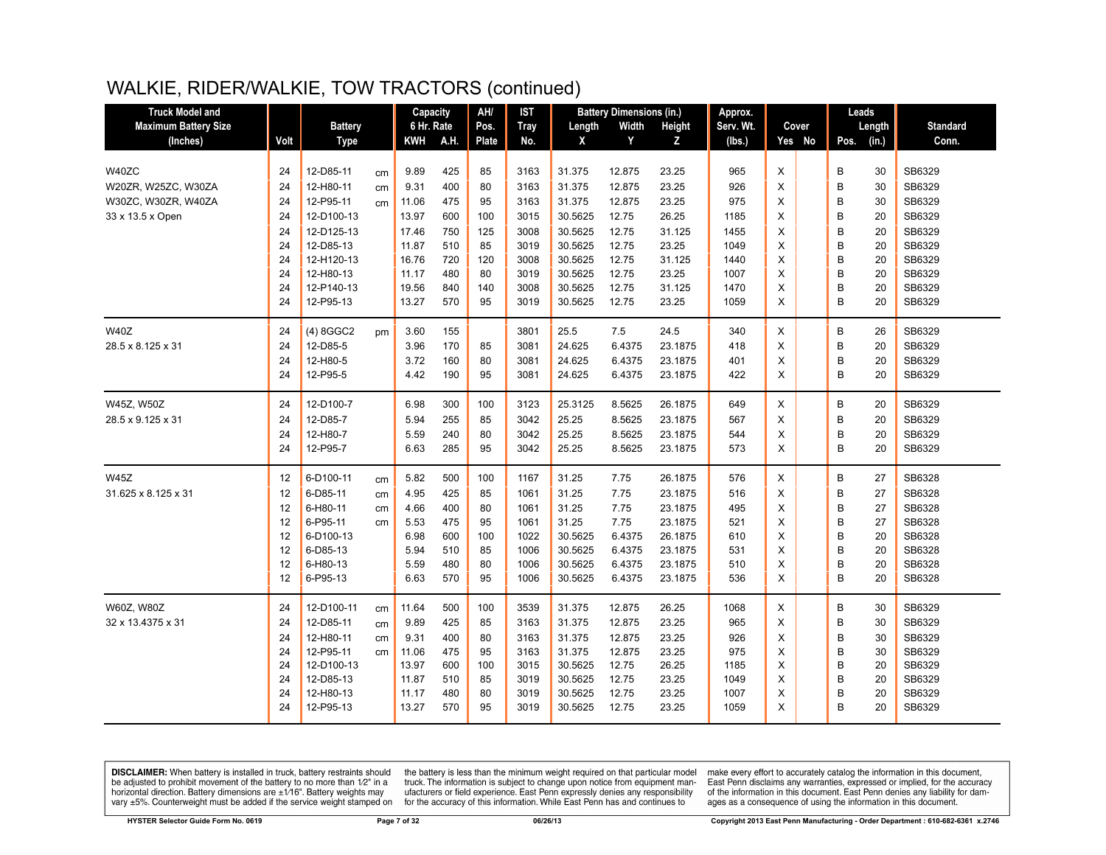| <b>Truck Model and</b>      |      |                |    | Capacity   |      | AH/          | <b>IST</b>  |         | <b>Battery Dimensions (in.)</b> |         | Approx.   |        | Leads         |                 |
|-----------------------------|------|----------------|----|------------|------|--------------|-------------|---------|---------------------------------|---------|-----------|--------|---------------|-----------------|
| <b>Maximum Battery Size</b> |      | <b>Battery</b> |    | 6 Hr. Rate |      | Pos.         | <b>Tray</b> | Length  | Width                           | Height  | Serv. Wt. | Cover  | Length        | <b>Standard</b> |
| (Inches)                    | Volt | <b>Type</b>    |    | KWH        | A.H. | <b>Plate</b> | No.         | X       | Y                               | Z       | (lbs.)    | Yes No | (in.)<br>Pos. | Conn.           |
|                             |      |                |    |            |      |              |             |         |                                 |         |           |        |               |                 |
| W40ZC                       | 24   | 12-D85-11      | cm | 9.89       | 425  | 85           | 3163        | 31.375  | 12.875                          | 23.25   | 965       | X      | B<br>30       | SB6329          |
| W20ZR, W25ZC, W30ZA         | 24   | 12-H80-11      | cm | 9.31       | 400  | 80           | 3163        | 31.375  | 12.875                          | 23.25   | 926       | X      | B<br>30       | SB6329          |
| W30ZC, W30ZR, W40ZA         | 24   | 12-P95-11      | cm | 11.06      | 475  | 95           | 3163        | 31.375  | 12.875                          | 23.25   | 975       | X      | B<br>30       | SB6329          |
| 33 x 13.5 x Open            | 24   | 12-D100-13     |    | 13.97      | 600  | 100          | 3015        | 30.5625 | 12.75                           | 26.25   | 1185      | X      | B<br>20       | SB6329          |
|                             | 24   | 12-D125-13     |    | 17.46      | 750  | 125          | 3008        | 30.5625 | 12.75                           | 31.125  | 1455      | X      | B<br>20       | SB6329          |
|                             | 24   | 12-D85-13      |    | 11.87      | 510  | 85           | 3019        | 30.5625 | 12.75                           | 23.25   | 1049      | X      | B<br>20       | SB6329          |
|                             | 24   | 12-H120-13     |    | 16.76      | 720  | 120          | 3008        | 30.5625 | 12.75                           | 31.125  | 1440      | X      | B<br>20       | SB6329          |
|                             | 24   | 12-H80-13      |    | 11.17      | 480  | 80           | 3019        | 30.5625 | 12.75                           | 23.25   | 1007      | X      | B<br>20       | SB6329          |
|                             | 24   | 12-P140-13     |    | 19.56      | 840  | 140          | 3008        | 30.5625 | 12.75                           | 31.125  | 1470      | X      | B<br>20       | SB6329          |
|                             | 24   | 12-P95-13      |    | 13.27      | 570  | 95           | 3019        | 30.5625 | 12.75                           | 23.25   | 1059      | X      | B<br>20       | SB6329          |
| <b>W40Z</b>                 | 24   | (4) 8GGC2      | pm | 3.60       | 155  |              | 3801        | 25.5    | 7.5                             | 24.5    | 340       | X      | B<br>26       | SB6329          |
| 28.5 x 8.125 x 31           | 24   | 12-D85-5       |    | 3.96       | 170  | 85           | 3081        | 24.625  | 6.4375                          | 23.1875 | 418       | X      | B<br>20       | SB6329          |
|                             | 24   | 12-H80-5       |    | 3.72       | 160  | 80           | 3081        | 24.625  | 6.4375                          | 23.1875 | 401       | X      | B<br>20       | SB6329          |
|                             | 24   | 12-P95-5       |    | 4.42       | 190  | 95           | 3081        | 24.625  | 6.4375                          | 23.1875 | 422       | X      | B<br>20       | SB6329          |
| W45Z, W50Z                  | 24   | 12-D100-7      |    | 6.98       | 300  | 100          | 3123        | 25.3125 | 8.5625                          | 26.1875 | 649       | Χ      | B<br>20       | SB6329          |
| 28.5 x 9.125 x 31           | 24   | 12-D85-7       |    | 5.94       | 255  | 85           | 3042        | 25.25   | 8.5625                          | 23.1875 | 567       | X      | B<br>20       | SB6329          |
|                             | 24   | 12-H80-7       |    | 5.59       | 240  | 80           | 3042        | 25.25   | 8.5625                          | 23.1875 | 544       | X      | B<br>20       | SB6329          |
|                             | 24   | 12-P95-7       |    | 6.63       | 285  | 95           | 3042        | 25.25   | 8.5625                          | 23.1875 | 573       | X      | B<br>20       | SB6329          |
| <b>W45Z</b>                 | 12   | 6-D100-11      | cm | 5.82       | 500  | 100          | 1167        | 31.25   | 7.75                            | 26.1875 | 576       | X      | B<br>27       | SB6328          |
| 31.625 x 8.125 x 31         | 12   | 6-D85-11       | cm | 4.95       | 425  | 85           | 1061        | 31.25   | 7.75                            | 23.1875 | 516       | X      | B<br>27       | SB6328          |
|                             | 12   | 6-H80-11       | cm | 4.66       | 400  | 80           | 1061        | 31.25   | 7.75                            | 23.1875 | 495       | X      | B<br>27       | SB6328          |
|                             | 12   | 6-P95-11       | cm | 5.53       | 475  | 95           | 1061        | 31.25   | 7.75                            | 23.1875 | 521       | X      | B<br>27       | SB6328          |
|                             | 12   | 6-D100-13      |    | 6.98       | 600  | 100          | 1022        | 30.5625 | 6.4375                          | 26.1875 | 610       | X      | B<br>20       | SB6328          |
|                             | 12   | 6-D85-13       |    | 5.94       | 510  | 85           | 1006        | 30.5625 | 6.4375                          | 23.1875 | 531       | X      | B<br>20       | SB6328          |
|                             | 12   | 6-H80-13       |    | 5.59       | 480  | 80           | 1006        | 30.5625 | 6.4375                          | 23.1875 | 510       | X      | B<br>20       | SB6328          |
|                             | 12   | 6-P95-13       |    | 6.63       | 570  | 95           | 1006        | 30.5625 | 6.4375                          | 23.1875 | 536       | X      | B<br>20       | SB6328          |
| W60Z, W80Z                  | 24   | 12-D100-11     | cm | 11.64      | 500  | 100          | 3539        | 31.375  | 12.875                          | 26.25   | 1068      | X      | B<br>30       | SB6329          |
| 32 x 13.4375 x 31           | 24   | 12-D85-11      | cm | 9.89       | 425  | 85           | 3163        | 31.375  | 12.875                          | 23.25   | 965       | X      | B<br>30       | SB6329          |
|                             | 24   | 12-H80-11      | cm | 9.31       | 400  | 80           | 3163        | 31.375  | 12.875                          | 23.25   | 926       | X      | B<br>30       | SB6329          |
|                             | 24   | 12-P95-11      | cm | 11.06      | 475  | 95           | 3163        | 31.375  | 12.875                          | 23.25   | 975       | X      | B<br>30       | SB6329          |
|                             | 24   | 12-D100-13     |    | 13.97      | 600  | 100          | 3015        | 30.5625 | 12.75                           | 26.25   | 1185      | X      | B<br>20       | SB6329          |
|                             | 24   | 12-D85-13      |    | 11.87      | 510  | 85           | 3019        | 30.5625 | 12.75                           | 23.25   | 1049      | X      | B<br>20       | SB6329          |
|                             | 24   | 12-H80-13      |    | 11.17      | 480  | 80           | 3019        | 30.5625 | 12.75                           | 23.25   | 1007      | X      | B<br>20       | SB6329          |
|                             | 24   | 12-P95-13      |    | 13.27      | 570  | 95           | 3019        | 30.5625 | 12.75                           | 23.25   | 1059      | X      | B<br>20       | SB6329          |

**DISCLAIMER:** When battery is installed in truck, battery restraints should be adjusted to prohibit movement of the battery to no more than  $12^v$  in a horizontal direction. Battery dimensions are  $\pm 1/16^v$ . Battery wei

the battery is less than the minimum weight required on that particular model<br>truck. The information is subject to change upon notice from equipment manufacturers or field experience. East Penn expressly denies any responsibility for the accuracy of this information. While East Penn has and continues to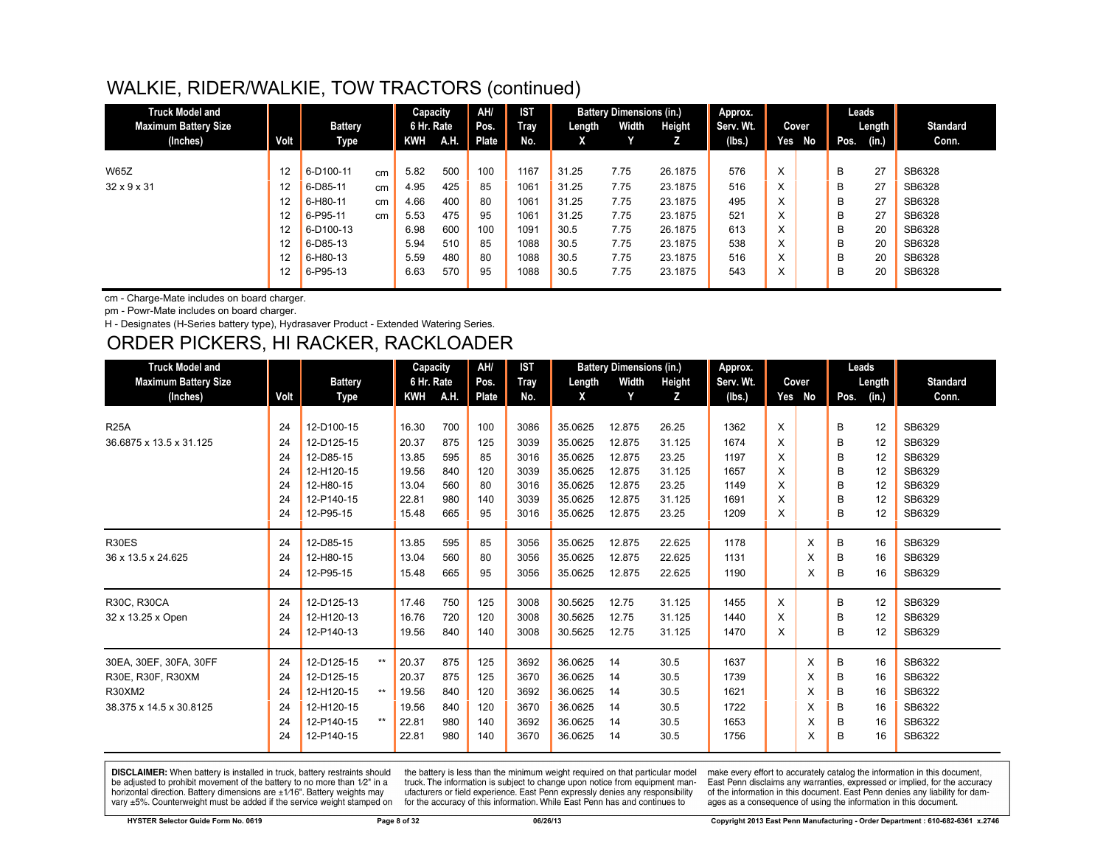| <b>Truck Model and</b>      |                   |                |    | Capacity   |      | AH/   | <b>IST</b> |        | <b>Battery Dimensions (in.)</b> |         | Approx.   |                   |        |      | Leads  |                 |
|-----------------------------|-------------------|----------------|----|------------|------|-------|------------|--------|---------------------------------|---------|-----------|-------------------|--------|------|--------|-----------------|
| <b>Maximum Battery Size</b> |                   | <b>Battery</b> |    | 6 Hr. Rate |      | Pos.  | Tray       | Length | Width                           | Height  | Serv. Wt. |                   | Cover  |      | Length | <b>Standard</b> |
| (Inches)                    | Volt              | Type           |    | KWH        | A.H. | Plate | No.        | X      | Y.                              |         | (lbs.)    |                   | Yes No | Pos. | (in.)  | Conn.           |
|                             |                   |                |    |            |      |       |            |        |                                 |         |           |                   |        |      |        |                 |
| <b>W65Z</b>                 | $12 \overline{ }$ | 6-D100-11      | cm | 5.82       | 500  | 100   | 1167       | 31.25  | 7.75                            | 26.1875 | 576       | X                 |        | B    | 27     | SB6328          |
| $32 \times 9 \times 31$     | $12 \overline{ }$ | 6-D85-11       | cm | 4.95       | 425  | 85    | 1061       | 31.25  | 7.75                            | 23.1875 | 516       | X                 |        | B    | 27     | SB6328          |
|                             | 12                | 6-H80-11       | cm | 4.66       | 400  | 80    | 1061       | 31.25  | 7.75                            | 23.1875 | 495       | $\checkmark$<br>ㅅ |        | В    | 27     | SB6328          |
|                             | 12                | 6-P95-11       | cm | 5.53       | 475  | 95    | 1061       | 31.25  | 7.75                            | 23.1875 | 521       | X                 |        | В    | 27     | SB6328          |
|                             | 12 <sup>2</sup>   | 6-D100-13      |    | 6.98       | 600  | 100   | 1091       | 30.5   | 7.75                            | 26.1875 | 613       | $\checkmark$<br>⋏ |        | B    | 20     | SB6328          |
|                             | 12                | 6-D85-13       |    | 5.94       | 510  | 85    | 1088       | 30.5   | 7.75                            | 23.1875 | 538       | X                 |        | В    | 20     | SB6328          |
|                             | 12                | 6-H80-13       |    | 5.59       | 480  | 80    | 1088       | 30.5   | 7.75                            | 23.1875 | 516       | $\checkmark$<br>ㅅ |        | B    | 20     | SB6328          |
|                             | 12                | 6-P95-13       |    | 6.63       | 570  | 95    | 1088       | 30.5   | 7.75                            | 23.1875 | 543       | X                 |        | В    | 20     | SB6328          |
|                             |                   |                |    |            |      |       |            |        |                                 |         |           |                   |        |      |        |                 |

cm - Charge-Mate includes on board charger.

pm - Powr-Mate includes on board charger.

H - Designates (H-Series battery type), Hydrasaver Product - Extended Watering Series.

#### ORDER PICKERS, HI RACKER, RACKLOADER

| <b>Truck Model and</b>      |      |                |       | Capacity   |      | AH/   | <b>IST</b>  |         | <b>Battery Dimensions (in.)</b> |        | Approx.   |   |        | Leads         |    |                 |
|-----------------------------|------|----------------|-------|------------|------|-------|-------------|---------|---------------------------------|--------|-----------|---|--------|---------------|----|-----------------|
| <b>Maximum Battery Size</b> |      | <b>Battery</b> |       | 6 Hr. Rate |      | Pos.  | <b>Tray</b> | Length  | Width                           | Height | Serv. Wt. |   | Cover  | Length        |    | <b>Standard</b> |
| (Inches)                    | Volt | Type           |       | KWH        | A.H. | Plate | No.         | X       | Y                               | Z      | (lbs.)    |   | Yes No | Pos.<br>(in.) |    | Conn.           |
|                             |      |                |       |            |      |       |             |         |                                 |        |           |   |        |               |    |                 |
| <b>R25A</b>                 | 24   | 12-D100-15     |       | 16.30      | 700  | 100   | 3086        | 35.0625 | 12.875                          | 26.25  | 1362      | X |        | B             | 12 | SB6329          |
| 36.6875 x 13.5 x 31.125     | 24   | 12-D125-15     |       | 20.37      | 875  | 125   | 3039        | 35.0625 | 12.875                          | 31.125 | 1674      | X |        | B             | 12 | SB6329          |
|                             | 24   | 12-D85-15      |       | 13.85      | 595  | 85    | 3016        | 35.0625 | 12.875                          | 23.25  | 1197      | Χ |        | B             | 12 | SB6329          |
|                             | 24   | 12-H120-15     |       | 19.56      | 840  | 120   | 3039        | 35.0625 | 12.875                          | 31.125 | 1657      | X |        | B             | 12 | SB6329          |
|                             | 24   | 12-H80-15      |       | 13.04      | 560  | 80    | 3016        | 35.0625 | 12.875                          | 23.25  | 1149      | X |        | B             | 12 | SB6329          |
|                             | 24   | 12-P140-15     |       | 22.81      | 980  | 140   | 3039        | 35.0625 | 12.875                          | 31.125 | 1691      | X |        | B             | 12 | SB6329          |
|                             | 24   | 12-P95-15      |       | 15.48      | 665  | 95    | 3016        | 35.0625 | 12.875                          | 23.25  | 1209      | X |        | в             | 12 | SB6329          |
| R30ES                       | 24   | 12-D85-15      |       | 13.85      | 595  | 85    | 3056        | 35.0625 | 12.875                          | 22.625 | 1178      |   | X      | B             | 16 | SB6329          |
| 36 x 13.5 x 24.625          | 24   | 12-H80-15      |       | 13.04      | 560  | 80    | 3056        | 35.0625 | 12.875                          | 22.625 | 1131      |   | X      | B             | 16 | SB6329          |
|                             | 24   | 12-P95-15      |       | 15.48      | 665  | 95    | 3056        | 35.0625 | 12.875                          | 22.625 | 1190      |   | X      | B             | 16 | SB6329          |
| R30C, R30CA                 | 24   | 12-D125-13     |       | 17.46      | 750  | 125   | 3008        | 30.5625 | 12.75                           | 31.125 | 1455      | X |        | B             | 12 | SB6329          |
| 32 x 13.25 x Open           | 24   | 12-H120-13     |       | 16.76      | 720  | 120   | 3008        | 30.5625 | 12.75                           | 31.125 | 1440      | X |        | B             | 12 | SB6329          |
|                             | 24   | 12-P140-13     |       | 19.56      | 840  | 140   | 3008        | 30.5625 | 12.75                           | 31.125 | 1470      | X |        | B             | 12 | SB6329          |
| 30EA, 30EF, 30FA, 30FF      | 24   | 12-D125-15     | $***$ | 20.37      | 875  | 125   | 3692        | 36.0625 | 14                              | 30.5   | 1637      |   | X      | B             | 16 | SB6322          |
| R30E, R30F, R30XM           | 24   | 12-D125-15     |       | 20.37      | 875  | 125   | 3670        | 36.0625 | 14                              | 30.5   | 1739      |   | X      | в             | 16 | SB6322          |
| R30XM2                      | 24   | 12-H120-15     | $***$ | 19.56      | 840  | 120   | 3692        | 36.0625 | 14                              | 30.5   | 1621      |   | X      | B             | 16 | SB6322          |
| 38.375 x 14.5 x 30.8125     | 24   | 12-H120-15     |       | 19.56      | 840  | 120   | 3670        | 36.0625 | 14                              | 30.5   | 1722      |   | X      | B             | 16 | SB6322          |
|                             | 24   | 12-P140-15     | $***$ | 22.81      | 980  | 140   | 3692        | 36.0625 | 14                              | 30.5   | 1653      |   | X      | B             | 16 | SB6322          |
|                             | 24   | 12-P140-15     |       | 22.81      | 980  | 140   | 3670        | 36.0625 | 14                              | 30.5   | 1756      |   | X      | В             | 16 | SB6322          |

DISCLAIMER: When battery is installed in truck, battery restraints should be adjusted to prohibit movement of the battery to no more than 1/2" in a horizontal direction. Battery dimensions are  $\pm 1/16$ ". Battery weights may vary ±5%. Counterweight must be added if the service weight stamped on

the battery is less than the minimum weight required on that particular model truck. The information is subject to change upon notice from equipment manufacturers or field experience. East Penn expressly denies any responsibility for the accuracy of this information. While East Penn has and continues to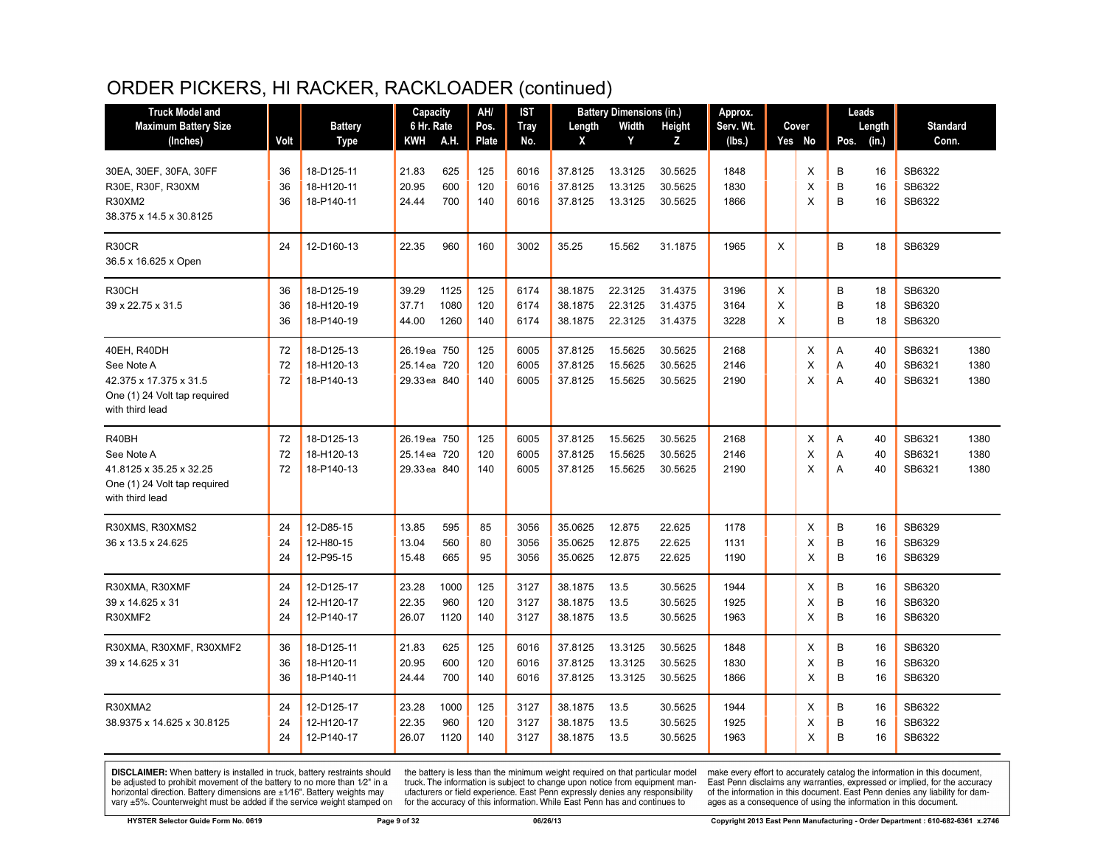# ORDER PICKERS, HI RACKER, RACKLOADER (continued)

| <b>Truck Model and</b>                          |          |                        | Capacity       |            | AH/      | IST          |                    | <b>Battery Dimensions (in.)</b> |                  | Approx.      |   |        |        | Leads    |                  |      |
|-------------------------------------------------|----------|------------------------|----------------|------------|----------|--------------|--------------------|---------------------------------|------------------|--------------|---|--------|--------|----------|------------------|------|
| <b>Maximum Battery Size</b>                     |          | <b>Battery</b>         | 6 Hr. Rate     |            | Pos.     | <b>Tray</b>  | Length             | Width                           | <b>Height</b>    | Serv. Wt.    |   | Cover  |        | Length   | <b>Standard</b>  |      |
| (Inches)                                        | Volt     | <b>Type</b>            | KWH            | A.H.       | Plate    | No.          | X                  | Y                               | Z                | (lbs.)       |   | Yes No | Pos.   | (in.)    | Conn.            |      |
| 30EA, 30EF, 30FA, 30FF                          | 36       | 18-D125-11             | 21.83          | 625        | 125      | 6016         | 37.8125            | 13.3125                         | 30.5625          | 1848         |   | X      | В      | 16       | SB6322           |      |
| R30E, R30F, R30XM                               | 36       | 18-H120-11             | 20.95          | 600        | 120      | 6016         | 37.8125            | 13.3125                         | 30.5625          | 1830         |   | X      | B      | 16       | SB6322           |      |
| R30XM2                                          | 36       | 18-P140-11             | 24.44          | 700        | 140      | 6016         | 37.8125            | 13.3125                         | 30.5625          | 1866         |   | X      | B      | 16       | SB6322           |      |
| 38.375 x 14.5 x 30.8125                         |          |                        |                |            |          |              |                    |                                 |                  |              |   |        |        |          |                  |      |
| R30CR                                           | 24       | 12-D160-13             | 22.35          | 960        | 160      | 3002         | 35.25              | 15.562                          | 31.1875          | 1965         | X |        | B      | 18       | SB6329           |      |
| 36.5 x 16.625 x Open                            |          |                        |                |            |          |              |                    |                                 |                  |              |   |        |        |          |                  |      |
| R30CH                                           | 36       | 18-D125-19             | 39.29          | 1125       | 125      | 6174         | 38.1875            | 22.3125                         | 31.4375          | 3196         | X |        | B      | 18       | SB6320           |      |
| 39 x 22.75 x 31.5                               | 36       | 18-H120-19             | 37.71          | 1080       | 120      | 6174         | 38.1875            | 22.3125                         | 31.4375          | 3164         | X |        | B      | 18       | SB6320           |      |
|                                                 | 36       | 18-P140-19             | 44.00          | 1260       | 140      | 6174         | 38.1875            | 22.3125                         | 31.4375          | 3228         | X |        | B      | 18       | SB6320           |      |
| 40EH, R40DH                                     | 72       | 18-D125-13             | 26.19ea 750    |            | 125      | 6005         | 37.8125            | 15.5625                         | 30.5625          | 2168         |   | Х      | Α      | 40       | SB6321           | 1380 |
| See Note A                                      | 72       | 18-H120-13             | 25.14 ea 720   |            | 120      | 6005         | 37.8125            | 15.5625                         | 30.5625          | 2146         |   | X      | A      | 40       | SB6321           | 1380 |
| 42.375 x 17.375 x 31.5                          | 72       | 18-P140-13             | 29.33 ea 840   |            | 140      | 6005         | 37.8125            | 15.5625                         | 30.5625          | 2190         |   | X      | A      | 40       | SB6321           | 1380 |
| One (1) 24 Volt tap required<br>with third lead |          |                        |                |            |          |              |                    |                                 |                  |              |   |        |        |          |                  |      |
| R40BH                                           | 72       | 18-D125-13             | 26.19ea 750    |            | 125      | 6005         | 37.8125            | 15.5625                         | 30.5625          | 2168         |   | Х      | A      | 40       | SB6321           | 1380 |
| See Note A                                      | 72       | 18-H120-13             | 25.14 ea 720   |            | 120      | 6005         | 37.8125            | 15.5625                         | 30.5625          | 2146         |   | X      | A      | 40       | SB6321           | 1380 |
| 41.8125 x 35.25 x 32.25                         | 72       | 18-P140-13             | 29.33 ea 840   |            | 140      | 6005         | 37.8125            | 15.5625                         | 30.5625          | 2190         |   | X      | A      | 40       | SB6321           | 1380 |
| One (1) 24 Volt tap required<br>with third lead |          |                        |                |            |          |              |                    |                                 |                  |              |   |        |        |          |                  |      |
|                                                 |          |                        |                |            |          |              |                    |                                 |                  |              |   |        |        |          |                  |      |
| R30XMS, R30XMS2                                 | 24       | 12-D85-15              | 13.85          | 595        | 85       | 3056         | 35.0625            | 12.875                          | 22.625           | 1178         |   | X      | B<br>B | 16       | SB6329<br>SB6329 |      |
| 36 x 13.5 x 24.625                              | 24<br>24 | 12-H80-15<br>12-P95-15 | 13.04<br>15.48 | 560<br>665 | 80<br>95 | 3056<br>3056 | 35.0625<br>35.0625 | 12.875<br>12.875                | 22.625<br>22.625 | 1131<br>1190 |   | X<br>X | B      | 16<br>16 | SB6329           |      |
|                                                 |          |                        |                |            |          |              |                    |                                 |                  |              |   |        |        |          |                  |      |
| R30XMA, R30XMF                                  | 24       | 12-D125-17             | 23.28          | 1000       | 125      | 3127         | 38.1875            | 13.5                            | 30.5625          | 1944         |   | X      | B      | 16       | SB6320           |      |
| 39 x 14.625 x 31                                | 24       | 12-H120-17             | 22.35          | 960        | 120      | 3127         | 38.1875            | 13.5                            | 30.5625          | 1925         |   | X      | B      | 16       | SB6320           |      |
| R30XMF2                                         | 24       | 12-P140-17             | 26.07          | 1120       | 140      | 3127         | 38.1875            | 13.5                            | 30.5625          | 1963         |   | X      | B      | 16       | SB6320           |      |
| R30XMA, R30XMF, R30XMF2                         | 36       | 18-D125-11             | 21.83          | 625        | 125      | 6016         | 37.8125            | 13.3125                         | 30.5625          | 1848         |   | X      | B      | 16       | SB6320           |      |
| 39 x 14.625 x 31                                | 36       | 18-H120-11             | 20.95          | 600        | 120      | 6016         | 37.8125            | 13.3125                         | 30.5625          | 1830         |   | X      | B      | 16       | SB6320           |      |
|                                                 | 36       | 18-P140-11             | 24.44          | 700        | 140      | 6016         | 37.8125            | 13.3125                         | 30.5625          | 1866         |   | X      | B      | 16       | SB6320           |      |
| R30XMA2                                         | 24       | 12-D125-17             | 23.28          | 1000       | 125      | 3127         | 38.1875            | 13.5                            | 30.5625          | 1944         |   | X      | B      | 16       | SB6322           |      |
| 38.9375 x 14.625 x 30.8125                      | 24       | 12-H120-17             | 22.35          | 960        | 120      | 3127         | 38.1875            | 13.5                            | 30.5625          | 1925         |   | X      | B      | 16       | SB6322           |      |
|                                                 | 24       | 12-P140-17             | 26.07          | 1120       | 140      | 3127         | 38.1875            | 13.5                            | 30.5625          | 1963         |   | X      | B      | 16       | SB6322           |      |

**DISCLAIMER:** When battery is installed in truck, battery restraints should be adjusted to prohibit movement of the battery to no more than  $1/2$ " in a horizontal direction. Battery dimensions are  $\pm 1/16$ ". Battery weig

the battery is less than the minimum weight required on that particular model<br>truck. The information is subject to change upon notice from equipment manufacturers or field experience. East Penn expressly denies any responsibility for the accuracy of this information. While East Penn has and continues to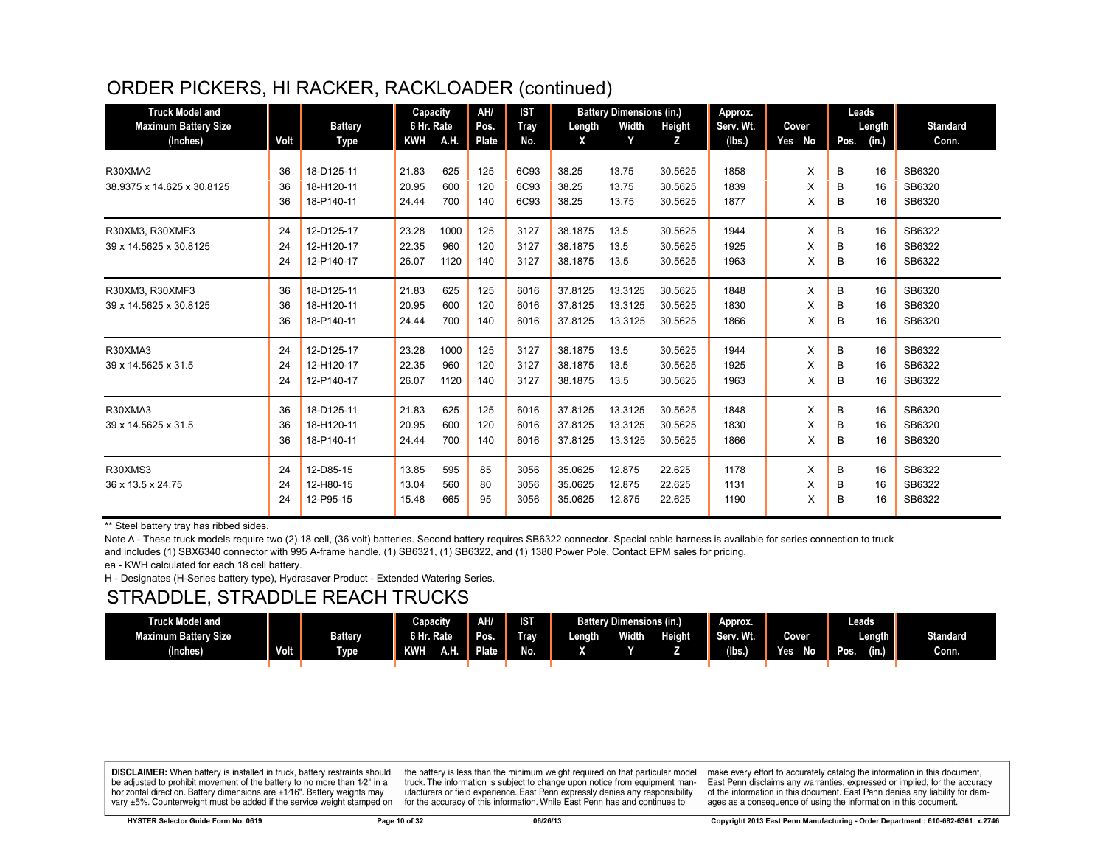# ORDER PICKERS, HI RACKER, RACKLOADER (continued)

| <b>Truck Model and</b><br><b>Maximum Battery Size</b><br>(Inches) | Volt           | <b>Battery</b><br>Type                 | Capacity<br>6 Hr. Rate<br><b>KWH</b> | A.H.                | AH/<br>Pos.<br><b>Plate</b> | <b>IST</b><br><b>Tray</b><br>No. | Length<br>X                   | <b>Battery Dimensions (in.)</b><br>Width<br>Y | Height<br>Z.                  | Approx.<br>Serv. Wt.<br>(lbs.) | Cover<br>Yes No | Leads<br>Pos. | Length<br>(in.) | <b>Standard</b><br>Conn.   |
|-------------------------------------------------------------------|----------------|----------------------------------------|--------------------------------------|---------------------|-----------------------------|----------------------------------|-------------------------------|-----------------------------------------------|-------------------------------|--------------------------------|-----------------|---------------|-----------------|----------------------------|
| R30XMA2<br>38.9375 x 14.625 x 30.8125                             | 36<br>36<br>36 | 18-D125-11<br>18-H120-11<br>18-P140-11 | 21.83<br>20.95<br>24.44              | 625<br>600<br>700   | 125<br>120<br>140           | 6C93<br>6C93<br>6C93             | 38.25<br>38.25<br>38.25       | 13.75<br>13.75<br>13.75                       | 30.5625<br>30.5625<br>30.5625 | 1858<br>1839<br>1877           | X<br>X<br>X     | B<br>B<br>В   | 16<br>16<br>16  | SB6320<br>SB6320<br>SB6320 |
| R30XM3, R30XMF3<br>39 x 14.5625 x 30.8125                         | 24<br>24<br>24 | 12-D125-17<br>12-H120-17<br>12-P140-17 | 23.28<br>22.35<br>26.07              | 1000<br>960<br>1120 | 125<br>120<br>140           | 3127<br>3127<br>3127             | 38.1875<br>38.1875<br>38.1875 | 13.5<br>13.5<br>13.5                          | 30.5625<br>30.5625<br>30.5625 | 1944<br>1925<br>1963           | X<br>X<br>X     | B<br>B<br>В   | 16<br>16<br>16  | SB6322<br>SB6322<br>SB6322 |
| R30XM3, R30XMF3<br>39 x 14.5625 x 30.8125                         | 36<br>36<br>36 | 18-D125-11<br>18-H120-11<br>18-P140-11 | 21.83<br>20.95<br>24.44              | 625<br>600<br>700   | 125<br>120<br>140           | 6016<br>6016<br>6016             | 37.8125<br>37.8125<br>37.8125 | 13.3125<br>13.3125<br>13.3125                 | 30.5625<br>30.5625<br>30.5625 | 1848<br>1830<br>1866           | X<br>X<br>X     | B<br>B<br>В   | 16<br>16<br>16  | SB6320<br>SB6320<br>SB6320 |
| R30XMA3<br>39 x 14.5625 x 31.5                                    | 24<br>24<br>24 | 12-D125-17<br>12-H120-17<br>12-P140-17 | 23.28<br>22.35<br>26.07              | 1000<br>960<br>1120 | 125<br>120<br>140           | 3127<br>3127<br>3127             | 38.1875<br>38.1875<br>38.1875 | 13.5<br>13.5<br>13.5                          | 30.5625<br>30.5625<br>30.5625 | 1944<br>1925<br>1963           | X<br>X<br>х     | B<br>B<br>B   | 16<br>16<br>16  | SB6322<br>SB6322<br>SB6322 |
| R30XMA3<br>39 x 14.5625 x 31.5                                    | 36<br>36<br>36 | 18-D125-11<br>18-H120-11<br>18-P140-11 | 21.83<br>20.95<br>24.44              | 625<br>600<br>700   | 125<br>120<br>140           | 6016<br>6016<br>6016             | 37.8125<br>37.8125<br>37.8125 | 13.3125<br>13.3125<br>13.3125                 | 30.5625<br>30.5625<br>30.5625 | 1848<br>1830<br>1866           | X<br>X<br>X     | B<br>B<br>В   | 16<br>16<br>16  | SB6320<br>SB6320<br>SB6320 |
| R30XMS3<br>36 x 13.5 x 24.75                                      | 24<br>24<br>24 | 12-D85-15<br>12-H80-15<br>12-P95-15    | 13.85<br>13.04<br>15.48              | 595<br>560<br>665   | 85<br>80<br>95              | 3056<br>3056<br>3056             | 35.0625<br>35.0625<br>35.0625 | 12.875<br>12.875<br>12.875                    | 22.625<br>22.625<br>22.625    | 1178<br>1131<br>1190           | X<br>X<br>X     | B<br>B<br>B   | 16<br>16<br>16  | SB6322<br>SB6322<br>SB6322 |

\*\* Steel battery tray has ribbed sides.

Note A - These truck models require two (2) 18 cell, (36 volt) batteries. Second battery requires SB6322 connector. Special cable harness is available for series connection to truck

and includes (1) SBX6340 connector with 995 A-frame handle, (1) SB6321, (1) SB6322, and (1) 1380 Power Pole. Contact EPM sales for pricing.

ea - KWH calculated for each 18 cell battery.

H - Designates (H-Series battery type), Hydrasaver Product - Extended Watering Series.

#### STRADDLE, STRADDLE REACH TRUCKS

| Truck Model and             |             |                | Capacity   | AH/          | IST  |        | <b>Battery Dimensions (in.)</b> |               | Approx.   |                   | Leads i       |                 |
|-----------------------------|-------------|----------------|------------|--------------|------|--------|---------------------------------|---------------|-----------|-------------------|---------------|-----------------|
| <b>Maximum Battery Size</b> |             | <b>Battery</b> | 6 Hr. Rate | Pos.         | Trav | Length | <b>Width</b>                    | <b>Height</b> | Serv. Wt. | Cover             | Length        | <b>Standard</b> |
| (Inches)                    | <b>Volt</b> | <b>Type</b>    | KWH<br>A.N | <b>Plate</b> | No.  |        |                                 |               | (lbs.)    | Yes.<br><b>No</b> | (in.)<br>Pos. | Conn.           |
|                             |             |                |            |              |      |        |                                 |               |           |                   |               |                 |

**DISCLAIMER:** When battery is installed in truck, battery restraints should be adjusted to prohibit movement of the battery to no more than 1/2" in a horizontal direction. Battery dimensions are  $\pm 1/16$ ". Battery weights may vary ±5%. Counterweight must be added if the service weight stamped on

the battery is less than the minimum weight required on that particular model truck. The information is subject to change upon notice from equipment manufacturers or field experience. East Penn expressly denies any responsibility for the accuracy of this information. While East Penn has and continues to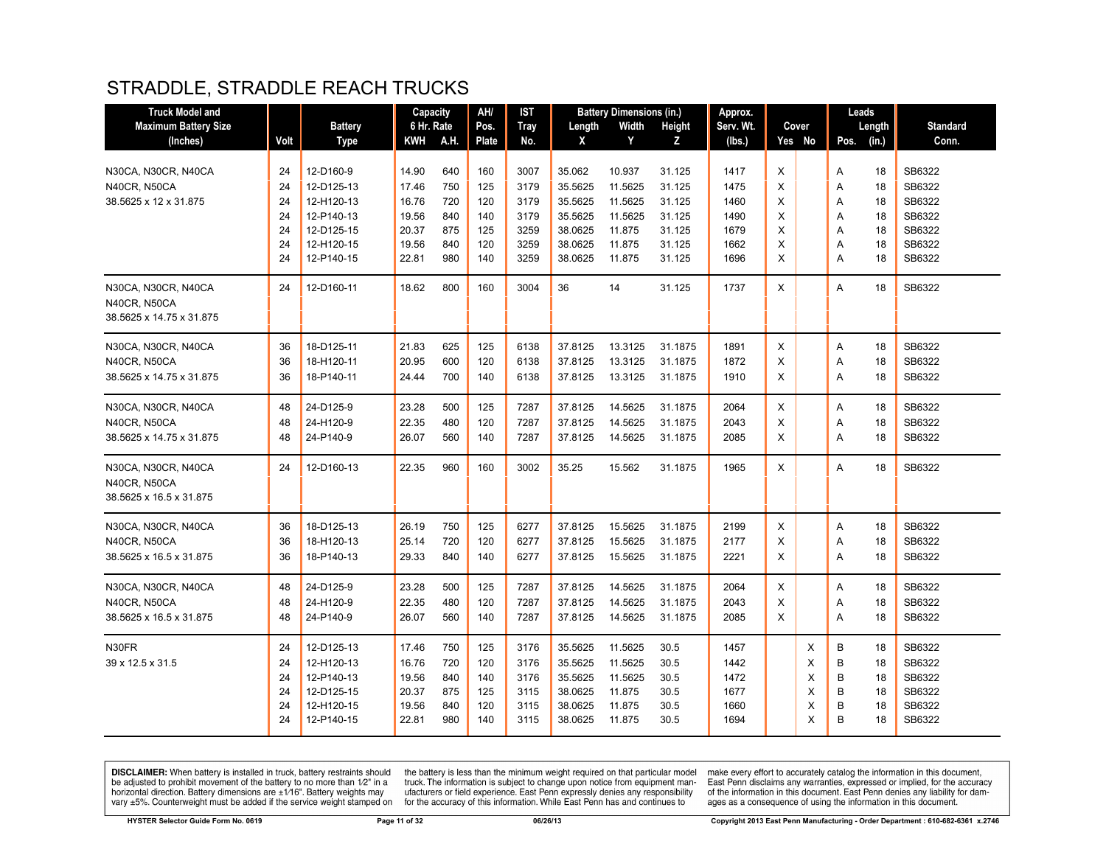#### STRADDLE, STRADDLE REACH TRUCKS

| <b>Truck Model and</b>      |      |                | Capacity   |      | AH/   | IST         |         | <b>Battery Dimensions (in.)</b> |         | Approx.   |   |        | Leads         |                 |
|-----------------------------|------|----------------|------------|------|-------|-------------|---------|---------------------------------|---------|-----------|---|--------|---------------|-----------------|
| <b>Maximum Battery Size</b> |      | <b>Battery</b> | 6 Hr. Rate |      | Pos.  | <b>Tray</b> | Length  | Width                           | Height  | Serv. Wt. |   | Cover  | Length        | <b>Standard</b> |
| (Inches)                    | Volt | <b>Type</b>    | KWH        | A.H. | Plate | No.         | X       | Y                               | z       | (lbs.)    |   | Yes No | (in.)<br>Pos. | Conn.           |
|                             |      |                |            |      |       |             |         |                                 |         |           |   |        |               |                 |
| N30CA, N30CR, N40CA         | 24   | 12-D160-9      | 14.90      | 640  | 160   | 3007        | 35.062  | 10.937                          | 31.125  | 1417      | X |        | A<br>18       | SB6322          |
| N40CR, N50CA                | 24   | 12-D125-13     | 17.46      | 750  | 125   | 3179        | 35.5625 | 11.5625                         | 31.125  | 1475      | X |        | 18<br>Α       | SB6322          |
| 38.5625 x 12 x 31.875       | 24   | 12-H120-13     | 16.76      | 720  | 120   | 3179        | 35.5625 | 11.5625                         | 31.125  | 1460      | X |        | 18<br>Α       | SB6322          |
|                             | 24   | 12-P140-13     | 19.56      | 840  | 140   | 3179        | 35.5625 | 11.5625                         | 31.125  | 1490      | X |        | A<br>18       | SB6322          |
|                             | 24   | 12-D125-15     | 20.37      | 875  | 125   | 3259        | 38.0625 | 11.875                          | 31.125  | 1679      | X |        | Α<br>18       | SB6322          |
|                             | 24   | 12-H120-15     | 19.56      | 840  | 120   | 3259        | 38.0625 | 11.875                          | 31.125  | 1662      | X |        | 18<br>Α       | SB6322          |
|                             | 24   | 12-P140-15     | 22.81      | 980  | 140   | 3259        | 38.0625 | 11.875                          | 31.125  | 1696      | X |        | A<br>18       | SB6322          |
| N30CA, N30CR, N40CA         | 24   | 12-D160-11     | 18.62      | 800  | 160   | 3004        | 36      | 14                              | 31.125  | 1737      | X |        | A<br>18       | SB6322          |
| <b>N40CR, N50CA</b>         |      |                |            |      |       |             |         |                                 |         |           |   |        |               |                 |
| 38.5625 x 14.75 x 31.875    |      |                |            |      |       |             |         |                                 |         |           |   |        |               |                 |
| N30CA, N30CR, N40CA         | 36   | 18-D125-11     | 21.83      | 625  | 125   | 6138        | 37.8125 | 13.3125                         | 31.1875 | 1891      | Χ |        | 18<br>Α       | SB6322          |
| <b>N40CR, N50CA</b>         | 36   | 18-H120-11     | 20.95      | 600  | 120   | 6138        | 37.8125 | 13.3125                         | 31.1875 | 1872      | X |        | 18<br>Α       | SB6322          |
| 38.5625 x 14.75 x 31.875    | 36   | 18-P140-11     | 24.44      | 700  | 140   | 6138        | 37.8125 | 13.3125                         | 31.1875 | 1910      | X |        | A<br>18       | SB6322          |
| N30CA, N30CR, N40CA         | 48   | 24-D125-9      | 23.28      | 500  | 125   | 7287        | 37.8125 | 14.5625                         | 31.1875 | 2064      | X |        | 18<br>A       | SB6322          |
| <b>N40CR, N50CA</b>         | 48   | 24-H120-9      | 22.35      | 480  | 120   | 7287        | 37.8125 | 14.5625                         | 31.1875 | 2043      | X |        | 18<br>Α       | SB6322          |
| 38.5625 x 14.75 x 31.875    | 48   | 24-P140-9      | 26.07      | 560  | 140   | 7287        | 37.8125 | 14.5625                         | 31.1875 | 2085      | X |        | Α<br>18       | SB6322          |
|                             |      |                |            |      |       |             |         |                                 |         |           |   |        |               |                 |
| N30CA, N30CR, N40CA         | 24   | 12-D160-13     | 22.35      | 960  | 160   | 3002        | 35.25   | 15.562                          | 31.1875 | 1965      | X |        | A<br>18       | SB6322          |
| N40CR, N50CA                |      |                |            |      |       |             |         |                                 |         |           |   |        |               |                 |
| 38.5625 x 16.5 x 31.875     |      |                |            |      |       |             |         |                                 |         |           |   |        |               |                 |
| N30CA, N30CR, N40CA         | 36   | 18-D125-13     | 26.19      | 750  | 125   | 6277        | 37.8125 | 15.5625                         | 31.1875 | 2199      | X |        | Α<br>18       | SB6322          |
| N40CR, N50CA                | 36   | 18-H120-13     | 25.14      | 720  | 120   | 6277        | 37.8125 | 15.5625                         | 31.1875 | 2177      | X |        | 18<br>Α       | SB6322          |
| 38.5625 x 16.5 x 31.875     | 36   | 18-P140-13     | 29.33      | 840  | 140   | 6277        | 37.8125 | 15.5625                         | 31.1875 | 2221      | X |        | A<br>18       | SB6322          |
| N30CA, N30CR, N40CA         | 48   | 24-D125-9      | 23.28      | 500  | 125   | 7287        | 37.8125 | 14.5625                         | 31.1875 | 2064      | X |        | A<br>18       | SB6322          |
| <b>N40CR, N50CA</b>         | 48   | 24-H120-9      | 22.35      | 480  | 120   | 7287        | 37.8125 | 14.5625                         | 31.1875 | 2043      | X |        | 18<br>Α       | SB6322          |
| 38.5625 x 16.5 x 31.875     | 48   | 24-P140-9      | 26.07      | 560  | 140   | 7287        | 37.8125 | 14.5625                         | 31.1875 | 2085      | X |        | A<br>18       | SB6322          |
|                             |      |                |            |      |       |             |         |                                 |         |           |   |        |               |                 |
| N30FR                       | 24   | 12-D125-13     | 17.46      | 750  | 125   | 3176        | 35.5625 | 11.5625                         | 30.5    | 1457      |   | Χ      | В<br>18       | SB6322          |
| 39 x 12.5 x 31.5            | 24   | 12-H120-13     | 16.76      | 720  | 120   | 3176        | 35.5625 | 11.5625                         | 30.5    | 1442      |   | X      | В<br>18       | SB6322          |
|                             | 24   | 12-P140-13     | 19.56      | 840  | 140   | 3176        | 35.5625 | 11.5625                         | 30.5    | 1472      |   | X      | B<br>18       | SB6322          |
|                             | 24   | 12-D125-15     | 20.37      | 875  | 125   | 3115        | 38.0625 | 11.875                          | 30.5    | 1677      |   | X      | B<br>18       | SB6322          |
|                             | 24   | 12-H120-15     | 19.56      | 840  | 120   | 3115        | 38.0625 | 11.875                          | 30.5    | 1660      |   | X      | B<br>18       | SB6322          |
|                             | 24   | 12-P140-15     | 22.81      | 980  | 140   | 3115        | 38.0625 | 11.875                          | 30.5    | 1694      |   | X      | B<br>18       | SB6322          |

**DISCLAIMER:** When battery is installed in truck, battery restraints should be adjusted to prohibit movement of the battery to no more than  $1/2$ " in a horizontal direction. Battery dimensions are  $\pm 1/16$ ". Battery weig

the battery is less than the minimum weight required on that particular model<br>truck. The information is subject to change upon notice from equipment man-<br>ufacturers or field experience. East Penn expressly denies any respo for the accuracy of this information. While East Penn has and continues to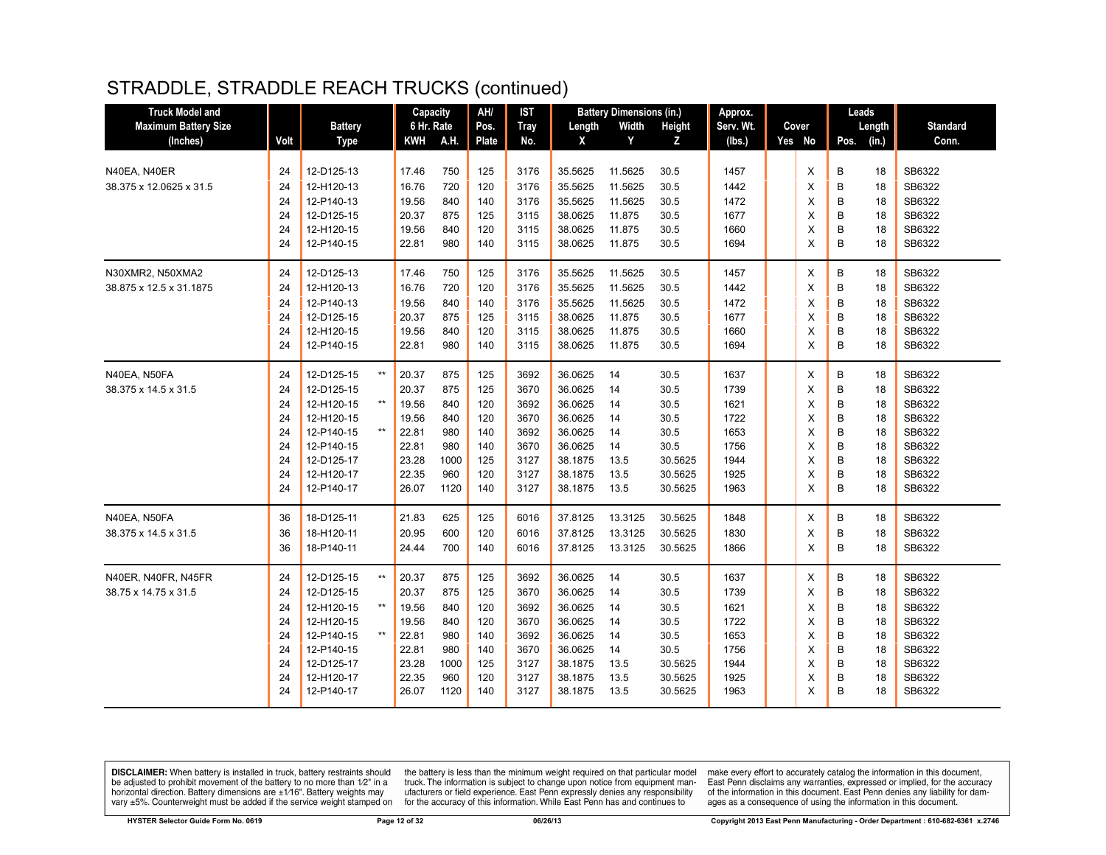| <b>Truck Model and</b>      |      |                |                 | Capacity   |      | AH/   | <b>IST</b>  |         | <b>Battery Dimensions (in.)</b> |         | Approx.   |        |      | Leads  |                 |
|-----------------------------|------|----------------|-----------------|------------|------|-------|-------------|---------|---------------------------------|---------|-----------|--------|------|--------|-----------------|
| <b>Maximum Battery Size</b> |      | <b>Battery</b> |                 | 6 Hr. Rate |      | Pos.  | <b>Tray</b> | Length  | Width                           | Height  | Serv. Wt. | Cover  |      | Length | <b>Standard</b> |
| (Inches)                    | Volt | <b>Type</b>    |                 | KWH        | A.H. | Plate | No.         | X       | Y                               | z       | (lbs.)    | Yes No | Pos. | (in.)  | Conn.           |
|                             |      |                |                 |            |      |       |             |         |                                 |         |           |        |      |        |                 |
| N40EA, N40ER                | 24   | 12-D125-13     |                 | 17.46      | 750  | 125   | 3176        | 35.5625 | 11.5625                         | 30.5    | 1457      | X      | B    | 18     | SB6322          |
| 38.375 x 12.0625 x 31.5     | 24   | 12-H120-13     |                 | 16.76      | 720  | 120   | 3176        | 35.5625 | 11.5625                         | 30.5    | 1442      | X      | B    | 18     | SB6322          |
|                             | 24   | 12-P140-13     |                 | 19.56      | 840  | 140   | 3176        | 35.5625 | 11.5625                         | 30.5    | 1472      | X      | B    | 18     | SB6322          |
|                             | 24   | 12-D125-15     |                 | 20.37      | 875  | 125   | 3115        | 38.0625 | 11.875                          | 30.5    | 1677      | X      | B    | 18     | SB6322          |
|                             | 24   | 12-H120-15     |                 | 19.56      | 840  | 120   | 3115        | 38.0625 | 11.875                          | 30.5    | 1660      | X      | B    | 18     | SB6322          |
|                             | 24   | 12-P140-15     |                 | 22.81      | 980  | 140   | 3115        | 38.0625 | 11.875                          | 30.5    | 1694      | X      | B    | 18     | SB6322          |
| N30XMR2, N50XMA2            | 24   | 12-D125-13     |                 | 17.46      | 750  | 125   | 3176        | 35.5625 | 11.5625                         | 30.5    | 1457      | X      | B    | 18     | SB6322          |
| 38.875 x 12.5 x 31.1875     | 24   | 12-H120-13     |                 | 16.76      | 720  | 120   | 3176        | 35.5625 | 11.5625                         | 30.5    | 1442      | X      | B    | 18     | SB6322          |
|                             | 24   | 12-P140-13     |                 | 19.56      | 840  | 140   | 3176        | 35.5625 | 11.5625                         | 30.5    | 1472      | X      | B    | 18     | SB6322          |
|                             | 24   | 12-D125-15     |                 | 20.37      | 875  | 125   | 3115        | 38.0625 | 11.875                          | 30.5    | 1677      | X      | B    | 18     | SB6322          |
|                             | 24   | 12-H120-15     |                 | 19.56      | 840  | 120   | 3115        | 38.0625 | 11.875                          | 30.5    | 1660      | X      | B    | 18     | SB6322          |
|                             | 24   | 12-P140-15     |                 | 22.81      | 980  | 140   | 3115        | 38.0625 | 11.875                          | 30.5    | 1694      | X      | B    | 18     | SB6322          |
| N40EA, N50FA                | 24   | 12-D125-15     | $^{\star\star}$ | 20.37      | 875  | 125   | 3692        | 36.0625 | 14                              | 30.5    | 1637      | X      | B    | 18     | SB6322          |
| 38.375 x 14.5 x 31.5        | 24   | 12-D125-15     |                 | 20.37      | 875  | 125   | 3670        | 36.0625 | 14                              | 30.5    | 1739      | X      | B    | 18     | SB6322          |
|                             | 24   | 12-H120-15     | $^{\star\star}$ | 19.56      | 840  | 120   | 3692        | 36.0625 | 14                              | 30.5    | 1621      | X      | B    | 18     | SB6322          |
|                             | 24   | 12-H120-15     |                 | 19.56      | 840  | 120   | 3670        | 36.0625 | 14                              | 30.5    | 1722      | X      | B    | 18     | SB6322          |
|                             | 24   | 12-P140-15     | $^{\star\star}$ | 22.81      | 980  | 140   | 3692        | 36.0625 | 14                              | 30.5    | 1653      | X      | B    | 18     | SB6322          |
|                             | 24   | 12-P140-15     |                 | 22.81      | 980  | 140   | 3670        | 36.0625 | 14                              | 30.5    | 1756      | X      | B    | 18     | SB6322          |
|                             | 24   | 12-D125-17     |                 | 23.28      | 1000 | 125   | 3127        | 38.1875 | 13.5                            | 30.5625 | 1944      | X      | B    | 18     | SB6322          |
|                             | 24   | 12-H120-17     |                 | 22.35      | 960  | 120   | 3127        | 38.1875 | 13.5                            | 30.5625 | 1925      | X      | B    | 18     | SB6322          |
|                             | 24   | 12-P140-17     |                 | 26.07      | 1120 | 140   | 3127        | 38.1875 | 13.5                            | 30.5625 | 1963      | X      | B    | 18     | SB6322          |
| N40EA, N50FA                | 36   | 18-D125-11     |                 | 21.83      | 625  | 125   | 6016        | 37.8125 | 13.3125                         | 30.5625 | 1848      | X      | B    | 18     | SB6322          |
| 38.375 x 14.5 x 31.5        | 36   | 18-H120-11     |                 | 20.95      | 600  | 120   | 6016        | 37.8125 | 13.3125                         | 30.5625 | 1830      | X      | B    | 18     | SB6322          |
|                             | 36   | 18-P140-11     |                 | 24.44      | 700  | 140   | 6016        | 37.8125 | 13.3125                         | 30.5625 | 1866      | X      | B    | 18     | SB6322          |
| N40ER. N40FR. N45FR         | 24   | 12-D125-15     | $***$           | 20.37      | 875  | 125   | 3692        | 36.0625 | 14                              | 30.5    | 1637      | X      | B    | 18     | SB6322          |
| 38.75 x 14.75 x 31.5        | 24   | 12-D125-15     |                 | 20.37      | 875  | 125   | 3670        | 36.0625 | 14                              | 30.5    | 1739      | X      | B    | 18     | SB6322          |
|                             | 24   | 12-H120-15     | $^{\star\star}$ | 19.56      | 840  | 120   | 3692        | 36.0625 | 14                              | 30.5    | 1621      | X      | B    | 18     | SB6322          |
|                             | 24   | 12-H120-15     |                 | 19.56      | 840  | 120   | 3670        | 36.0625 | 14                              | 30.5    | 1722      | X      | B    | 18     | SB6322          |
|                             | 24   | 12-P140-15     | $^{\star\star}$ | 22.81      | 980  | 140   | 3692        | 36.0625 | 14                              | 30.5    | 1653      | X      | B    | 18     | SB6322          |
|                             | 24   | 12-P140-15     |                 | 22.81      | 980  | 140   | 3670        | 36.0625 | 14                              | 30.5    | 1756      | X      | B    | 18     | SB6322          |
|                             | 24   | 12-D125-17     |                 | 23.28      | 1000 | 125   | 3127        | 38.1875 | 13.5                            | 30.5625 | 1944      | X      | B    | 18     | SB6322          |
|                             | 24   | 12-H120-17     |                 | 22.35      | 960  | 120   | 3127        | 38.1875 | 13.5                            | 30.5625 | 1925      | X      | B    | 18     | SB6322          |
|                             | 24   | 12-P140-17     |                 | 26.07      | 1120 | 140   | 3127        | 38.1875 | 13.5                            | 30.5625 | 1963      | X      | B    | 18     | SB6322          |
|                             |      |                |                 |            |      |       |             |         |                                 |         |           |        |      |        |                 |

**DISCLAIMER:** When battery is installed in truck, battery restraints should be adjusted to prohibit movement of the battery to no more than  $1/2$ " in a horizontal direction. Battery dimensions are  $\pm 1/16$ ". Battery weig

the battery is less than the minimum weight required on that particular model<br>truck. The information is subject to change upon notice from equipment manufacturers or field experience. East Penn expressly denies any responsibility for the accuracy of this information. While East Penn has and continues to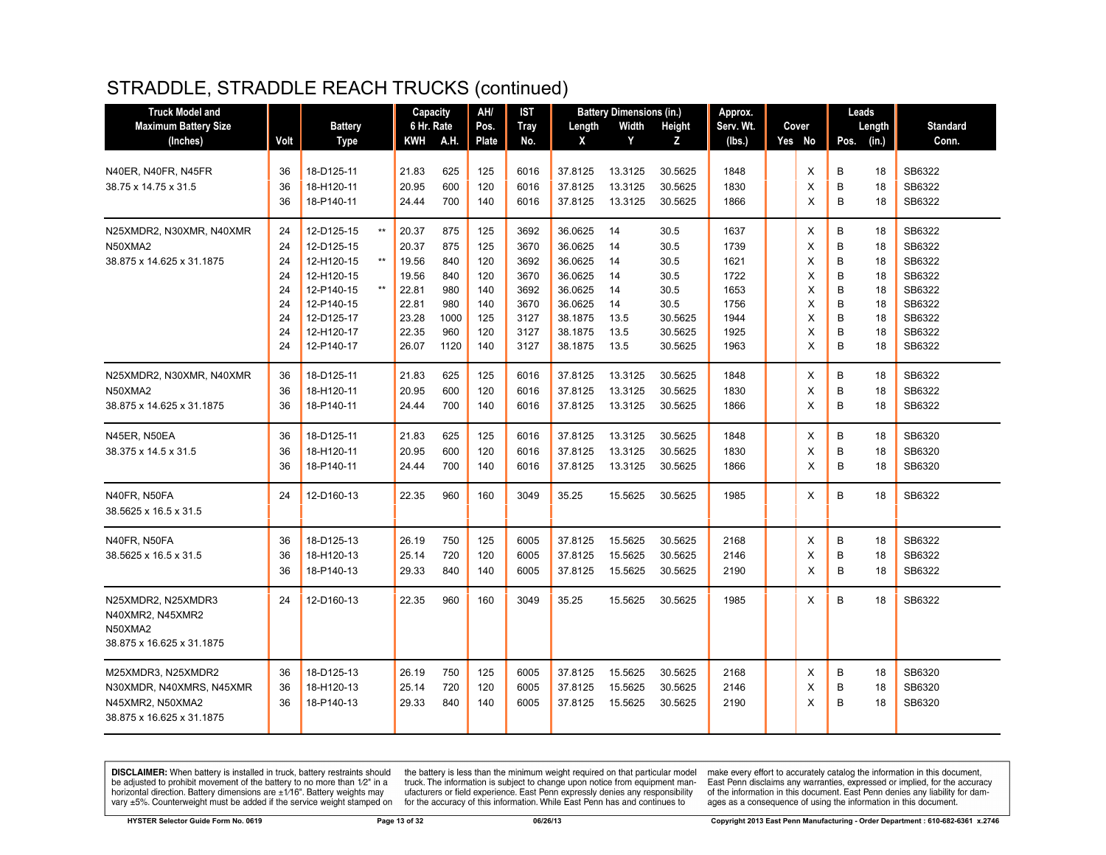| <b>Truck Model and</b>      |          |                               |                | Capacity   | AH/        | <b>IST</b>   |                    | <b>Battery Dimensions (in.)</b> |                    | Approx.      |        | Leads  |          |                  |
|-----------------------------|----------|-------------------------------|----------------|------------|------------|--------------|--------------------|---------------------------------|--------------------|--------------|--------|--------|----------|------------------|
| <b>Maximum Battery Size</b> |          | <b>Battery</b>                |                | 6 Hr. Rate | Pos.       | <b>Tray</b>  | Length             | Width                           | Height             | Serv. Wt.    | Cover  |        | Length   | <b>Standard</b>  |
| (Inches)                    | Volt     | <b>Type</b>                   | <b>KWH</b>     | A.H.       | Plate      | No.          | X                  | Y                               | z                  | (lbs.)       | Yes No | Pos.   | (in.)    | Conn.            |
| N40ER, N40FR, N45FR         | 36       | 18-D125-11                    | 21.83          | 625        | 125        | 6016         | 37.8125            | 13.3125                         | 30.5625            | 1848         | X      | B      | 18       | SB6322           |
| 38.75 x 14.75 x 31.5        | 36<br>36 | 18-H120-11<br>18-P140-11      | 20.95<br>24.44 | 600<br>700 | 120<br>140 | 6016<br>6016 | 37.8125<br>37.8125 | 13.3125<br>13.3125              | 30.5625<br>30.5625 | 1830<br>1866 | Х<br>X | B<br>B | 18<br>18 | SB6322<br>SB6322 |
|                             |          |                               |                |            |            |              |                    |                                 |                    |              |        |        |          |                  |
| N25XMDR2, N30XMR, N40XMR    | 24       | 12-D125-15<br>$^{\star\star}$ | 20.37          | 875        | 125        | 3692         | 36.0625            | 14                              | 30.5               | 1637         | Х      | B      | 18       | SB6322           |
| N50XMA2                     | 24       | 12-D125-15                    | 20.37          | 875        | 125        | 3670         | 36.0625            | 14                              | 30.5               | 1739         | X      | B      | 18       | SB6322           |
| 38.875 x 14.625 x 31.1875   | 24       | 12-H120-15<br>$^{\star\star}$ | 19.56          | 840        | 120        | 3692         | 36.0625            | 14                              | 30.5               | 1621         | X      | B      | 18       | SB6322           |
|                             | 24       | 12-H120-15                    | 19.56          | 840        | 120        | 3670         | 36.0625            | 14                              | 30.5               | 1722         | X      | B      | 18       | SB6322           |
|                             | 24       | 12-P140-15<br>$***$           | 22.81          | 980        | 140        | 3692         | 36.0625            | 14                              | 30.5               | 1653         | X      | B      | 18       | SB6322           |
|                             | 24       | 12-P140-15                    | 22.81          | 980        | 140        | 3670         | 36.0625            | 14                              | 30.5               | 1756         | X      | B      | 18       | SB6322           |
|                             | 24       | 12-D125-17                    | 23.28          | 1000       | 125        | 3127         | 38.1875            | 13.5                            | 30.5625            | 1944         | X      | B      | 18       | SB6322           |
|                             | 24       | 12-H120-17                    | 22.35          | 960        | 120        | 3127         | 38.1875            | 13.5                            | 30.5625            | 1925         | X      | B      | 18       | SB6322           |
|                             | 24       | 12-P140-17                    | 26.07          | 1120       | 140        | 3127         | 38.1875            | 13.5                            | 30.5625            | 1963         | X      | B      | 18       | SB6322           |
| N25XMDR2, N30XMR, N40XMR    | 36       | 18-D125-11                    | 21.83          | 625        | 125        | 6016         | 37.8125            | 13.3125                         | 30.5625            | 1848         | X      | B      | 18       | SB6322           |
| N50XMA2                     | 36       | 18-H120-11                    | 20.95          | 600        | 120        | 6016         | 37.8125            | 13.3125                         | 30.5625            | 1830         | X      | B      | 18       | SB6322           |
| 38.875 x 14.625 x 31.1875   | 36       | 18-P140-11                    | 24.44          | 700        | 140        | 6016         | 37.8125            | 13.3125                         | 30.5625            | 1866         | X      | B      | 18       | SB6322           |
| N45ER, N50EA                | 36       | 18-D125-11                    | 21.83          | 625        | 125        | 6016         | 37.8125            | 13.3125                         | 30.5625            | 1848         | X      | B      | 18       | SB6320           |
| 38.375 x 14.5 x 31.5        | 36       | 18-H120-11                    | 20.95          | 600        | 120        | 6016         | 37.8125            | 13.3125                         | 30.5625            | 1830         | X      | B      | 18       | SB6320           |
|                             | 36       | 18-P140-11                    | 24.44          | 700        | 140        | 6016         | 37.8125            | 13.3125                         | 30.5625            | 1866         | X      | B      | 18       | SB6320           |
| N40FR, N50FA                | 24       | 12-D160-13                    | 22.35          | 960        | 160        | 3049         | 35.25              | 15.5625                         | 30.5625            | 1985         | X      | B      | 18       | SB6322           |
| 38.5625 x 16.5 x 31.5       |          |                               |                |            |            |              |                    |                                 |                    |              |        |        |          |                  |
| N40FR, N50FA                | 36       | 18-D125-13                    | 26.19          | 750        | 125        | 6005         | 37.8125            | 15.5625                         | 30.5625            | 2168         | Х      | B      | 18       | SB6322           |
| 38.5625 x 16.5 x 31.5       | 36       | 18-H120-13                    | 25.14          | 720        | 120        | 6005         | 37.8125            | 15.5625                         | 30.5625            | 2146         | X      | B      | 18       | SB6322           |
|                             | 36       | 18-P140-13                    | 29.33          | 840        | 140        | 6005         | 37.8125            | 15.5625                         | 30.5625            | 2190         | X      | B      | 18       | SB6322           |
| N25XMDR2, N25XMDR3          | 24       | 12-D160-13                    | 22.35          | 960        | 160        | 3049         | 35.25              | 15.5625                         | 30.5625            | 1985         | X      | B      | 18       | SB6322           |
| N40XMR2, N45XMR2            |          |                               |                |            |            |              |                    |                                 |                    |              |        |        |          |                  |
| N50XMA2                     |          |                               |                |            |            |              |                    |                                 |                    |              |        |        |          |                  |
| 38.875 x 16.625 x 31.1875   |          |                               |                |            |            |              |                    |                                 |                    |              |        |        |          |                  |
| M25XMDR3, N25XMDR2          | 36       | 18-D125-13                    | 26.19          | 750        | 125        | 6005         | 37.8125            | 15.5625                         | 30.5625            | 2168         | X      | B      | 18       | SB6320           |
| N30XMDR, N40XMRS, N45XMR    | 36       | 18-H120-13                    | 25.14          | 720        | 120        | 6005         | 37.8125            | 15.5625                         | 30.5625            | 2146         | X      | B      | 18       | SB6320           |
| N45XMR2, N50XMA2            | 36       | 18-P140-13                    | 29.33          | 840        | 140        | 6005         | 37.8125            | 15.5625                         | 30.5625            | 2190         | X      | B      | 18       | SB6320           |
| 38.875 x 16.625 x 31.1875   |          |                               |                |            |            |              |                    |                                 |                    |              |        |        |          |                  |
|                             |          |                               |                |            |            |              |                    |                                 |                    |              |        |        |          |                  |

**DISCLAIMER:** When battery is installed in truck, battery restraints should be adjusted to prohibit movement of the battery to no more than  $1/2$ " in a horizontal direction. Battery dimensions are  $\pm 1/16$ ". Battery weig

the battery is less than the minimum weight required on that particular model<br>truck. The information is subject to change upon notice from equipment manufacturers or field experience. East Penn expressly denies any responsibility for the accuracy of this information. While East Penn has and continues to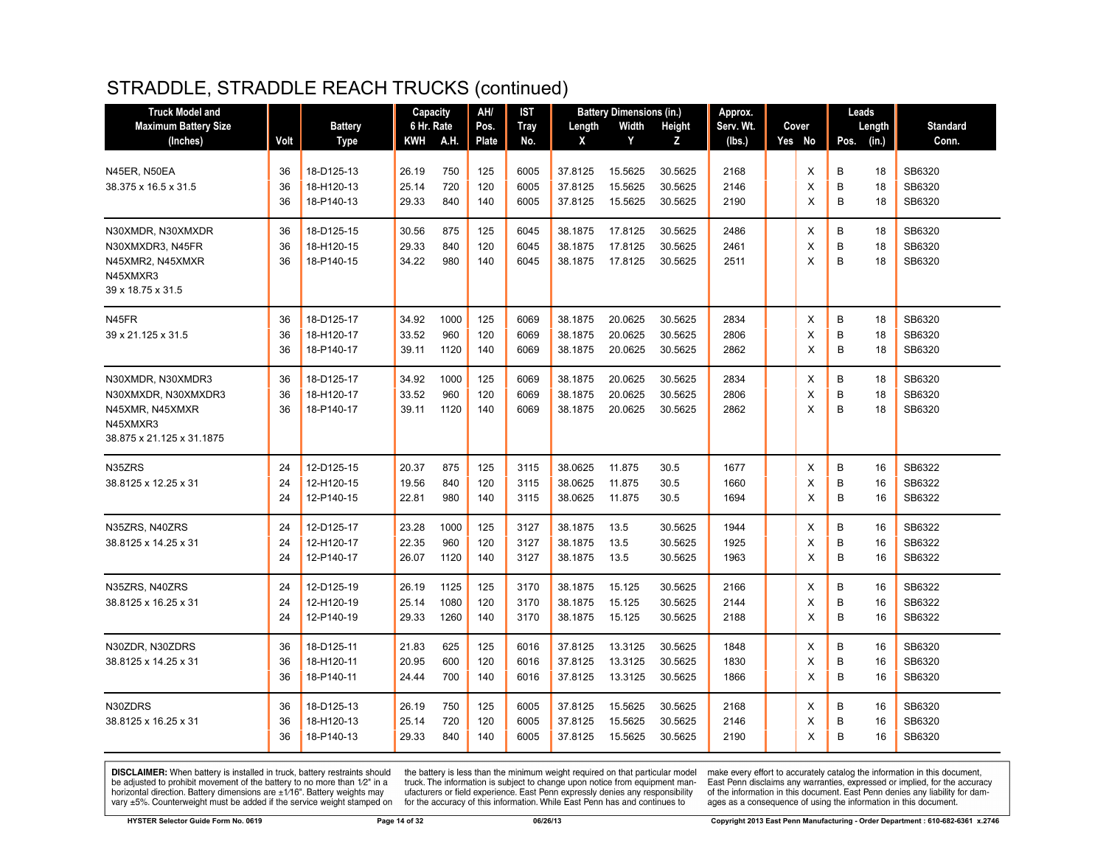| <b>Truck Model and</b>                                                                               |                |                                        | Capacity                |                      | AH/               | <b>IST</b>           |                               | <b>Battery Dimensions (in.)</b> |                               | Approx.              |                    | Leads       |                |                            |
|------------------------------------------------------------------------------------------------------|----------------|----------------------------------------|-------------------------|----------------------|-------------------|----------------------|-------------------------------|---------------------------------|-------------------------------|----------------------|--------------------|-------------|----------------|----------------------------|
| <b>Maximum Battery Size</b>                                                                          |                | <b>Battery</b>                         | 6 Hr. Rate              |                      | Pos.              | <b>Tray</b>          | Length                        | Width                           | Height                        | Serv. Wt.            | Cover              | Length      |                | <b>Standard</b>            |
| (Inches)                                                                                             | Volt           | <b>Type</b>                            | KWH                     | A.H.                 | <b>Plate</b>      | No.                  | X                             | Y                               | Z                             | (lbs.)               | Yes No             | Pos.        | (in.)          | Conn.                      |
| N45ER, N50EA<br>38.375 x 16.5 x 31.5                                                                 | 36<br>36<br>36 | 18-D125-13<br>18-H120-13<br>18-P140-13 | 26.19<br>25.14<br>29.33 | 750<br>720<br>840    | 125<br>120<br>140 | 6005<br>6005<br>6005 | 37.8125<br>37.8125<br>37.8125 | 15.5625<br>15.5625<br>15.5625   | 30.5625<br>30.5625<br>30.5625 | 2168<br>2146<br>2190 | Χ<br>$\times$<br>X | B<br>B<br>B | 18<br>18<br>18 | SB6320<br>SB6320<br>SB6320 |
| N30XMDR, N30XMXDR<br>N30XMXDR3, N45FR<br>N45XMR2, N45XMXR<br>N45XMXR3<br>39 x 18.75 x 31.5           | 36<br>36<br>36 | 18-D125-15<br>18-H120-15<br>18-P140-15 | 30.56<br>29.33<br>34.22 | 875<br>840<br>980    | 125<br>120<br>140 | 6045<br>6045<br>6045 | 38.1875<br>38.1875<br>38.1875 | 17.8125<br>17.8125<br>17.8125   | 30.5625<br>30.5625<br>30.5625 | 2486<br>2461<br>2511 | Χ<br>X<br>X        | В<br>B<br>B | 18<br>18<br>18 | SB6320<br>SB6320<br>SB6320 |
| N45FR<br>39 x 21.125 x 31.5                                                                          | 36<br>36<br>36 | 18-D125-17<br>18-H120-17<br>18-P140-17 | 34.92<br>33.52<br>39.11 | 1000<br>960<br>1120  | 125<br>120<br>140 | 6069<br>6069<br>6069 | 38.1875<br>38.1875<br>38.1875 | 20.0625<br>20.0625<br>20.0625   | 30.5625<br>30.5625<br>30.5625 | 2834<br>2806<br>2862 | Χ<br>X<br>X        | B<br>B<br>B | 18<br>18<br>18 | SB6320<br>SB6320<br>SB6320 |
| N30XMDR, N30XMDR3<br>N30XMXDR, N30XMXDR3<br>N45XMR, N45XMXR<br>N45XMXR3<br>38.875 x 21.125 x 31.1875 | 36<br>36<br>36 | 18-D125-17<br>18-H120-17<br>18-P140-17 | 34.92<br>33.52<br>39.11 | 1000<br>960<br>1120  | 125<br>120<br>140 | 6069<br>6069<br>6069 | 38.1875<br>38.1875<br>38.1875 | 20.0625<br>20.0625<br>20.0625   | 30.5625<br>30.5625<br>30.5625 | 2834<br>2806<br>2862 | X<br>$\times$<br>X | B<br>B<br>B | 18<br>18<br>18 | SB6320<br>SB6320<br>SB6320 |
| N35ZRS<br>38.8125 x 12.25 x 31                                                                       | 24<br>24<br>24 | 12-D125-15<br>12-H120-15<br>12-P140-15 | 20.37<br>19.56<br>22.81 | 875<br>840<br>980    | 125<br>120<br>140 | 3115<br>3115<br>3115 | 38.0625<br>38.0625<br>38.0625 | 11.875<br>11.875<br>11.875      | 30.5<br>30.5<br>30.5          | 1677<br>1660<br>1694 | Χ<br>X<br>X        | B<br>B<br>B | 16<br>16<br>16 | SB6322<br>SB6322<br>SB6322 |
| N35ZRS, N40ZRS<br>38.8125 x 14.25 x 31                                                               | 24<br>24<br>24 | 12-D125-17<br>12-H120-17<br>12-P140-17 | 23.28<br>22.35<br>26.07 | 1000<br>960<br>1120  | 125<br>120<br>140 | 3127<br>3127<br>3127 | 38.1875<br>38.1875<br>38.1875 | 13.5<br>13.5<br>13.5            | 30.5625<br>30.5625<br>30.5625 | 1944<br>1925<br>1963 | Х<br>Χ<br>X        | B<br>B<br>B | 16<br>16<br>16 | SB6322<br>SB6322<br>SB6322 |
| N35ZRS, N40ZRS<br>38.8125 x 16.25 x 31                                                               | 24<br>24<br>24 | 12-D125-19<br>12-H120-19<br>12-P140-19 | 26.19<br>25.14<br>29.33 | 1125<br>1080<br>1260 | 125<br>120<br>140 | 3170<br>3170<br>3170 | 38.1875<br>38.1875<br>38.1875 | 15.125<br>15.125<br>15.125      | 30.5625<br>30.5625<br>30.5625 | 2166<br>2144<br>2188 | X<br>X<br>X        | B<br>B<br>B | 16<br>16<br>16 | SB6322<br>SB6322<br>SB6322 |
| N30ZDR, N30ZDRS<br>38.8125 x 14.25 x 31                                                              | 36<br>36<br>36 | 18-D125-11<br>18-H120-11<br>18-P140-11 | 21.83<br>20.95<br>24.44 | 625<br>600<br>700    | 125<br>120<br>140 | 6016<br>6016<br>6016 | 37.8125<br>37.8125<br>37.8125 | 13.3125<br>13.3125<br>13.3125   | 30.5625<br>30.5625<br>30.5625 | 1848<br>1830<br>1866 | X<br>Χ<br>X        | B<br>B<br>B | 16<br>16<br>16 | SB6320<br>SB6320<br>SB6320 |
| N30ZDRS<br>38.8125 x 16.25 x 31                                                                      | 36<br>36<br>36 | 18-D125-13<br>18-H120-13<br>18-P140-13 | 26.19<br>25.14<br>29.33 | 750<br>720<br>840    | 125<br>120<br>140 | 6005<br>6005<br>6005 | 37.8125<br>37.8125<br>37.8125 | 15.5625<br>15.5625<br>15.5625   | 30.5625<br>30.5625<br>30.5625 | 2168<br>2146<br>2190 | х<br>Χ<br>X        | B<br>B<br>B | 16<br>16<br>16 | SB6320<br>SB6320<br>SB6320 |

**DISCLAIMER:** When battery is installed in truck, battery restraints should be adjusted to prohibit movement of the battery to no more than  $1/2$ " in a horizontal direction. Battery dimensions are  $\pm 1/16$ ". Battery weig

the battery is less than the minimum weight required on that particular model<br>truck. The information is subject to change upon notice from equipment manufacturers or field experience. East Penn expressly denies any responsibility for the accuracy of this information. While East Penn has and continues to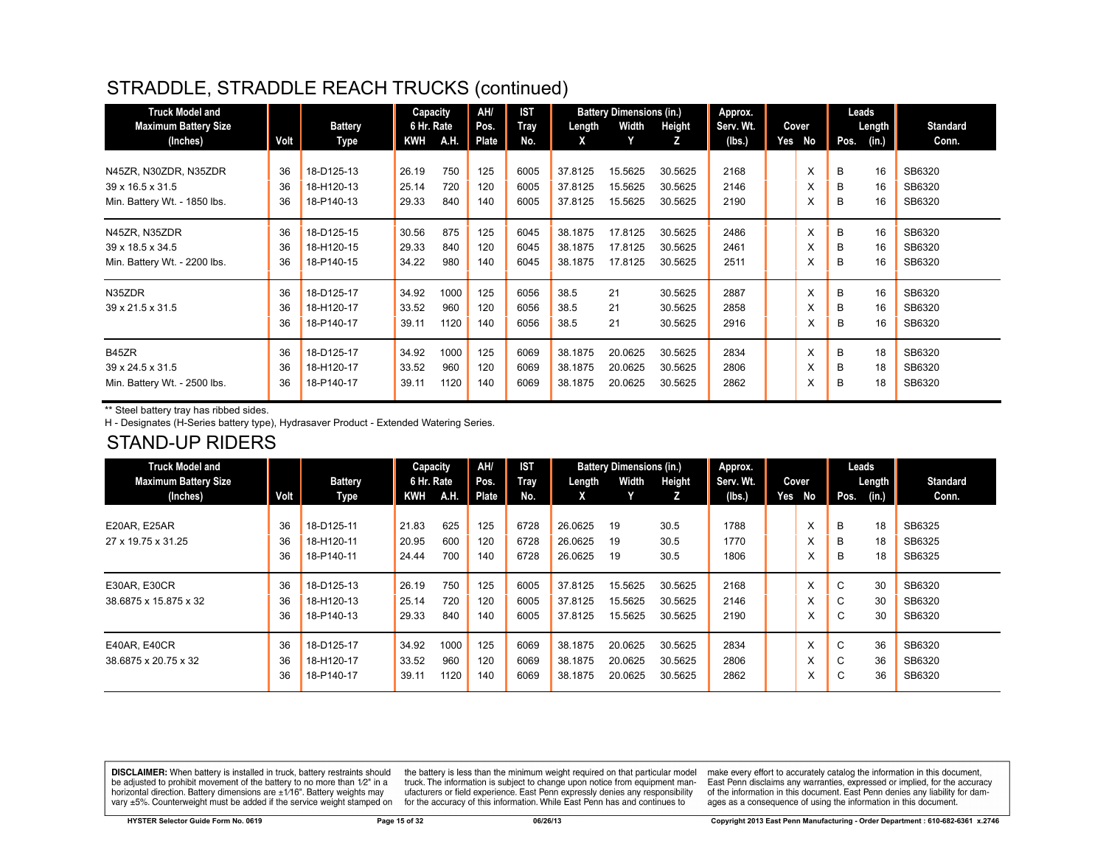| <b>Truck Model and</b>       |      |                | Capacity   |      | AH/   | <b>IST</b>  |         | <b>Battery Dimensions (in.)</b> |         | Approx.   |     |       |      | Leads  |                 |
|------------------------------|------|----------------|------------|------|-------|-------------|---------|---------------------------------|---------|-----------|-----|-------|------|--------|-----------------|
| <b>Maximum Battery Size</b>  |      | <b>Battery</b> | 6 Hr. Rate |      | Pos.  | <b>Tray</b> | Length  | Width                           | Height  | Serv. Wt. |     | Cover |      | Length | <b>Standard</b> |
| (Inches)                     | Volt | Type           | KWH        | A.H. | Plate | No.         | X       | Y                               | z       | (lbs.)    | Yes | No    | Pos. | (in.)  | Conn.           |
|                              |      |                |            |      |       |             |         |                                 |         |           |     |       |      |        |                 |
| N45ZR, N30ZDR, N35ZDR        | 36   | 18-D125-13     | 26.19      | 750  | 125   | 6005        | 37.8125 | 15.5625                         | 30.5625 | 2168      |     | X     | B    | 16     | SB6320          |
| 39 x 16.5 x 31.5             | 36   | 18-H120-13     | 25.14      | 720  | 120   | 6005        | 37.8125 | 15.5625                         | 30.5625 | 2146      |     | X     | B    | 16     | SB6320          |
| Min. Battery Wt. - 1850 lbs. | 36   | 18-P140-13     | 29.33      | 840  | 140   | 6005        | 37.8125 | 15.5625                         | 30.5625 | 2190      |     | X     | B    | 16     | SB6320          |
| N45ZR. N35ZDR                | 36   | 18-D125-15     | 30.56      | 875  | 125   | 6045        | 38.1875 | 17.8125                         | 30.5625 | 2486      |     | X     | B    | 16     | SB6320          |
| 39 x 18.5 x 34.5             | 36   | 18-H120-15     | 29.33      | 840  | 120   | 6045        | 38.1875 | 17.8125                         | 30.5625 | 2461      |     | X     | B    | 16     | SB6320          |
| Min. Battery Wt. - 2200 lbs. | 36   | 18-P140-15     | 34.22      | 980  | 140   | 6045        | 38.1875 | 17.8125                         | 30.5625 | 2511      |     | X     | B    | 16     | SB6320          |
|                              |      |                |            |      |       |             |         |                                 |         |           |     |       |      |        |                 |
| N35ZDR                       | 36   | 18-D125-17     | 34.92      | 1000 | 125   | 6056        | 38.5    | 21                              | 30.5625 | 2887      |     | X     | B    | 16     | SB6320          |
| 39 x 21.5 x 31.5             | 36   | 18-H120-17     | 33.52      | 960  | 120   | 6056        | 38.5    | 21                              | 30.5625 | 2858      |     | X     | B    | 16     | SB6320          |
|                              | 36   | 18-P140-17     | 39.11      | 1120 | 140   | 6056        | 38.5    | 21                              | 30.5625 | 2916      |     | X     | B    | 16     | SB6320          |
| B45ZR                        | 36   | 18-D125-17     | 34.92      | 1000 | 125   | 6069        | 38.1875 | 20.0625                         | 30.5625 | 2834      |     | X     | B    | 18     | SB6320          |
| 39 x 24.5 x 31.5             | 36   | 18-H120-17     | 33.52      | 960  | 120   | 6069        | 38.1875 | 20.0625                         | 30.5625 | 2806      |     | X     | B    | 18     | SB6320          |
| Min. Battery Wt. - 2500 lbs. | 36   | 18-P140-17     | 39.11      | 1120 | 140   | 6069        | 38.1875 | 20.0625                         | 30.5625 | 2862      |     | X     | B    | 18     | SB6320          |
|                              |      |                |            |      |       |             |         |                                 |         |           |     |       |      |        |                 |

\*\* Steel battery tray has ribbed sides.

H - Designates (H-Series battery type), Hydrasaver Product - Extended Watering Series.

#### STAND-UP RIDERS

| <b>Truck Model and</b>      |      |                | Capacity   |             | AH/   | IST  |         | <b>Battery Dimensions (in.)</b> |         | Approx.   |     |       |             | Leads         |                 |
|-----------------------------|------|----------------|------------|-------------|-------|------|---------|---------------------------------|---------|-----------|-----|-------|-------------|---------------|-----------------|
| <b>Maximum Battery Size</b> |      | <b>Battery</b> | 6 Hr. Rate |             | Pos.  | Tray | Length  | Width                           | Height  | Serv. Wt. |     | Cover |             | <b>Length</b> | <b>Standard</b> |
| (Inches)                    | Volt | Type           | KWH        | <b>A.H.</b> | Plate | No.  | X       |                                 | Z.      | (lbs.)    | Yes | No    | Pos.        | (in.)         | Conn.           |
|                             |      |                |            |             |       |      |         |                                 |         |           |     |       |             |               |                 |
| <b>E20AR, E25AR</b>         | 36   | 18-D125-11     | 21.83      | 625         | 125   | 6728 | 26.0625 | 19                              | 30.5    | 1788      |     | X     | B           | 18            | SB6325          |
| 27 x 19.75 x 31.25          | 36   | 18-H120-11     | 20.95      | 600         | 120   | 6728 | 26.0625 | 19                              | 30.5    | 1770      |     | ᆺ     | B           | 18            | SB6325          |
|                             | 36   | 18-P140-11     | 24.44      | 700         | 140   | 6728 | 26.0625 | 19                              | 30.5    | 1806      |     | x     | B           | 18            | SB6325          |
|                             |      |                |            |             |       |      |         |                                 |         |           |     |       |             |               |                 |
| <b>E30AR, E30CR</b>         | 36   | 18-D125-13     | 26.19      | 750         | 125   | 6005 | 37.8125 | 15.5625                         | 30.5625 | 2168      |     | X     | $\sim$<br>◡ | 30            | SB6320          |
| 38.6875 x 15.875 x 32       | 36   | 18-H120-13     | 25.14      | 720         | 120   | 6005 | 37.8125 | 15.5625                         | 30.5625 | 2146      |     | X     | C           | 30            | SB6320          |
|                             | 36   | 18-P140-13     | 29.33      | 840         | 140   | 6005 | 37.8125 | 15.5625                         | 30.5625 | 2190      |     | X     | $\sim$<br>U | 30            | SB6320          |
|                             |      |                |            |             |       |      |         |                                 |         |           |     |       |             |               |                 |
| E40AR, E40CR                | 36   | 18-D125-17     | 34.92      | 1000        | 125   | 6069 | 38.1875 | 20.0625                         | 30.5625 | 2834      |     | X     | C           | 36            | SB6320          |
| 38.6875 x 20.75 x 32        | 36   | 18-H120-17     | 33.52      | 960         | 120   | 6069 | 38.1875 | 20.0625                         | 30.5625 | 2806      |     | ᆺ     | C           | 36            | SB6320          |
|                             | 36   | 18-P140-17     | 39.11      | 1120        | 140   | 6069 | 38.1875 | 20.0625                         | 30.5625 | 2862      |     | ᆺ     | $\sim$<br>◡ | 36            | SB6320          |
|                             |      |                |            |             |       |      |         |                                 |         |           |     |       |             |               |                 |

**DISCLAIMER:** When battery is installed in truck, battery restraints should be adjusted to prohibit movement of the battery to no more than 1/2" in a horizontal direction. Battery dimensions are  $\pm 1/16$ ". Battery weights may vary ±5%. Counterweight must be added if the service weight stamped on

the battery is less than the minimum weight required on that particular model<br>truck. The information is subject to change upon notice from equipment manufacturers or field experience. East Penn expressly denies any responsibility for the accuracy of this information. While East Penn has and continues to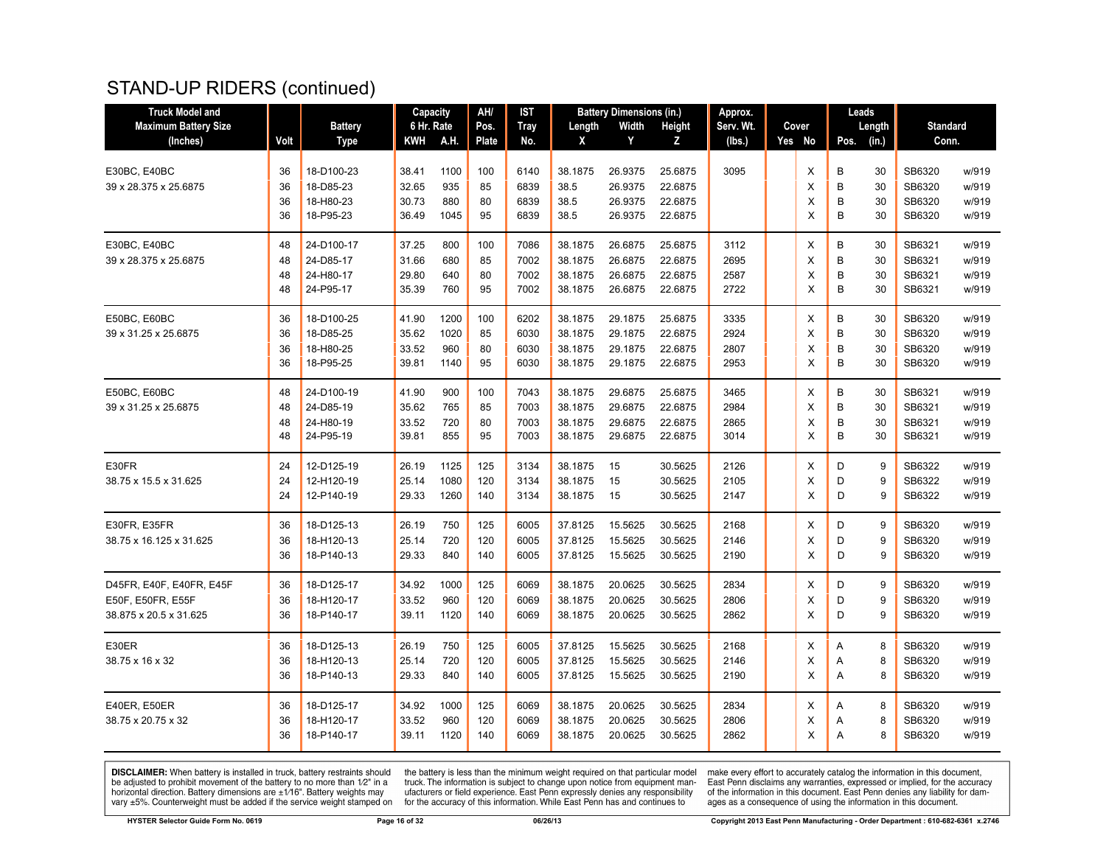#### STAND-UP RIDERS (continued)

| <b>Truck Model and</b>      |      |                | Capacity   |      | AH/   | <b>IST</b>  |         | <b>Battery Dimensions (in.)</b> |         | Approx.   |        |                | Leads  |                 |       |
|-----------------------------|------|----------------|------------|------|-------|-------------|---------|---------------------------------|---------|-----------|--------|----------------|--------|-----------------|-------|
| <b>Maximum Battery Size</b> |      | <b>Battery</b> | 6 Hr. Rate |      | Pos.  | <b>Tray</b> | Length  | Width                           | Height  | Serv. Wt. | Cover  |                | Length | <b>Standard</b> |       |
| (Inches)                    | Volt | <b>Type</b>    | KWH        | A.H. | Plate | No.         | X       | Y                               | Z       | (lbs.)    | Yes No | Pos.           | (in.)  | Conn.           |       |
|                             |      |                |            |      |       |             |         |                                 |         |           |        |                |        |                 |       |
| E30BC, E40BC                | 36   | 18-D100-23     | 38.41      | 1100 | 100   | 6140        | 38.1875 | 26.9375                         | 25.6875 | 3095      | X      | B              | 30     | SB6320          | w/919 |
| 39 x 28.375 x 25.6875       | 36   | 18-D85-23      | 32.65      | 935  | 85    | 6839        | 38.5    | 26.9375                         | 22.6875 |           | X      | B              | 30     | SB6320          | w/919 |
|                             | 36   | 18-H80-23      | 30.73      | 880  | 80    | 6839        | 38.5    | 26.9375                         | 22.6875 |           | Х      | B              | 30     | SB6320          | w/919 |
|                             | 36   | 18-P95-23      | 36.49      | 1045 | 95    | 6839        | 38.5    | 26.9375                         | 22.6875 |           | X      | B              | 30     | SB6320          | w/919 |
| E30BC, E40BC                | 48   | 24-D100-17     | 37.25      | 800  | 100   | 7086        | 38.1875 | 26.6875                         | 25.6875 | 3112      | X      | B              | 30     | SB6321          | w/919 |
| 39 x 28.375 x 25.6875       | 48   | 24-D85-17      | 31.66      | 680  | 85    | 7002        | 38.1875 | 26.6875                         | 22.6875 | 2695      | X      | B              | 30     | SB6321          | w/919 |
|                             | 48   | 24-H80-17      | 29.80      | 640  | 80    | 7002        | 38.1875 | 26.6875                         | 22.6875 | 2587      | X      | B              | 30     | SB6321          | w/919 |
|                             | 48   | 24-P95-17      | 35.39      | 760  | 95    | 7002        | 38.1875 | 26.6875                         | 22.6875 | 2722      | X      | B              | 30     | SB6321          | w/919 |
| E50BC, E60BC                | 36   | 18-D100-25     | 41.90      | 1200 | 100   | 6202        | 38.1875 | 29.1875                         | 25.6875 | 3335      | X      | B              | 30     | SB6320          | w/919 |
| 39 x 31.25 x 25.6875        | 36   | 18-D85-25      | 35.62      | 1020 | 85    | 6030        | 38.1875 | 29.1875                         | 22.6875 | 2924      | X      | B              | 30     | SB6320          | w/919 |
|                             | 36   | 18-H80-25      | 33.52      | 960  | 80    | 6030        | 38.1875 | 29.1875                         | 22.6875 | 2807      | X      | B              | 30     | SB6320          | w/919 |
|                             | 36   | 18-P95-25      | 39.81      | 1140 | 95    | 6030        | 38.1875 | 29.1875                         | 22.6875 | 2953      | X      | B              | 30     | SB6320          | w/919 |
| E50BC, E60BC                | 48   | 24-D100-19     | 41.90      | 900  | 100   | 7043        | 38.1875 | 29.6875                         | 25.6875 | 3465      | X      | B              | 30     | SB6321          | w/919 |
| 39 x 31.25 x 25.6875        | 48   | 24-D85-19      | 35.62      | 765  | 85    | 7003        | 38.1875 | 29.6875                         | 22.6875 | 2984      | X      | B              | 30     | SB6321          | w/919 |
|                             | 48   | 24-H80-19      | 33.52      | 720  | 80    | 7003        | 38.1875 | 29.6875                         | 22.6875 | 2865      | X      | B              | 30     | SB6321          | w/919 |
|                             | 48   | 24-P95-19      | 39.81      | 855  | 95    | 7003        | 38.1875 | 29.6875                         | 22.6875 | 3014      | X      | B              | 30     | SB6321          | w/919 |
| E30FR                       | 24   | 12-D125-19     | 26.19      | 1125 | 125   | 3134        | 38.1875 | 15                              | 30.5625 | 2126      | X      | D              | 9      | SB6322          | w/919 |
| 38.75 x 15.5 x 31.625       | 24   | 12-H120-19     | 25.14      | 1080 | 120   | 3134        | 38.1875 | 15                              | 30.5625 | 2105      | X      | D              | 9      | SB6322          | w/919 |
|                             | 24   | 12-P140-19     | 29.33      | 1260 | 140   | 3134        | 38.1875 | 15                              | 30.5625 | 2147      | X      | D              | 9      | SB6322          | w/919 |
| E30FR, E35FR                | 36   | 18-D125-13     | 26.19      | 750  | 125   | 6005        | 37.8125 | 15.5625                         | 30.5625 | 2168      | X      | D              | 9      | SB6320          | w/919 |
| 38.75 x 16.125 x 31.625     | 36   | 18-H120-13     | 25.14      | 720  | 120   | 6005        | 37.8125 | 15.5625                         | 30.5625 | 2146      | X      | D              | 9      | SB6320          | w/919 |
|                             | 36   | 18-P140-13     | 29.33      | 840  | 140   | 6005        | 37.8125 | 15.5625                         | 30.5625 | 2190      | X      | D              | 9      | SB6320          | w/919 |
| D45FR, E40F, E40FR, E45F    | 36   | 18-D125-17     | 34.92      | 1000 | 125   | 6069        | 38.1875 | 20.0625                         | 30.5625 | 2834      | X      | D              | 9      | SB6320          | w/919 |
| E50F, E50FR, E55F           | 36   | 18-H120-17     | 33.52      | 960  | 120   | 6069        | 38.1875 | 20.0625                         | 30.5625 | 2806      | X      | D              | 9      | SB6320          | w/919 |
| 38.875 x 20.5 x 31.625      | 36   | 18-P140-17     | 39.11      | 1120 | 140   | 6069        | 38.1875 | 20.0625                         | 30.5625 | 2862      | X      | D              | 9      | SB6320          | w/919 |
| E30ER                       | 36   | 18-D125-13     | 26.19      | 750  | 125   | 6005        | 37.8125 | 15.5625                         | 30.5625 | 2168      | X      | Α              | 8      | SB6320          | w/919 |
| 38.75 x 16 x 32             | 36   | 18-H120-13     | 25.14      | 720  | 120   | 6005        | 37.8125 | 15.5625                         | 30.5625 | 2146      | X      | Α              | 8      | SB6320          | w/919 |
|                             | 36   | 18-P140-13     | 29.33      | 840  | 140   | 6005        | 37.8125 | 15.5625                         | 30.5625 | 2190      | X      | $\overline{A}$ | 8      | SB6320          | w/919 |
| E40ER, E50ER                | 36   | 18-D125-17     | 34.92      | 1000 | 125   | 6069        | 38.1875 | 20.0625                         | 30.5625 | 2834      | X      | A              | 8      | SB6320          | w/919 |
| 38.75 x 20.75 x 32          | 36   | 18-H120-17     | 33.52      | 960  | 120   | 6069        | 38.1875 | 20.0625                         | 30.5625 | 2806      | X      | Α              | 8      | SB6320          | w/919 |
|                             | 36   | 18-P140-17     | 39.11      | 1120 | 140   | 6069        | 38.1875 | 20.0625                         | 30.5625 | 2862      | X      | A              | 8      | SB6320          | w/919 |
|                             |      |                |            |      |       |             |         |                                 |         |           |        |                |        |                 |       |

**DISCLAIMER:** When battery is installed in truck, battery restraints should be adjusted to prohibit movement of the battery to no more than  $1/2$ " in a horizontal direction. Battery dimensions are  $\pm 1/16$ ". Battery weig

the battery is less than the minimum weight required on that particular model<br>truck. The information is subject to change upon notice from equipment man-<br>ufacturers or field experience. East Penn expressly denies any respo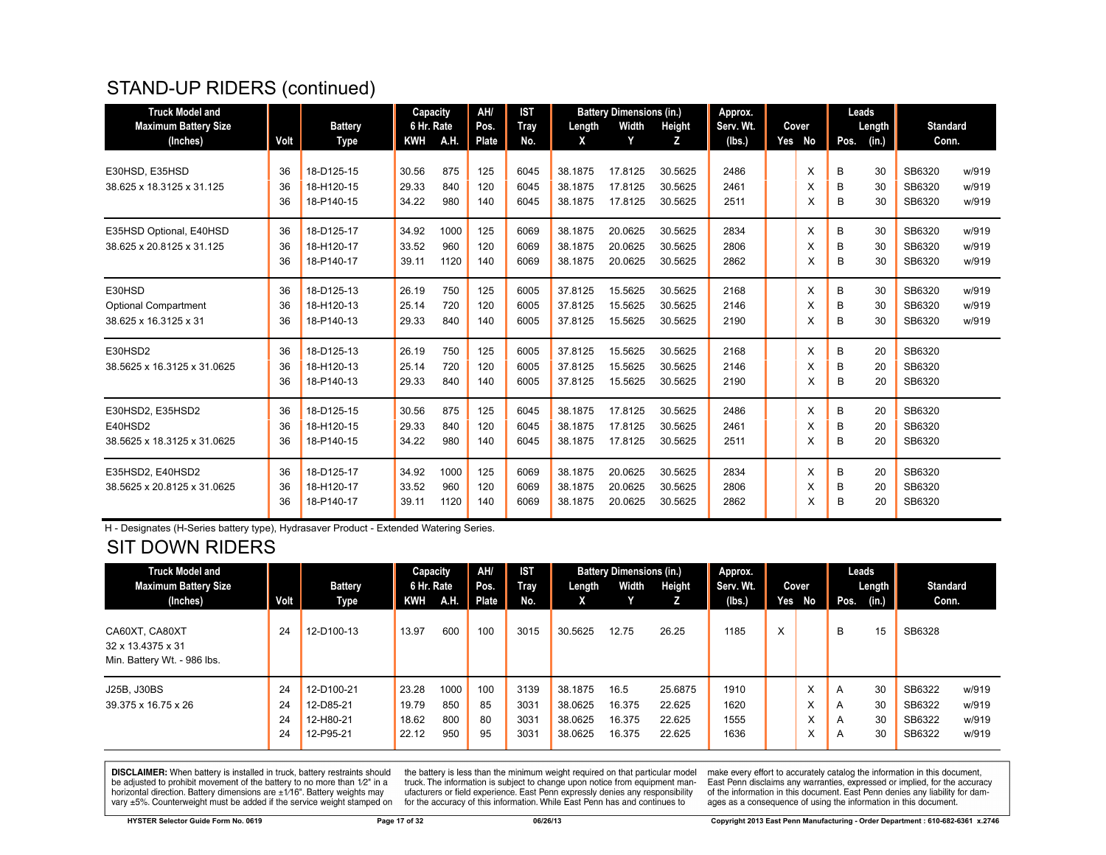# STAND-UP RIDERS (continued)

| <b>Truck Model and</b>      |      |                | Capacity   |      | AH/   | <b>IST</b> |         | <b>Battery Dimensions (in.)</b> |         | Approx.   |        |      | Leads  |                 |       |
|-----------------------------|------|----------------|------------|------|-------|------------|---------|---------------------------------|---------|-----------|--------|------|--------|-----------------|-------|
| <b>Maximum Battery Size</b> |      | <b>Battery</b> | 6 Hr. Rate |      | Pos.  | Tray       | Length  | Width                           | Height  | Serv. Wt. | Cover  |      | Length | <b>Standard</b> |       |
| (Inches)                    | Volt | Type           | <b>KWH</b> | A.H. | Plate | No.        | X       | Y                               | Z       | (lbs.)    | Yes No | Pos. | (in.)  | Conn.           |       |
|                             |      |                |            |      |       |            |         |                                 |         |           |        |      |        |                 |       |
| E30HSD, E35HSD              | 36   | 18-D125-15     | 30.56      | 875  | 125   | 6045       | 38.1875 | 17.8125                         | 30.5625 | 2486      | X      | B    | 30     | SB6320          | w/919 |
| 38.625 x 18.3125 x 31.125   | 36   | 18-H120-15     | 29.33      | 840  | 120   | 6045       | 38.1875 | 17.8125                         | 30.5625 | 2461      | X      | B    | 30     | SB6320          | w/919 |
|                             | 36   | 18-P140-15     | 34.22      | 980  | 140   | 6045       | 38.1875 | 17.8125                         | 30.5625 | 2511      | X      | В    | 30     | SB6320          | w/919 |
| E35HSD Optional, E40HSD     | 36   | 18-D125-17     | 34.92      | 1000 | 125   | 6069       | 38.1875 | 20.0625                         | 30.5625 | 2834      | X      | В    | 30     | SB6320          | w/919 |
| 38.625 x 20.8125 x 31.125   | 36   | 18-H120-17     | 33.52      | 960  | 120   | 6069       | 38.1875 | 20.0625                         | 30.5625 | 2806      | X      | B    | 30     | SB6320          | w/919 |
|                             | 36   | 18-P140-17     | 39.11      | 1120 | 140   | 6069       | 38.1875 | 20.0625                         | 30.5625 | 2862      | X      | B    | 30     | SB6320          | w/919 |
| E30HSD                      | 36   | 18-D125-13     | 26.19      | 750  | 125   | 6005       | 37.8125 | 15.5625                         | 30.5625 | 2168      | X      | B    | 30     | SB6320          | w/919 |
| <b>Optional Compartment</b> | 36   | 18-H120-13     | 25.14      | 720  | 120   | 6005       | 37.8125 | 15.5625                         | 30.5625 | 2146      | X      | B    | 30     | SB6320          | w/919 |
| 38.625 x 16.3125 x 31       | 36   | 18-P140-13     | 29.33      | 840  | 140   | 6005       | 37.8125 | 15.5625                         | 30.5625 | 2190      | X      | B    | 30     | SB6320          | w/919 |
|                             |      |                |            |      |       |            |         |                                 |         |           |        |      |        |                 |       |
| E30HSD2                     | 36   | 18-D125-13     | 26.19      | 750  | 125   | 6005       | 37.8125 | 15.5625                         | 30.5625 | 2168      | X      | B    | 20     | SB6320          |       |
| 38.5625 x 16.3125 x 31.0625 | 36   | 18-H120-13     | 25.14      | 720  | 120   | 6005       | 37.8125 | 15.5625                         | 30.5625 | 2146      | X      | B    | 20     | SB6320          |       |
|                             | 36   | 18-P140-13     | 29.33      | 840  | 140   | 6005       | 37.8125 | 15.5625                         | 30.5625 | 2190      | х      | В    | 20     | SB6320          |       |
| E30HSD2, E35HSD2            | 36   | 18-D125-15     | 30.56      | 875  | 125   | 6045       | 38.1875 | 17.8125                         | 30.5625 | 2486      | X      | B    | 20     | SB6320          |       |
| E40HSD2                     | 36   | 18-H120-15     | 29.33      | 840  | 120   | 6045       | 38.1875 | 17.8125                         | 30.5625 | 2461      | X      | B    | 20     | SB6320          |       |
| 38.5625 x 18.3125 x 31.0625 | 36   | 18-P140-15     | 34.22      | 980  | 140   | 6045       | 38.1875 | 17.8125                         | 30.5625 | 2511      | X      | B    | 20     | SB6320          |       |
|                             |      |                |            |      |       |            |         |                                 |         |           |        |      |        |                 |       |
| E35HSD2, E40HSD2            | 36   | 18-D125-17     | 34.92      | 1000 | 125   | 6069       | 38.1875 | 20.0625                         | 30.5625 | 2834      | X      | B    | 20     | SB6320          |       |
| 38.5625 x 20.8125 x 31.0625 | 36   | 18-H120-17     | 33.52      | 960  | 120   | 6069       | 38.1875 | 20.0625                         | 30.5625 | 2806      | X      | B    | 20     | SB6320          |       |
|                             | 36   | 18-P140-17     | 39.11      | 1120 | 140   | 6069       | 38.1875 | 20.0625                         | 30.5625 | 2862      | х      | В    | 20     | SB6320          |       |
|                             |      |                |            |      |       |            |         |                                 |         |           |        |      |        |                 |       |

H - Designates (H-Series battery type), Hydrasaver Product - Extended Watering Series.

#### SIT DOWN RIDERS

| <b>Truck Model and</b><br><b>Maximum Battery Size</b><br>(Inches)  | Volt                 | <b>Battery</b><br>Type                            | Capacity<br>6 Hr. Rate<br>KWH    | A.H.                      | AH/<br>Pos.<br>Plate  | <b>IST</b><br>Tray<br>No.    | Length<br>X                              | <b>Battery Dimensions (in.)</b><br>Width | Height<br>z                           | Approx.<br>Serv. Wt.<br>(Ibs.) | Yes | Cover<br>No       | Leads<br>Pos.    | Length $\vert$<br>(in.) | <b>Standard</b><br>Conn.             |                                  |
|--------------------------------------------------------------------|----------------------|---------------------------------------------------|----------------------------------|---------------------------|-----------------------|------------------------------|------------------------------------------|------------------------------------------|---------------------------------------|--------------------------------|-----|-------------------|------------------|-------------------------|--------------------------------------|----------------------------------|
| CA60XT, CA80XT<br>32 x 13.4375 x 31<br>Min. Battery Wt. - 986 lbs. | 24                   | 12-D100-13                                        | 13.97                            | 600                       | 100                   | 3015                         | 30.5625                                  | 12.75                                    | 26.25                                 | 1185                           | X   |                   | B                | 15                      | SB6328                               |                                  |
| J25B, J30BS<br>39.375 x 16.75 x 26                                 | 24<br>24<br>24<br>24 | 12-D100-21<br>12-D85-21<br>12-H80-21<br>12-P95-21 | 23.28<br>19.79<br>18.62<br>22.12 | 1000<br>850<br>800<br>950 | 100<br>85<br>80<br>95 | 3139<br>3031<br>3031<br>3031 | 38.1875<br>38.0625<br>38.0625<br>38.0625 | 16.5<br>16.375<br>16.375<br>16.375       | 25.6875<br>22.625<br>22.625<br>22.625 | 1910<br>1620<br>1555<br>1636   |     | X<br>х<br>л.<br>^ | A<br>A<br>A<br>A | 30<br>30<br>30<br>30    | SB6322<br>SB6322<br>SB6322<br>SB6322 | w/919<br>w/919<br>w/919<br>w/919 |

**DISCLAIMER:** When battery is installed in truck, battery restraints should be adjusted to prohibit movement of the battery to no more than  $1/2$ " in a horizontal direction. Battery dimensions are  $\pm 1/16$ ". Battery weig

the battery is less than the minimum weight required on that particular model<br>truck. The information is subject to change upon notice from equipment manufacturers or field experience. East Penn expressly denies any responsibility for the accuracy of this information. While East Penn has and continues to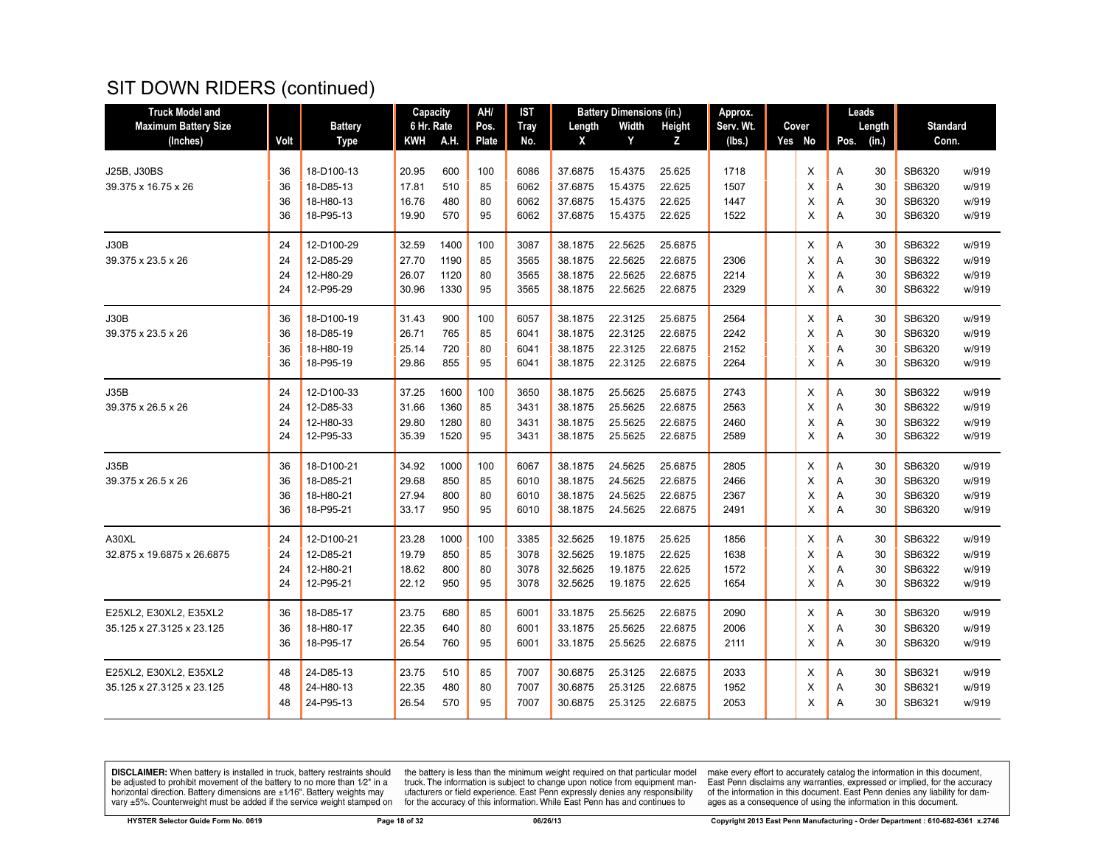| <b>Truck Model and</b>      |      |                | Capacity   |      | AH/   | <b>IST</b>  |         | <b>Battery Dimensions (in.)</b> |         | Approx.   |        |      | Leads  |                 |       |
|-----------------------------|------|----------------|------------|------|-------|-------------|---------|---------------------------------|---------|-----------|--------|------|--------|-----------------|-------|
| <b>Maximum Battery Size</b> |      | <b>Battery</b> | 6 Hr. Rate |      | Pos.  | <b>Tray</b> | Length  | Width                           | Height  | Serv. Wt. | Cover  |      | Length | <b>Standard</b> |       |
| (Inches)                    | Volt | <b>Type</b>    | KWH        | A.H. | Plate | No.         | X       | Y                               | z       | (Ibs.)    | Yes No | Pos. | (in.)  | Conn.           |       |
| J25B, J30BS                 | 36   | 18-D100-13     | 20.95      | 600  | 100   | 6086        | 37.6875 | 15.4375                         | 25.625  | 1718      | X      | Α    | 30     | SB6320          | w/919 |
| 39.375 x 16.75 x 26         | 36   | 18-D85-13      | 17.81      | 510  | 85    | 6062        | 37.6875 | 15.4375                         | 22.625  | 1507      | X      | A    | 30     | SB6320          | w/919 |
|                             | 36   | 18-H80-13      | 16.76      | 480  | 80    | 6062        | 37.6875 | 15.4375                         | 22.625  | 1447      | X      | Α    | 30     | SB6320          | w/919 |
|                             | 36   | 18-P95-13      | 19.90      | 570  | 95    | 6062        | 37.6875 | 15.4375                         | 22.625  | 1522      | X      | A    | 30     | SB6320          | w/919 |
| <b>J30B</b>                 | 24   | 12-D100-29     | 32.59      | 1400 | 100   | 3087        | 38.1875 | 22.5625                         | 25.6875 |           | х      | Α    | 30     | SB6322          | w/919 |
| 39.375 x 23.5 x 26          | 24   | 12-D85-29      | 27.70      | 1190 | 85    | 3565        | 38.1875 | 22.5625                         | 22.6875 | 2306      | X      | Α    | 30     | SB6322          | w/919 |
|                             | 24   | 12-H80-29      | 26.07      | 1120 | 80    | 3565        | 38.1875 | 22.5625                         | 22.6875 | 2214      | X      | A    | 30     | SB6322          | w/919 |
|                             | 24   | 12-P95-29      | 30.96      | 1330 | 95    | 3565        | 38.1875 | 22.5625                         | 22.6875 | 2329      | X      | Α    | 30     | SB6322          | w/919 |
| <b>J30B</b>                 | 36   | 18-D100-19     | 31.43      | 900  | 100   | 6057        | 38.1875 | 22.3125                         | 25.6875 | 2564      | X      | A    | 30     | SB6320          | w/919 |
| 39.375 x 23.5 x 26          | 36   | 18-D85-19      | 26.71      | 765  | 85    | 6041        | 38.1875 | 22.3125                         | 22.6875 | 2242      | X      | A    | 30     | SB6320          | w/919 |
|                             | 36   | 18-H80-19      | 25.14      | 720  | 80    | 6041        | 38.1875 | 22.3125                         | 22.6875 | 2152      | X      | Α    | 30     | SB6320          | w/919 |
|                             | 36   | 18-P95-19      | 29.86      | 855  | 95    | 6041        | 38.1875 | 22.3125                         | 22.6875 | 2264      | X      | A    | 30     | SB6320          | w/919 |
| J35B                        | 24   | 12-D100-33     | 37.25      | 1600 | 100   | 3650        | 38.1875 | 25.5625                         | 25.6875 | 2743      | X      | Α    | 30     | SB6322          | w/919 |
| 39.375 x 26.5 x 26          | 24   | 12-D85-33      | 31.66      | 1360 | 85    | 3431        | 38.1875 | 25.5625                         | 22.6875 | 2563      | X      | A    | 30     | SB6322          | w/919 |
|                             | 24   | 12-H80-33      | 29.80      | 1280 | 80    | 3431        | 38.1875 | 25.5625                         | 22.6875 | 2460      | X      | A    | 30     | SB6322          | w/919 |
|                             | 24   | 12-P95-33      | 35.39      | 1520 | 95    | 3431        | 38.1875 | 25.5625                         | 22.6875 | 2589      | X      | A    | 30     | SB6322          | w/919 |
| J35B                        | 36   | 18-D100-21     | 34.92      | 1000 | 100   | 6067        | 38.1875 | 24.5625                         | 25.6875 | 2805      | X      | A    | 30     | SB6320          | w/919 |
| 39.375 x 26.5 x 26          | 36   | 18-D85-21      | 29.68      | 850  | 85    | 6010        | 38.1875 | 24.5625                         | 22.6875 | 2466      | X      | Α    | 30     | SB6320          | w/919 |
|                             | 36   | 18-H80-21      | 27.94      | 800  | 80    | 6010        | 38.1875 | 24.5625                         | 22.6875 | 2367      | X      | A    | 30     | SB6320          | w/919 |
|                             | 36   | 18-P95-21      | 33.17      | 950  | 95    | 6010        | 38.1875 | 24.5625                         | 22.6875 | 2491      | X      | A    | 30     | SB6320          | w/919 |
| A30XL                       | 24   | 12-D100-21     | 23.28      | 1000 | 100   | 3385        | 32.5625 | 19.1875                         | 25.625  | 1856      | X      | A    | 30     | SB6322          | w/919 |
| 32.875 x 19.6875 x 26.6875  | 24   | 12-D85-21      | 19.79      | 850  | 85    | 3078        | 32.5625 | 19.1875                         | 22.625  | 1638      | X      | Α    | 30     | SB6322          | w/919 |
|                             | 24   | 12-H80-21      | 18.62      | 800  | 80    | 3078        | 32.5625 | 19.1875                         | 22.625  | 1572      | X      | A    | 30     | SB6322          | w/919 |
|                             | 24   | 12-P95-21      | 22.12      | 950  | 95    | 3078        | 32.5625 | 19.1875                         | 22.625  | 1654      | X      | A    | 30     | SB6322          | w/919 |
| E25XL2, E30XL2, E35XL2      | 36   | 18-D85-17      | 23.75      | 680  | 85    | 6001        | 33.1875 | 25.5625                         | 22.6875 | 2090      | X      | A    | 30     | SB6320          | w/919 |
| 35.125 x 27.3125 x 23.125   | 36   | 18-H80-17      | 22.35      | 640  | 80    | 6001        | 33.1875 | 25.5625                         | 22.6875 | 2006      | X      | Α    | 30     | SB6320          | w/919 |
|                             | 36   | 18-P95-17      | 26.54      | 760  | 95    | 6001        | 33.1875 | 25.5625                         | 22.6875 | 2111      | X      | A    | 30     | SB6320          | w/919 |
| E25XL2, E30XL2, E35XL2      | 48   | 24-D85-13      | 23.75      | 510  | 85    | 7007        | 30.6875 | 25.3125                         | 22.6875 | 2033      | х      | Α    | 30     | SB6321          | w/919 |
| 35.125 x 27.3125 x 23.125   | 48   | 24-H80-13      | 22.35      | 480  | 80    | 7007        | 30.6875 | 25.3125                         | 22.6875 | 1952      | X      | Α    | 30     | SB6321          | w/919 |
|                             | 48   | 24-P95-13      | 26.54      | 570  | 95    | 7007        | 30.6875 | 25.3125                         | 22.6875 | 2053      | X      | A    | 30     | SB6321          | w/919 |

**DISCLAIMER:** When battery is installed in truck, battery restraints should be adjusted to prohibit movement of the battery to no more than  $1/2$ " in a horizontal direction. Battery dimensions are  $\pm 1/16$ ". Battery weig

the battery is less than the minimum weight required on that particular model<br>truck. The information is subject to change upon notice from equipment man-<br>ufacturers or field experience. East Penn expressly denies any respo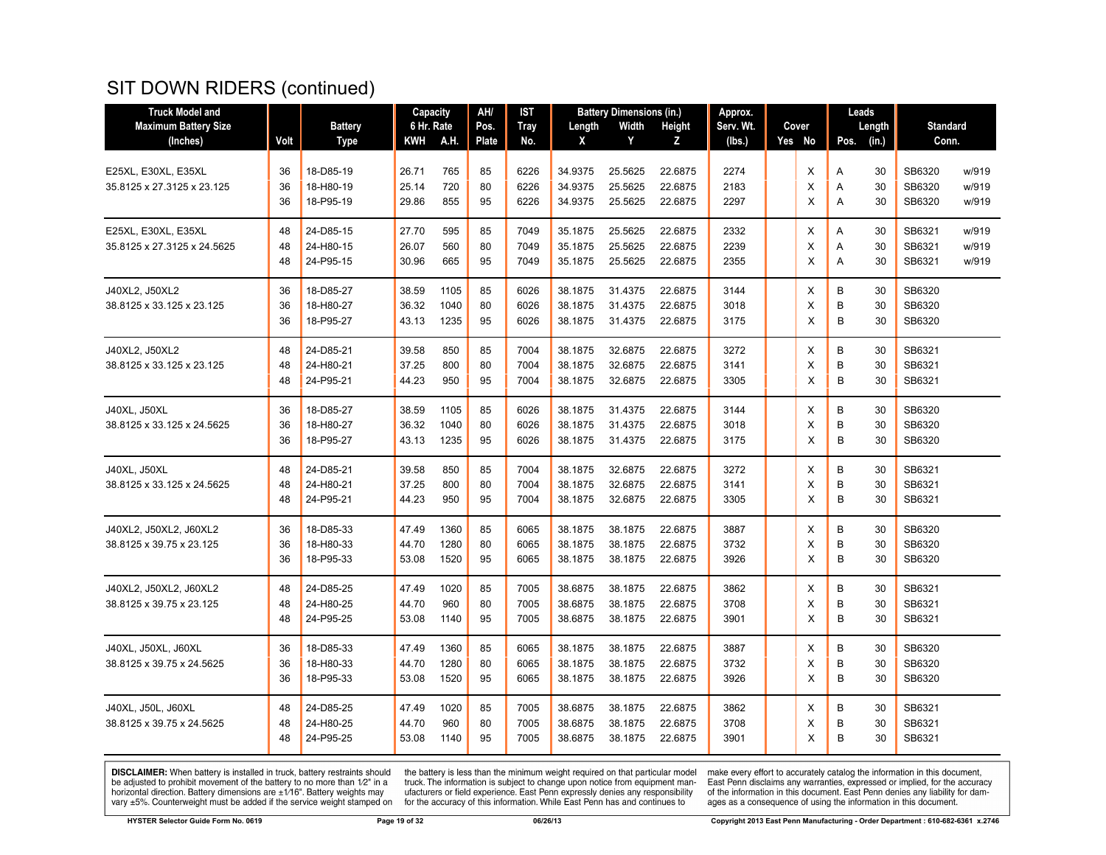| <b>Truck Model and</b>      |      |                | Capacity   |      | AH/          | <b>IST</b>  |         | <b>Battery Dimensions (in.)</b> |         | Approx.   |          |      | Leads  |                 |       |
|-----------------------------|------|----------------|------------|------|--------------|-------------|---------|---------------------------------|---------|-----------|----------|------|--------|-----------------|-------|
| <b>Maximum Battery Size</b> |      | <b>Battery</b> | 6 Hr. Rate |      | Pos.         | <b>Tray</b> | Length  | Width                           | Height  | Serv. Wt. | Cover    |      | Length | <b>Standard</b> |       |
| (Inches)                    | Volt | <b>Type</b>    | KWH        | A.H. | <b>Plate</b> | No.         | X       | Y                               | Z       | (lbs.)    | Yes No   | Pos. | (in.)  | Conn.           |       |
|                             |      |                |            |      |              |             |         |                                 |         |           |          |      |        |                 |       |
| E25XL, E30XL, E35XL         | 36   | 18-D85-19      | 26.71      | 765  | 85           | 6226        | 34.9375 | 25.5625                         | 22.6875 | 2274      | X        | Α    | 30     | SB6320          | w/919 |
| 35.8125 x 27.3125 x 23.125  | 36   | 18-H80-19      | 25.14      | 720  | 80           | 6226        | 34.9375 | 25.5625                         | 22.6875 | 2183      | X        | Α    | 30     | SB6320          | w/919 |
|                             | 36   | 18-P95-19      | 29.86      | 855  | 95           | 6226        | 34.9375 | 25.5625                         | 22.6875 | 2297      | X        | A    | 30     | SB6320          | w/919 |
| E25XL, E30XL, E35XL         | 48   | 24-D85-15      | 27.70      | 595  | 85           | 7049        | 35.1875 | 25.5625                         | 22.6875 | 2332      | X        | Α    | 30     | SB6321          | w/919 |
| 35.8125 x 27.3125 x 24.5625 | 48   | 24-H80-15      | 26.07      | 560  | 80           | 7049        | 35.1875 | 25.5625                         | 22.6875 | 2239      | X        | A    | 30     | SB6321          | w/919 |
|                             | 48   | 24-P95-15      | 30.96      | 665  | 95           | 7049        | 35.1875 | 25.5625                         | 22.6875 | 2355      | $\times$ | A    | 30     | SB6321          | w/919 |
| J40XL2, J50XL2              | 36   | 18-D85-27      | 38.59      | 1105 | 85           | 6026        | 38.1875 | 31.4375                         | 22.6875 | 3144      | X        | B    | 30     | SB6320          |       |
| 38.8125 x 33.125 x 23.125   | 36   | 18-H80-27      | 36.32      | 1040 | 80           | 6026        | 38.1875 | 31.4375                         | 22.6875 | 3018      | X        | B    | 30     | SB6320          |       |
|                             | 36   | 18-P95-27      | 43.13      | 1235 | 95           | 6026        | 38.1875 | 31.4375                         | 22.6875 | 3175      | X        | B    | 30     | SB6320          |       |
| J40XL2. J50XL2              | 48   | 24-D85-21      | 39.58      | 850  | 85           | 7004        | 38.1875 | 32.6875                         | 22.6875 | 3272      | Х        | B    | 30     | SB6321          |       |
| 38.8125 x 33.125 x 23.125   | 48   | 24-H80-21      | 37.25      | 800  | 80           | 7004        | 38.1875 | 32.6875                         | 22.6875 | 3141      | X        | B    | 30     | SB6321          |       |
|                             | 48   | 24-P95-21      | 44.23      | 950  | 95           | 7004        | 38.1875 | 32.6875                         | 22.6875 | 3305      | X        | B    | 30     | SB6321          |       |
| J40XL, J50XL                | 36   | 18-D85-27      | 38.59      | 1105 | 85           | 6026        | 38.1875 | 31.4375                         | 22.6875 | 3144      | X        | B    | 30     | SB6320          |       |
| 38.8125 x 33.125 x 24.5625  | 36   | 18-H80-27      | 36.32      | 1040 | 80           | 6026        | 38.1875 | 31.4375                         | 22.6875 | 3018      | X        | B    | 30     | SB6320          |       |
|                             | 36   | 18-P95-27      | 43.13      | 1235 | 95           | 6026        | 38.1875 | 31.4375                         | 22.6875 | 3175      | X        | B    | 30     | SB6320          |       |
| J40XL, J50XL                | 48   | 24-D85-21      | 39.58      | 850  | 85           | 7004        | 38.1875 | 32.6875                         | 22.6875 | 3272      | X        | B    | 30     | SB6321          |       |
| 38.8125 x 33.125 x 24.5625  | 48   | 24-H80-21      | 37.25      | 800  | 80           | 7004        | 38.1875 | 32.6875                         | 22.6875 | 3141      | X        | B    | 30     | SB6321          |       |
|                             | 48   | 24-P95-21      | 44.23      | 950  | 95           | 7004        | 38.1875 | 32.6875                         | 22.6875 | 3305      | X        | B    | 30     | SB6321          |       |
| J40XL2, J50XL2, J60XL2      | 36   | 18-D85-33      | 47.49      | 1360 | 85           | 6065        | 38.1875 | 38.1875                         | 22.6875 | 3887      | X        | B    | 30     | SB6320          |       |
| 38.8125 x 39.75 x 23.125    | 36   | 18-H80-33      | 44.70      | 1280 | 80           | 6065        | 38.1875 | 38.1875                         | 22.6875 | 3732      | X        | B    | 30     | SB6320          |       |
|                             | 36   | 18-P95-33      | 53.08      | 1520 | 95           | 6065        | 38.1875 | 38.1875                         | 22.6875 | 3926      | X        | B    | 30     | SB6320          |       |
| J40XL2, J50XL2, J60XL2      | 48   | 24-D85-25      | 47.49      | 1020 | 85           | 7005        | 38.6875 | 38.1875                         | 22.6875 | 3862      | X        | B    | 30     | SB6321          |       |
| 38.8125 x 39.75 x 23.125    | 48   | 24-H80-25      | 44.70      | 960  | 80           | 7005        | 38.6875 | 38.1875                         | 22.6875 | 3708      | Х        | B    | 30     | SB6321          |       |
|                             | 48   | 24-P95-25      | 53.08      | 1140 | 95           | 7005        | 38.6875 | 38.1875                         | 22.6875 | 3901      | X        | B    | 30     | SB6321          |       |
| J40XL, J50XL, J60XL         | 36   | 18-D85-33      | 47.49      | 1360 | 85           | 6065        | 38.1875 | 38.1875                         | 22.6875 | 3887      | X        | B    | 30     | SB6320          |       |
| 38.8125 x 39.75 x 24.5625   | 36   | 18-H80-33      | 44.70      | 1280 | 80           | 6065        | 38.1875 | 38.1875                         | 22.6875 | 3732      | X        | B    | 30     | SB6320          |       |
|                             | 36   | 18-P95-33      | 53.08      | 1520 | 95           | 6065        | 38.1875 | 38.1875                         | 22.6875 | 3926      | X        | B    | 30     | SB6320          |       |
| J40XL, J50L, J60XL          | 48   | 24-D85-25      | 47.49      | 1020 | 85           | 7005        | 38.6875 | 38.1875                         | 22.6875 | 3862      | X        | B    | 30     | SB6321          |       |
| 38.8125 x 39.75 x 24.5625   | 48   | 24-H80-25      | 44.70      | 960  | 80           | 7005        | 38.6875 | 38.1875                         | 22.6875 | 3708      | X        | B    | 30     | SB6321          |       |
|                             | 48   | 24-P95-25      | 53.08      | 1140 | 95           | 7005        | 38.6875 | 38.1875                         | 22.6875 | 3901      | X        | B    | 30     | SB6321          |       |
|                             |      |                |            |      |              |             |         |                                 |         |           |          |      |        |                 |       |

**DISCLAIMER:** When battery is installed in truck, battery restraints should be adjusted to prohibit movement of the battery to no more than  $1/2$ " in a horizontal direction. Battery dimensions are  $\pm 1/16$ ". Battery weig

the battery is less than the minimum weight required on that particular model<br>truck. The information is subject to change upon notice from equipment man-<br>ufacturers or field experience. East Penn expressly denies any respo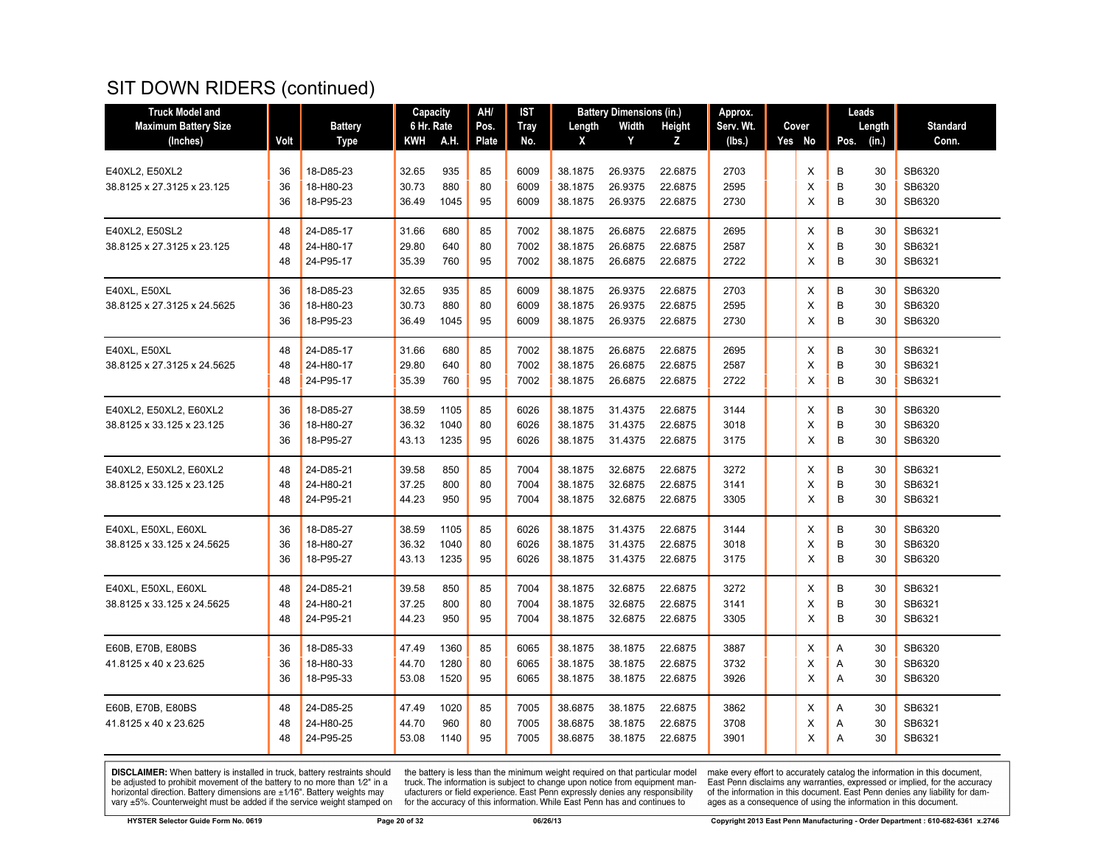| <b>Truck Model and</b>      |      |                | Capacity   |      | AH/   | <b>IST</b>  |         | <b>Battery Dimensions (in.)</b> |               | Approx.   |        | Leads         |                 |
|-----------------------------|------|----------------|------------|------|-------|-------------|---------|---------------------------------|---------------|-----------|--------|---------------|-----------------|
| <b>Maximum Battery Size</b> |      | <b>Battery</b> | 6 Hr. Rate |      | Pos.  | <b>Tray</b> | Length  | Width                           | <b>Height</b> | Serv. Wt. | Cover  | Length        | <b>Standard</b> |
| (Inches)                    | Volt | <b>Type</b>    | KWH        | A.H. | Plate | No.         | X       | Y                               | Z             | (lbs.)    | Yes No | (in.)<br>Pos. | Conn.           |
|                             |      |                |            |      |       |             |         |                                 |               |           |        |               |                 |
| E40XL2, E50XL2              | 36   | 18-D85-23      | 32.65      | 935  | 85    | 6009        | 38.1875 | 26.9375                         | 22.6875       | 2703      | X      | В<br>30       | SB6320          |
| 38.8125 x 27.3125 x 23.125  | 36   | 18-H80-23      | 30.73      | 880  | 80    | 6009        | 38.1875 | 26.9375                         | 22.6875       | 2595      | X      | B<br>30       | SB6320          |
|                             | 36   | 18-P95-23      | 36.49      | 1045 | 95    | 6009        | 38.1875 | 26.9375                         | 22.6875       | 2730      | X      | B<br>30       | SB6320          |
| E40XL2, E50SL2              | 48   | 24-D85-17      | 31.66      | 680  | 85    | 7002        | 38.1875 | 26.6875                         | 22.6875       | 2695      | X      | B<br>30       | SB6321          |
| 38.8125 x 27.3125 x 23.125  | 48   | 24-H80-17      | 29.80      | 640  | 80    | 7002        | 38.1875 | 26.6875                         | 22.6875       | 2587      | X      | B<br>30       | SB6321          |
|                             | 48   | 24-P95-17      | 35.39      | 760  | 95    | 7002        | 38.1875 | 26.6875                         | 22.6875       | 2722      | X      | B<br>30       | SB6321          |
| E40XL, E50XL                | 36   | 18-D85-23      | 32.65      | 935  | 85    | 6009        | 38.1875 | 26.9375                         | 22.6875       | 2703      | X      | B<br>30       | SB6320          |
| 38.8125 x 27.3125 x 24.5625 | 36   | 18-H80-23      | 30.73      | 880  | 80    | 6009        | 38.1875 | 26.9375                         | 22.6875       | 2595      | X      | B<br>30       | SB6320          |
|                             | 36   | 18-P95-23      | 36.49      | 1045 | 95    | 6009        | 38.1875 | 26.9375                         | 22.6875       | 2730      | X      | B<br>30       | SB6320          |
| E40XL. E50XL                | 48   | 24-D85-17      | 31.66      | 680  | 85    | 7002        | 38.1875 | 26.6875                         | 22.6875       | 2695      | X      | B<br>30       | SB6321          |
| 38.8125 x 27.3125 x 24.5625 | 48   | 24-H80-17      | 29.80      | 640  | 80    | 7002        | 38.1875 | 26.6875                         | 22.6875       | 2587      | X      | B<br>30       | SB6321          |
|                             | 48   | 24-P95-17      | 35.39      | 760  | 95    | 7002        | 38.1875 | 26.6875                         | 22.6875       | 2722      | X      | B<br>30       | SB6321          |
| E40XL2, E50XL2, E60XL2      | 36   | 18-D85-27      | 38.59      | 1105 | 85    | 6026        | 38.1875 | 31.4375                         | 22.6875       | 3144      | X      | B<br>30       | SB6320          |
| 38.8125 x 33.125 x 23.125   | 36   | 18-H80-27      | 36.32      | 1040 | 80    | 6026        | 38.1875 | 31.4375                         | 22.6875       | 3018      | X      | B<br>30       | SB6320          |
|                             | 36   | 18-P95-27      | 43.13      | 1235 | 95    | 6026        | 38.1875 | 31.4375                         | 22.6875       | 3175      | X      | B<br>30       | SB6320          |
| E40XL2, E50XL2, E60XL2      | 48   | 24-D85-21      | 39.58      | 850  | 85    | 7004        | 38.1875 | 32.6875                         | 22.6875       | 3272      | X      | B<br>30       | SB6321          |
| 38.8125 x 33.125 x 23.125   | 48   | 24-H80-21      | 37.25      | 800  | 80    | 7004        | 38.1875 | 32.6875                         | 22.6875       | 3141      | X      | B<br>30       | SB6321          |
|                             | 48   | 24-P95-21      | 44.23      | 950  | 95    | 7004        | 38.1875 | 32.6875                         | 22.6875       | 3305      | X      | В<br>30       | SB6321          |
| E40XL, E50XL, E60XL         | 36   | 18-D85-27      | 38.59      | 1105 | 85    | 6026        | 38.1875 | 31.4375                         | 22.6875       | 3144      | X      | B<br>30       | SB6320          |
| 38.8125 x 33.125 x 24.5625  | 36   | 18-H80-27      | 36.32      | 1040 | 80    | 6026        | 38.1875 | 31.4375                         | 22.6875       | 3018      | X      | B<br>30       | SB6320          |
|                             | 36   | 18-P95-27      | 43.13      | 1235 | 95    | 6026        | 38.1875 | 31.4375                         | 22.6875       | 3175      | X      | B<br>30       | SB6320          |
| E40XL, E50XL, E60XL         | 48   | 24-D85-21      | 39.58      | 850  | 85    | 7004        | 38.1875 | 32.6875                         | 22.6875       | 3272      | X      | B<br>30       | SB6321          |
| 38.8125 x 33.125 x 24.5625  | 48   | 24-H80-21      | 37.25      | 800  | 80    | 7004        | 38.1875 | 32.6875                         | 22.6875       | 3141      | Х      | B<br>30       | SB6321          |
|                             | 48   | 24-P95-21      | 44.23      | 950  | 95    | 7004        | 38.1875 | 32.6875                         | 22.6875       | 3305      | X      | B<br>30       | SB6321          |
| E60B, E70B, E80BS           | 36   | 18-D85-33      | 47.49      | 1360 | 85    | 6065        | 38.1875 | 38.1875                         | 22.6875       | 3887      | X      | 30<br>Α       | SB6320          |
| 41.8125 x 40 x 23.625       | 36   | 18-H80-33      | 44.70      | 1280 | 80    | 6065        | 38.1875 | 38.1875                         | 22.6875       | 3732      | Х      | 30<br>Α       | SB6320          |
|                             | 36   | 18-P95-33      | 53.08      | 1520 | 95    | 6065        | 38.1875 | 38.1875                         | 22.6875       | 3926      | X      | A<br>30       | SB6320          |
| E60B, E70B, E80BS           | 48   | 24-D85-25      | 47.49      | 1020 | 85    | 7005        | 38.6875 | 38.1875                         | 22.6875       | 3862      | X      | 30<br>Α       | SB6321          |
| 41.8125 x 40 x 23.625       | 48   | 24-H80-25      | 44.70      | 960  | 80    | 7005        | 38.6875 | 38.1875                         | 22.6875       | 3708      | X      | 30<br>Α       | SB6321          |
|                             | 48   | 24-P95-25      | 53.08      | 1140 | 95    | 7005        | 38.6875 | 38.1875                         | 22.6875       | 3901      | X      | A<br>30       | SB6321          |
|                             |      |                |            |      |       |             |         |                                 |               |           |        |               |                 |

**DISCLAIMER:** When battery is installed in truck, battery restraints should be adjusted to prohibit movement of the battery to no more than  $1/2$ " in a horizontal direction. Battery dimensions are  $\pm 1/16$ ". Battery weig

the battery is less than the minimum weight required on that particular model<br>truck. The information is subject to change upon notice from equipment man-<br>ufacturers or field experience. East Penn expressly denies any respo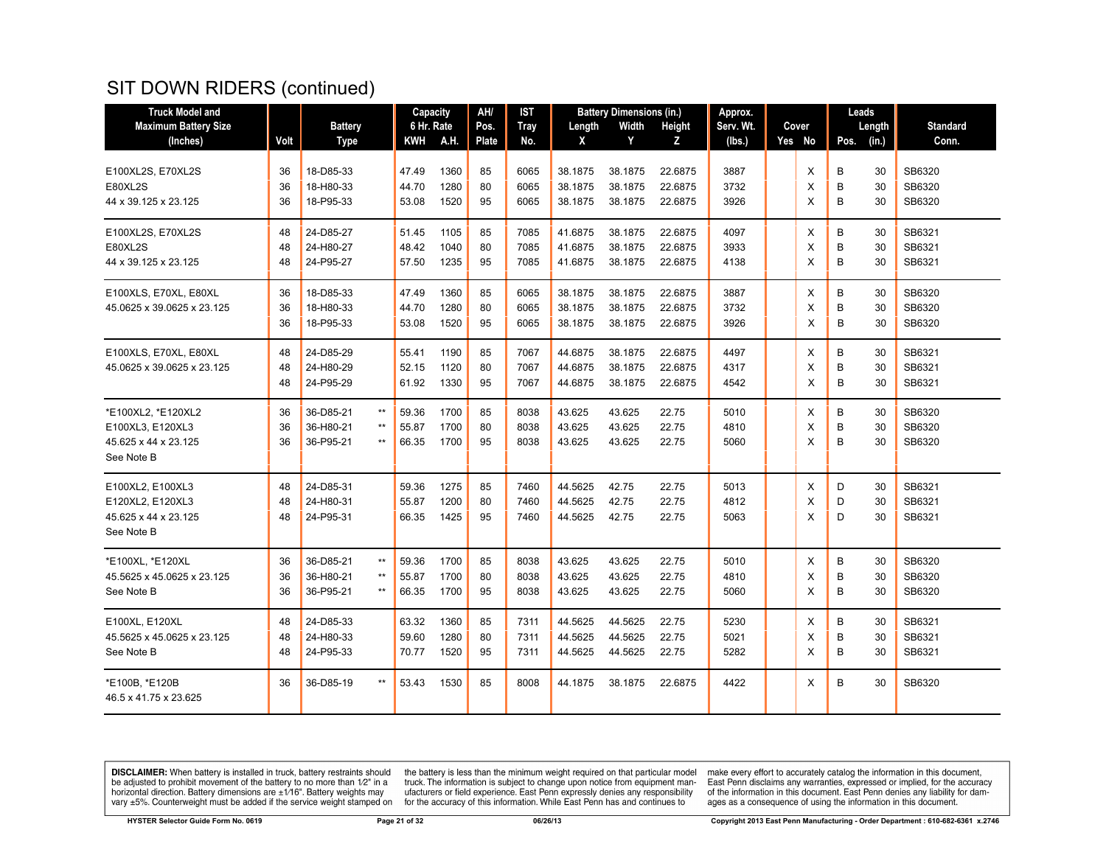| <b>Truck Model and</b>                                                       |                |                                     |                                                    | Capacity                |                      | AH/            | <b>IST</b>           |                               | <b>Battery Dimensions (in.)</b> |                               | Approx.              |             | Leads                         |                            |
|------------------------------------------------------------------------------|----------------|-------------------------------------|----------------------------------------------------|-------------------------|----------------------|----------------|----------------------|-------------------------------|---------------------------------|-------------------------------|----------------------|-------------|-------------------------------|----------------------------|
| <b>Maximum Battery Size</b>                                                  |                | <b>Battery</b>                      |                                                    | 6 Hr. Rate              |                      | Pos.           | <b>Tray</b>          | Length                        | Width                           | Height                        | Serv. Wt.            | Cover       | Length                        | <b>Standard</b>            |
| (Inches)                                                                     | Volt           | <b>Type</b>                         |                                                    | <b>KWH</b>              | A.H.                 | <b>Plate</b>   | No.                  | X                             | Y                               | z                             | (lbs.)               | Yes No      | (in.)<br>Pos.                 | Conn.                      |
| E100XL2S, E70XL2S<br><b>E80XL2S</b>                                          | 36<br>36       | 18-D85-33<br>18-H80-33              |                                                    | 47.49<br>44.70          | 1360<br>1280         | 85<br>80       | 6065<br>6065         | 38.1875<br>38.1875            | 38.1875<br>38.1875              | 22.6875<br>22.6875            | 3887<br>3732         | X<br>X      | B<br>30<br>B<br>30            | SB6320<br>SB6320           |
| 44 x 39.125 x 23.125                                                         | 36             | 18-P95-33                           |                                                    | 53.08                   | 1520                 | 95             | 6065                 | 38.1875                       | 38.1875                         | 22.6875                       | 3926                 | X           | B<br>30                       | SB6320                     |
| E100XL2S, E70XL2S<br>E80XL2S<br>44 x 39.125 x 23.125                         | 48<br>48<br>48 | 24-D85-27<br>24-H80-27<br>24-P95-27 |                                                    | 51.45<br>48.42<br>57.50 | 1105<br>1040<br>1235 | 85<br>80<br>95 | 7085<br>7085<br>7085 | 41.6875<br>41.6875<br>41.6875 | 38.1875<br>38.1875<br>38.1875   | 22.6875<br>22.6875<br>22.6875 | 4097<br>3933<br>4138 | X<br>X<br>X | B<br>30<br>B<br>30<br>B<br>30 | SB6321<br>SB6321<br>SB6321 |
| E100XLS, E70XL, E80XL                                                        | 36             | 18-D85-33                           |                                                    | 47.49                   | 1360                 | 85             | 6065                 | 38.1875                       | 38.1875                         | 22.6875                       | 3887                 | X           | B<br>30                       | SB6320                     |
| 45.0625 x 39.0625 x 23.125                                                   | 36<br>36       | 18-H80-33<br>18-P95-33              |                                                    | 44.70<br>53.08          | 1280<br>1520         | 80<br>95       | 6065<br>6065         | 38.1875<br>38.1875            | 38.1875<br>38.1875              | 22.6875<br>22.6875            | 3732<br>3926         | X<br>X      | B<br>30<br>В<br>30            | SB6320<br>SB6320           |
| E100XLS, E70XL, E80XL<br>45.0625 x 39.0625 x 23.125                          | 48<br>48<br>48 | 24-D85-29<br>24-H80-29<br>24-P95-29 |                                                    | 55.41<br>52.15<br>61.92 | 1190<br>1120<br>1330 | 85<br>80<br>95 | 7067<br>7067<br>7067 | 44.6875<br>44.6875<br>44.6875 | 38.1875<br>38.1875<br>38.1875   | 22.6875<br>22.6875<br>22.6875 | 4497<br>4317<br>4542 | X<br>X<br>X | B<br>30<br>B<br>30<br>B<br>30 | SB6321<br>SB6321<br>SB6321 |
| *E100XL2, *E120XL2<br>E100XL3, E120XL3<br>45.625 x 44 x 23.125<br>See Note B | 36<br>36<br>36 | 36-D85-21<br>36-H80-21<br>36-P95-21 | $\star\star$<br>$^{\star\star}$<br>$^{\star\star}$ | 59.36<br>55.87<br>66.35 | 1700<br>1700<br>1700 | 85<br>80<br>95 | 8038<br>8038<br>8038 | 43.625<br>43.625<br>43.625    | 43.625<br>43.625<br>43.625      | 22.75<br>22.75<br>22.75       | 5010<br>4810<br>5060 | X<br>X<br>X | B<br>30<br>B<br>30<br>B<br>30 | SB6320<br>SB6320<br>SB6320 |
| E100XL2, E100XL3<br>E120XL2, E120XL3<br>45.625 x 44 x 23.125<br>See Note B   | 48<br>48<br>48 | 24-D85-31<br>24-H80-31<br>24-P95-31 |                                                    | 59.36<br>55.87<br>66.35 | 1275<br>1200<br>1425 | 85<br>80<br>95 | 7460<br>7460<br>7460 | 44.5625<br>44.5625<br>44.5625 | 42.75<br>42.75<br>42.75         | 22.75<br>22.75<br>22.75       | 5013<br>4812<br>5063 | Х<br>X<br>X | D<br>30<br>D<br>30<br>D<br>30 | SB6321<br>SB6321<br>SB6321 |
| *E100XL, *E120XL<br>45.5625 x 45.0625 x 23.125<br>See Note B                 | 36<br>36<br>36 | 36-D85-21<br>36-H80-21<br>36-P95-21 | $^{\star\star}$<br>$^{\star\star}$<br>$***$        | 59.36<br>55.87<br>66.35 | 1700<br>1700<br>1700 | 85<br>80<br>95 | 8038<br>8038<br>8038 | 43.625<br>43.625<br>43.625    | 43.625<br>43.625<br>43.625      | 22.75<br>22.75<br>22.75       | 5010<br>4810<br>5060 | Х<br>X<br>X | В<br>30<br>B<br>30<br>B<br>30 | SB6320<br>SB6320<br>SB6320 |
| E100XL, E120XL<br>45.5625 x 45.0625 x 23.125<br>See Note B                   | 48<br>48<br>48 | 24-D85-33<br>24-H80-33<br>24-P95-33 |                                                    | 63.32<br>59.60<br>70.77 | 1360<br>1280<br>1520 | 85<br>80<br>95 | 7311<br>7311<br>7311 | 44.5625<br>44.5625<br>44.5625 | 44.5625<br>44.5625<br>44.5625   | 22.75<br>22.75<br>22.75       | 5230<br>5021<br>5282 | Х<br>X<br>X | B<br>30<br>B<br>30<br>B<br>30 | SB6321<br>SB6321<br>SB6321 |
| *E100B, *E120B<br>46.5 x 41.75 x 23.625                                      | 36             | 36-D85-19                           | $***$                                              | 53.43                   | 1530                 | 85             | 8008                 | 44.1875                       | 38.1875                         | 22.6875                       | 4422                 | X           | B<br>30                       | SB6320                     |

**DISCLAIMER:** When battery is installed in truck, battery restraints should be adjusted to prohibit movement of the battery to no more than  $1/2$ " in a horizontal direction. Battery dimensions are  $\pm 1/16$ ". Battery weig

the battery is less than the minimum weight required on that particular model<br>truck. The information is subject to change upon notice from equipment man-<br>ufacturers or field experience. East Penn expressly denies any respo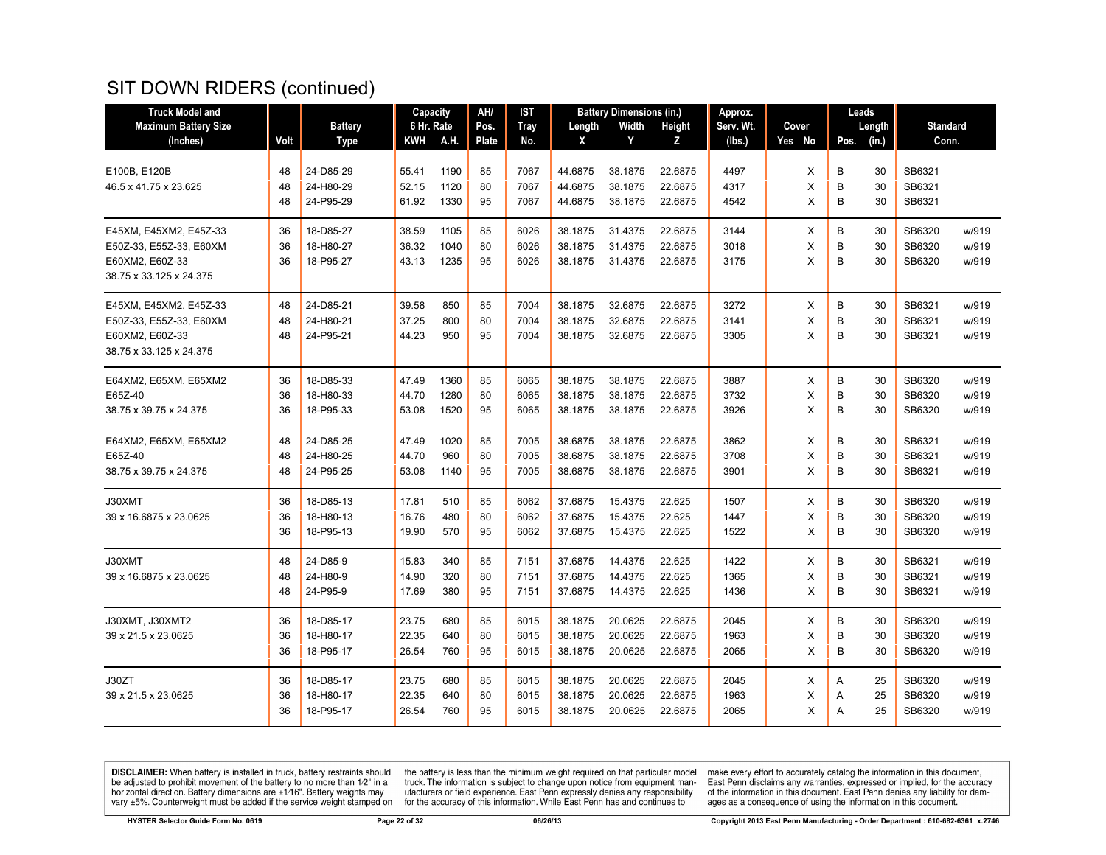| <b>Truck Model and</b>      |      |                | Capacity   |      | AH/   | IST         |         | <b>Battery Dimensions (in.)</b> |         | Approx.   |        |      | Leads  |                 |       |
|-----------------------------|------|----------------|------------|------|-------|-------------|---------|---------------------------------|---------|-----------|--------|------|--------|-----------------|-------|
| <b>Maximum Battery Size</b> |      | <b>Battery</b> | 6 Hr. Rate |      | Pos.  | <b>Tray</b> | Length  | Width                           | Height  | Serv. Wt. | Cover  |      | Length | <b>Standard</b> |       |
| (Inches)                    | Volt | <b>Type</b>    | KWH        | A.H. | Plate | No.         | X       | Y                               | z       | (Ibs.)    | Yes No | Pos. | (in.)  | Conn.           |       |
|                             |      |                |            |      |       |             |         |                                 |         |           |        |      |        |                 |       |
| E100B, E120B                | 48   | 24-D85-29      | 55.41      | 1190 | 85    | 7067        | 44.6875 | 38.1875                         | 22.6875 | 4497      | X      | B    | 30     | SB6321          |       |
| 46.5 x 41.75 x 23.625       | 48   | 24-H80-29      | 52.15      | 1120 | 80    | 7067        | 44.6875 | 38.1875                         | 22.6875 | 4317      | Х      | B    | 30     | SB6321          |       |
|                             | 48   | 24-P95-29      | 61.92      | 1330 | 95    | 7067        | 44.6875 | 38.1875                         | 22.6875 | 4542      | X      | B    | 30     | SB6321          |       |
| E45XM, E45XM2, E45Z-33      | 36   | 18-D85-27      | 38.59      | 1105 | 85    | 6026        | 38.1875 | 31.4375                         | 22.6875 | 3144      | X      | B    | 30     | SB6320          | w/919 |
| E50Z-33, E55Z-33, E60XM     | 36   | 18-H80-27      | 36.32      | 1040 | 80    | 6026        | 38.1875 | 31.4375                         | 22.6875 | 3018      | X      | B    | 30     | SB6320          | w/919 |
| E60XM2, E60Z-33             | 36   | 18-P95-27      | 43.13      | 1235 | 95    | 6026        | 38.1875 | 31.4375                         | 22.6875 | 3175      | X      | B    | 30     | SB6320          | w/919 |
| 38.75 x 33.125 x 24.375     |      |                |            |      |       |             |         |                                 |         |           |        |      |        |                 |       |
| E45XM, E45XM2, E45Z-33      | 48   | 24-D85-21      | 39.58      | 850  | 85    | 7004        | 38.1875 | 32.6875                         | 22.6875 | 3272      | Х      | B    | 30     | SB6321          | w/919 |
| E50Z-33, E55Z-33, E60XM     | 48   | 24-H80-21      | 37.25      | 800  | 80    | 7004        | 38.1875 | 32.6875                         | 22.6875 | 3141      | X      | B    | 30     | SB6321          | w/919 |
| E60XM2, E60Z-33             | 48   | 24-P95-21      | 44.23      | 950  | 95    | 7004        | 38.1875 | 32.6875                         | 22.6875 | 3305      | X      | B    | 30     | SB6321          | w/919 |
| 38.75 x 33.125 x 24.375     |      |                |            |      |       |             |         |                                 |         |           |        |      |        |                 |       |
| E64XM2, E65XM, E65XM2       | 36   | 18-D85-33      | 47.49      | 1360 | 85    | 6065        | 38.1875 | 38.1875                         | 22.6875 | 3887      | X      | B    | 30     | SB6320          | w/919 |
| E65Z-40                     | 36   | 18-H80-33      | 44.70      | 1280 | 80    | 6065        | 38.1875 | 38.1875                         | 22.6875 | 3732      | X      | B    | 30     | SB6320          | w/919 |
| 38.75 x 39.75 x 24.375      | 36   | 18-P95-33      | 53.08      | 1520 | 95    | 6065        | 38.1875 | 38.1875                         | 22.6875 | 3926      | X      | B    | 30     | SB6320          | w/919 |
| E64XM2, E65XM, E65XM2       | 48   | 24-D85-25      | 47.49      | 1020 | 85    | 7005        | 38.6875 | 38.1875                         | 22.6875 | 3862      | X      | B    | 30     | SB6321          | w/919 |
| E65Z-40                     | 48   | 24-H80-25      | 44.70      | 960  | 80    | 7005        | 38.6875 | 38.1875                         | 22.6875 | 3708      | X      | B    | 30     | SB6321          | w/919 |
| 38.75 x 39.75 x 24.375      | 48   | 24-P95-25      | 53.08      | 1140 | 95    | 7005        | 38.6875 | 38.1875                         | 22.6875 | 3901      | X      | B    | 30     | SB6321          | w/919 |
| J30XMT                      | 36   | 18-D85-13      | 17.81      | 510  | 85    | 6062        | 37.6875 | 15.4375                         | 22.625  | 1507      | X      | B    | 30     | SB6320          | w/919 |
| 39 x 16.6875 x 23.0625      | 36   | 18-H80-13      | 16.76      | 480  | 80    | 6062        | 37.6875 | 15.4375                         | 22.625  | 1447      | X      | B    | 30     | SB6320          | w/919 |
|                             | 36   | 18-P95-13      | 19.90      | 570  | 95    | 6062        | 37.6875 | 15.4375                         | 22.625  | 1522      | X      | B    | 30     | SB6320          | w/919 |
| J30XMT                      | 48   | 24-D85-9       | 15.83      | 340  | 85    | 7151        | 37.6875 | 14.4375                         | 22.625  | 1422      | X      | B    | 30     | SB6321          | w/919 |
| 39 x 16.6875 x 23.0625      | 48   | 24-H80-9       | 14.90      | 320  | 80    | 7151        | 37.6875 | 14.4375                         | 22.625  | 1365      | Х      | B    | 30     | SB6321          | w/919 |
|                             | 48   | 24-P95-9       | 17.69      | 380  | 95    | 7151        | 37.6875 | 14.4375                         | 22.625  | 1436      | X      | в    | 30     | SB6321          | w/919 |
| J30XMT, J30XMT2             | 36   | 18-D85-17      | 23.75      | 680  | 85    | 6015        | 38.1875 | 20.0625                         | 22.6875 | 2045      | X      | B    | 30     | SB6320          | w/919 |
| 39 x 21.5 x 23.0625         | 36   | 18-H80-17      | 22.35      | 640  | 80    | 6015        | 38.1875 | 20.0625                         | 22.6875 | 1963      | X      | B    | 30     | SB6320          | w/919 |
|                             | 36   | 18-P95-17      | 26.54      | 760  | 95    | 6015        | 38.1875 | 20.0625                         | 22.6875 | 2065      | X      | B    | 30     | SB6320          | w/919 |
| J30ZT                       | 36   | 18-D85-17      | 23.75      | 680  | 85    | 6015        | 38.1875 | 20.0625                         | 22.6875 | 2045      | X      | Α    | 25     | SB6320          | w/919 |
| 39 x 21.5 x 23.0625         | 36   | 18-H80-17      | 22.35      | 640  | 80    | 6015        | 38.1875 | 20.0625                         | 22.6875 | 1963      | Х      | Α    | 25     | SB6320          | w/919 |
|                             | 36   | 18-P95-17      | 26.54      | 760  | 95    | 6015        | 38.1875 | 20.0625                         | 22.6875 | 2065      | X      | A    | 25     | SB6320          | w/919 |

**DISCLAIMER:** When battery is installed in truck, battery restraints should be adjusted to prohibit movement of the battery to no more than  $1/2$ " in a horizontal direction. Battery dimensions are  $\pm 1/16$ ". Battery weig

the battery is less than the minimum weight required on that particular model<br>truck. The information is subject to change upon notice from equipment man-<br>ufacturers or field experience. East Penn expressly denies any respo for the accuracy of this information. While East Penn has and continues to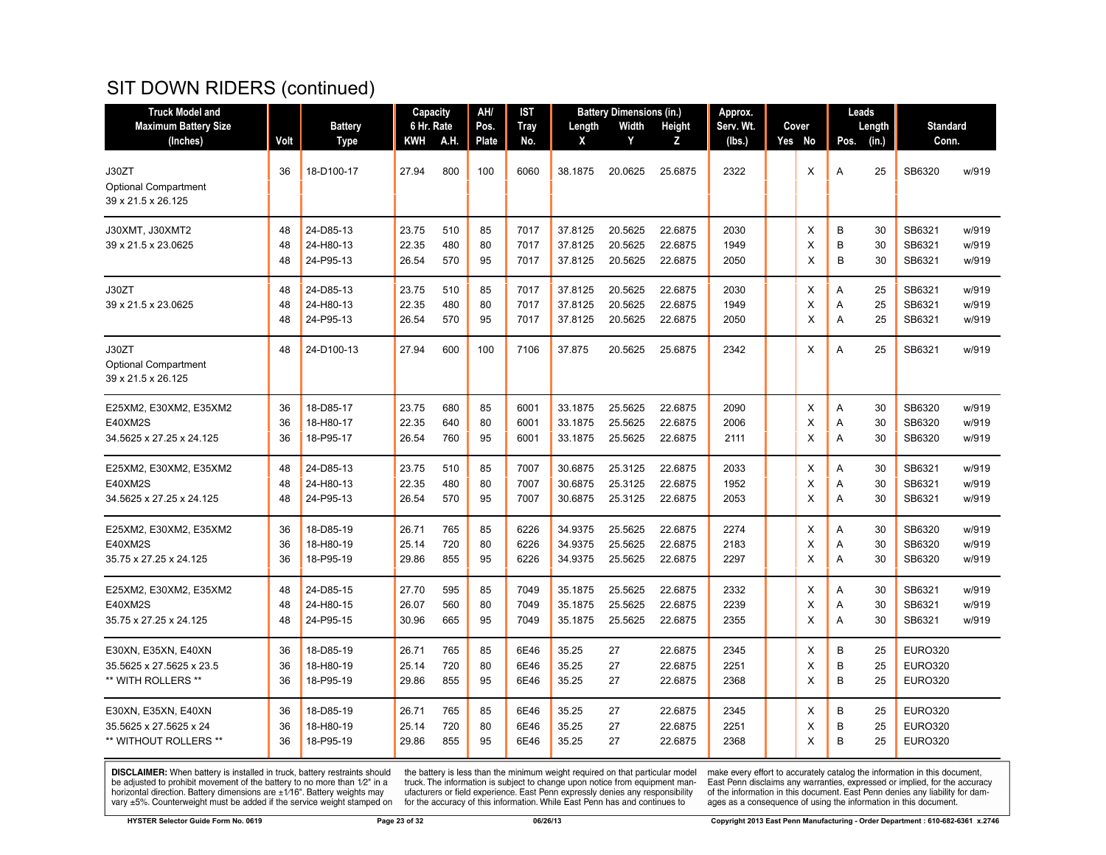| <b>Truck Model and</b>                                                 |                |                                     | Capacity                |                   | AH/            | IST                  |                               | <b>Battery Dimensions (in.)</b> |                               | Approx.              |             |             | Leads          |                                                    |                         |
|------------------------------------------------------------------------|----------------|-------------------------------------|-------------------------|-------------------|----------------|----------------------|-------------------------------|---------------------------------|-------------------------------|----------------------|-------------|-------------|----------------|----------------------------------------------------|-------------------------|
| <b>Maximum Battery Size</b>                                            |                | <b>Battery</b>                      | 6 Hr. Rate              |                   | Pos.           | <b>Tray</b>          | Length                        | Width                           | Height                        | Serv. Wt.            | Cover       |             | Length         | <b>Standard</b>                                    |                         |
| (Inches)                                                               | Volt           | Type                                | KWH                     | A.H               | <b>Plate</b>   | No.                  | X                             | Y                               | z                             | (lbs.)               | Yes No      | Pos.        | (in.)          | Conn.                                              |                         |
| J30ZT<br><b>Optional Compartment</b><br>39 x 21.5 x 26.125             | 36             | 18-D100-17                          | 27.94                   | 800               | 100            | 6060                 | 38.1875                       | 20.0625                         | 25.6875                       | 2322                 | X           | A           | 25             | SB6320                                             | w/919                   |
| J30XMT, J30XMT2<br>39 x 21.5 x 23.0625                                 | 48<br>48<br>48 | 24-D85-13<br>24-H80-13<br>24-P95-13 | 23.75<br>22.35<br>26.54 | 510<br>480<br>570 | 85<br>80<br>95 | 7017<br>7017<br>7017 | 37.8125<br>37.8125<br>37.8125 | 20.5625<br>20.5625<br>20.5625   | 22.6875<br>22.6875<br>22.6875 | 2030<br>1949<br>2050 | Χ<br>X<br>X | B<br>B<br>B | 30<br>30<br>30 | SB6321<br>SB6321<br>SB6321                         | w/919<br>w/919<br>w/919 |
| J30ZT<br>39 x 21.5 x 23.0625                                           | 48<br>48<br>48 | 24-D85-13<br>24-H80-13<br>24-P95-13 | 23.75<br>22.35<br>26.54 | 510<br>480<br>570 | 85<br>80<br>95 | 7017<br>7017<br>7017 | 37.8125<br>37.8125<br>37.8125 | 20.5625<br>20.5625<br>20.5625   | 22.6875<br>22.6875<br>22.6875 | 2030<br>1949<br>2050 | X<br>X<br>X | A<br>A<br>A | 25<br>25<br>25 | SB6321<br>SB6321<br>SB6321                         | w/919<br>w/919<br>w/919 |
| J30ZT<br><b>Optional Compartment</b><br>39 x 21.5 x 26.125             | 48             | 24-D100-13                          | 27.94                   | 600               | 100            | 7106                 | 37.875                        | 20.5625                         | 25.6875                       | 2342                 | X           | A           | 25             | SB6321                                             | w/919                   |
| E25XM2, E30XM2, E35XM2<br>E40XM2S<br>34.5625 x 27.25 x 24.125          | 36<br>36<br>36 | 18-D85-17<br>18-H80-17<br>18-P95-17 | 23.75<br>22.35<br>26.54 | 680<br>640<br>760 | 85<br>80<br>95 | 6001<br>6001<br>6001 | 33.1875<br>33.1875<br>33.1875 | 25.5625<br>25.5625<br>25.5625   | 22.6875<br>22.6875<br>22.6875 | 2090<br>2006<br>2111 | X<br>X<br>X | A<br>Α<br>A | 30<br>30<br>30 | SB6320<br>SB6320<br>SB6320                         | w/919<br>w/919<br>w/919 |
| E25XM2, E30XM2, E35XM2<br>E40XM2S<br>34.5625 x 27.25 x 24.125          | 48<br>48<br>48 | 24-D85-13<br>24-H80-13<br>24-P95-13 | 23.75<br>22.35<br>26.54 | 510<br>480<br>570 | 85<br>80<br>95 | 7007<br>7007<br>7007 | 30.6875<br>30.6875<br>30.6875 | 25.3125<br>25.3125<br>25.3125   | 22.6875<br>22.6875<br>22.6875 | 2033<br>1952<br>2053 | Χ<br>X<br>X | Α<br>Α<br>A | 30<br>30<br>30 | SB6321<br>SB6321<br>SB6321                         | w/919<br>w/919<br>w/919 |
| E25XM2, E30XM2, E35XM2<br>E40XM2S<br>35.75 x 27.25 x 24.125            | 36<br>36<br>36 | 18-D85-19<br>18-H80-19<br>18-P95-19 | 26.71<br>25.14<br>29.86 | 765<br>720<br>855 | 85<br>80<br>95 | 6226<br>6226<br>6226 | 34.9375<br>34.9375<br>34.9375 | 25.5625<br>25.5625<br>25.5625   | 22.6875<br>22.6875<br>22.6875 | 2274<br>2183<br>2297 | X<br>X<br>X | A<br>Α<br>A | 30<br>30<br>30 | SB6320<br>SB6320<br>SB6320                         | w/919<br>w/919<br>w/919 |
| E25XM2, E30XM2, E35XM2<br>E40XM2S<br>35.75 x 27.25 x 24.125            | 48<br>48<br>48 | 24-D85-15<br>24-H80-15<br>24-P95-15 | 27.70<br>26.07<br>30.96 | 595<br>560<br>665 | 85<br>80<br>95 | 7049<br>7049<br>7049 | 35.1875<br>35.1875<br>35.1875 | 25.5625<br>25.5625<br>25.5625   | 22.6875<br>22.6875<br>22.6875 | 2332<br>2239<br>2355 | Χ<br>X<br>X | Α<br>A<br>A | 30<br>30<br>30 | SB6321<br>SB6321<br>SB6321                         | w/919<br>w/919<br>w/919 |
| E30XN, E35XN, E40XN<br>35.5625 x 27.5625 x 23.5<br>** WITH ROLLERS **  | 36<br>36<br>36 | 18-D85-19<br>18-H80-19<br>18-P95-19 | 26.71<br>25.14<br>29.86 | 765<br>720<br>855 | 85<br>80<br>95 | 6E46<br>6E46<br>6E46 | 35.25<br>35.25<br>35.25       | 27<br>27<br>27                  | 22.6875<br>22.6875<br>22.6875 | 2345<br>2251<br>2368 | х<br>Х<br>X | B<br>B<br>B | 25<br>25<br>25 | <b>EURO320</b><br><b>EURO320</b><br><b>EURO320</b> |                         |
| E30XN, E35XN, E40XN<br>35.5625 x 27.5625 x 24<br>** WITHOUT ROLLERS ** | 36<br>36<br>36 | 18-D85-19<br>18-H80-19<br>18-P95-19 | 26.71<br>25.14<br>29.86 | 765<br>720<br>855 | 85<br>80<br>95 | 6E46<br>6E46<br>6E46 | 35.25<br>35.25<br>35.25       | 27<br>27<br>27                  | 22.6875<br>22.6875<br>22.6875 | 2345<br>2251<br>2368 | х<br>X<br>X | B<br>В<br>B | 25<br>25<br>25 | <b>EURO320</b><br><b>EURO320</b><br><b>EURO320</b> |                         |

**DISCLAIMER:** When battery is installed in truck, battery restraints should be adjusted to prohibit movement of the battery to no more than  $1/2$ " in a horizontal direction. Battery dimensions are  $\pm 1/16$ ". Battery weig

the battery is less than the minimum weight required on that particular model<br>truck. The information is subject to change upon notice from equipment man-<br>ufacturers or field experience. East Penn expressly denies any respo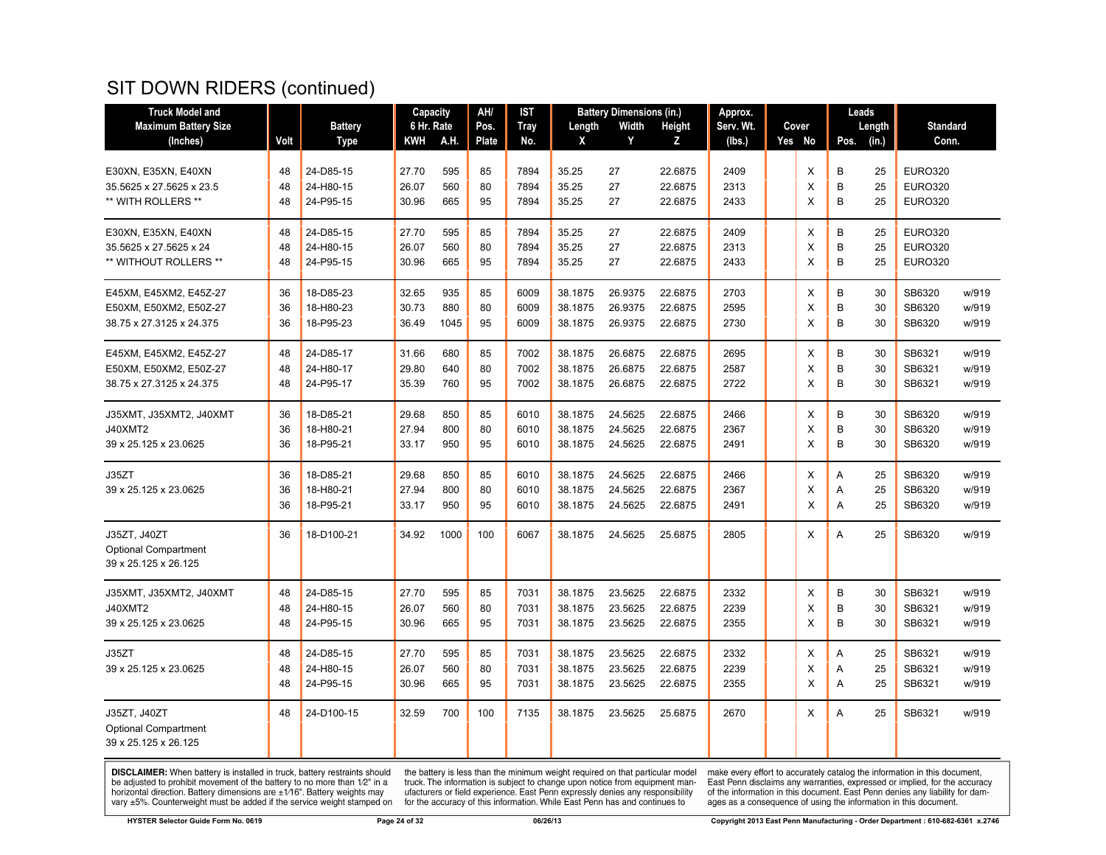| <b>Truck Model and</b>      |      |                | Capacity   |      | AH/          | <b>IST</b>  |         | <b>Battery Dimensions (in.)</b> |         | Approx.   |          |      | Leads  |                 |       |
|-----------------------------|------|----------------|------------|------|--------------|-------------|---------|---------------------------------|---------|-----------|----------|------|--------|-----------------|-------|
| <b>Maximum Battery Size</b> |      | <b>Battery</b> | 6 Hr. Rate |      | Pos.         | <b>Tray</b> | Length  | Width                           | Height  | Serv. Wt. | Cover    |      | Length | <b>Standard</b> |       |
| (Inches)                    | Volt | <b>Type</b>    | KWH        | A.H. | <b>Plate</b> | No.         | X       | Y                               | z       | (lbs.)    | Yes No   | Pos. | (in.)  | Conn.           |       |
| E30XN, E35XN, E40XN         | 48   | 24-D85-15      | 27.70      | 595  | 85           | 7894        | 35.25   | 27                              | 22.6875 | 2409      | Χ        | B    | 25     | <b>EURO320</b>  |       |
| 35.5625 x 27.5625 x 23.5    | 48   | 24-H80-15      | 26.07      | 560  | 80           | 7894        | 35.25   | 27                              | 22.6875 | 2313      | X        | B    | 25     | <b>EURO320</b>  |       |
| ** WITH ROLLERS **          | 48   | 24-P95-15      | 30.96      | 665  | 95           | 7894        | 35.25   | 27                              | 22.6875 | 2433      | X        | B    | 25     | <b>EURO320</b>  |       |
|                             |      |                |            |      |              |             |         |                                 |         |           |          |      |        |                 |       |
| E30XN, E35XN, E40XN         | 48   | 24-D85-15      | 27.70      | 595  | 85           | 7894        | 35.25   | 27                              | 22.6875 | 2409      | X        | B    | 25     | <b>EURO320</b>  |       |
| 35.5625 x 27.5625 x 24      | 48   | 24-H80-15      | 26.07      | 560  | 80           | 7894        | 35.25   | 27                              | 22.6875 | 2313      | X        | B    | 25     | <b>EURO320</b>  |       |
| ** WITHOUT ROLLERS **       | 48   | 24-P95-15      | 30.96      | 665  | 95           | 7894        | 35.25   | 27                              | 22.6875 | 2433      | $\times$ | B    | 25     | <b>EURO320</b>  |       |
| E45XM, E45XM2, E45Z-27      | 36   | 18-D85-23      | 32.65      | 935  | 85           | 6009        | 38.1875 | 26.9375                         | 22.6875 | 2703      | X        | B    | 30     | SB6320          | w/919 |
| E50XM, E50XM2, E50Z-27      | 36   | 18-H80-23      | 30.73      | 880  | 80           | 6009        | 38.1875 | 26.9375                         | 22.6875 | 2595      | X        | B    | 30     | SB6320          | w/919 |
| 38.75 x 27.3125 x 24.375    | 36   | 18-P95-23      | 36.49      | 1045 | 95           | 6009        | 38.1875 | 26.9375                         | 22.6875 | 2730      | X        | B    | 30     | SB6320          | w/919 |
| E45XM, E45XM2, E45Z-27      | 48   | 24-D85-17      | 31.66      | 680  | 85           | 7002        | 38.1875 | 26.6875                         | 22.6875 | 2695      | X        | B    | 30     | SB6321          | w/919 |
| E50XM, E50XM2, E50Z-27      | 48   | 24-H80-17      | 29.80      | 640  | 80           | 7002        | 38.1875 | 26.6875                         | 22.6875 | 2587      | X        | B    | 30     | SB6321          | w/919 |
| 38.75 x 27.3125 x 24.375    | 48   | 24-P95-17      | 35.39      | 760  | 95           | 7002        | 38.1875 | 26.6875                         | 22.6875 | 2722      | X        | B    | 30     | SB6321          | w/919 |
| J35XMT, J35XMT2, J40XMT     | 36   | 18-D85-21      | 29.68      | 850  | 85           | 6010        | 38.1875 | 24.5625                         | 22.6875 | 2466      | X        | B    | 30     | SB6320          | w/919 |
| J40XMT2                     | 36   | 18-H80-21      | 27.94      | 800  | 80           | 6010        | 38.1875 | 24.5625                         | 22.6875 | 2367      | X        | B    | 30     | SB6320          | w/919 |
| 39 x 25.125 x 23.0625       | 36   | 18-P95-21      | 33.17      | 950  | 95           | 6010        | 38.1875 | 24.5625                         | 22.6875 | 2491      | X        | B    | 30     | SB6320          | w/919 |
| J35ZT                       | 36   | 18-D85-21      | 29.68      | 850  | 85           | 6010        | 38.1875 | 24.5625                         | 22.6875 | 2466      | X        | Α    | 25     | SB6320          | w/919 |
| 39 x 25.125 x 23.0625       | 36   | 18-H80-21      | 27.94      | 800  | 80           | 6010        | 38.1875 | 24.5625                         | 22.6875 | 2367      | X        | A    | 25     | SB6320          | w/919 |
|                             | 36   | 18-P95-21      | 33.17      | 950  | 95           | 6010        | 38.1875 | 24.5625                         | 22.6875 | 2491      | X        | A    | 25     | SB6320          | w/919 |
| J35ZT, J40ZT                | 36   | 18-D100-21     | 34.92      | 1000 | 100          | 6067        | 38.1875 | 24.5625                         | 25.6875 | 2805      | X        | A    | 25     | SB6320          | w/919 |
| <b>Optional Compartment</b> |      |                |            |      |              |             |         |                                 |         |           |          |      |        |                 |       |
| 39 x 25.125 x 26.125        |      |                |            |      |              |             |         |                                 |         |           |          |      |        |                 |       |
| J35XMT, J35XMT2, J40XMT     | 48   | 24-D85-15      | 27.70      | 595  | 85           | 7031        | 38.1875 | 23.5625                         | 22.6875 | 2332      | X        | B    | 30     | SB6321          | w/919 |
| J40XMT2                     | 48   | 24-H80-15      | 26.07      | 560  | 80           | 7031        | 38.1875 | 23.5625                         | 22.6875 | 2239      | X        | B    | 30     | SB6321          | w/919 |
| 39 x 25.125 x 23.0625       | 48   | 24-P95-15      | 30.96      | 665  | 95           | 7031        | 38.1875 | 23.5625                         | 22.6875 | 2355      | X        | B    | 30     | SB6321          | w/919 |
| J35ZT                       | 48   | 24-D85-15      | 27.70      | 595  | 85           | 7031        | 38.1875 | 23.5625                         | 22.6875 | 2332      | Χ        | Α    | 25     | SB6321          | w/919 |
| 39 x 25.125 x 23.0625       | 48   | 24-H80-15      | 26.07      | 560  | 80           | 7031        | 38.1875 | 23.5625                         | 22.6875 | 2239      | X        | Α    | 25     | SB6321          | w/919 |
|                             | 48   | 24-P95-15      | 30.96      | 665  | 95           | 7031        | 38.1875 | 23.5625                         | 22.6875 | 2355      | X        | A    | 25     | SB6321          | w/919 |
| J35ZT, J40ZT                | 48   | 24-D100-15     | 32.59      | 700  | 100          | 7135        | 38.1875 | 23.5625                         | 25.6875 | 2670      | X        | A    | 25     | SB6321          | w/919 |
| <b>Optional Compartment</b> |      |                |            |      |              |             |         |                                 |         |           |          |      |        |                 |       |
| 39 x 25.125 x 26.125        |      |                |            |      |              |             |         |                                 |         |           |          |      |        |                 |       |

**DISCLAIMER:** When battery is installed in truck, battery restraints should be adjusted to prohibit movement of the battery to no more than  $1/2$ " in a horizontal direction. Battery dimensions are  $\pm 1/16$ ". Battery weig

the battery is less than the minimum weight required on that particular model<br>truck. The information is subject to change upon notice from equipment man-<br>ufacturers or field experience. East Penn expressly denies any respo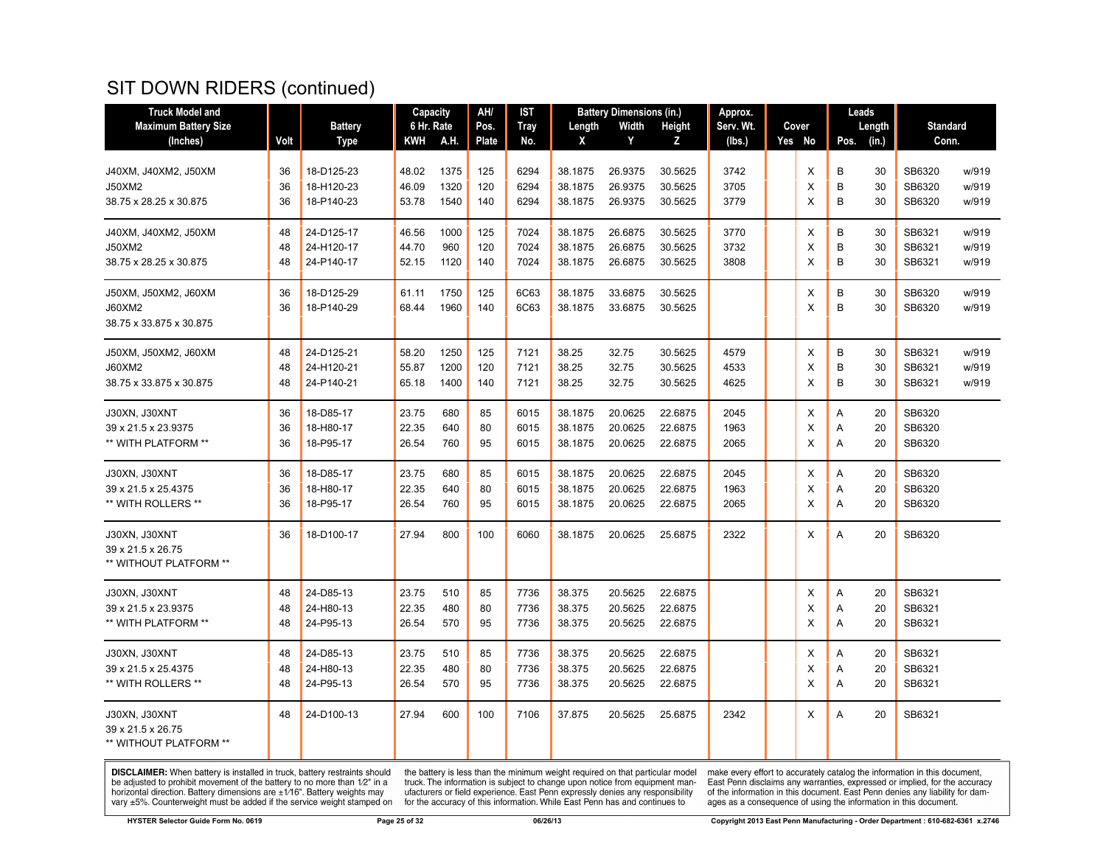| <b>Truck Model and</b>           |          |                          | Capacity       |              | AH/          | <b>IST</b>   |                    | <b>Battery Dimensions (in.)</b> |                    | Approx.      |        |                | Leads    |                  |                |
|----------------------------------|----------|--------------------------|----------------|--------------|--------------|--------------|--------------------|---------------------------------|--------------------|--------------|--------|----------------|----------|------------------|----------------|
| <b>Maximum Battery Size</b>      |          | <b>Battery</b>           | 6 Hr. Rate     |              | Pos.         | <b>Tray</b>  | Length             | Width                           | Height             | Serv. Wt.    | Cover  |                | Length   | <b>Standard</b>  |                |
| (Inches)                         | Volt     | <b>Type</b>              | KWH            | A.H.         | <b>Plate</b> | No.          | X                  | Y                               | z                  | (lbs.)       | Yes No | Pos.           | (in.)    | Conn.            |                |
|                                  |          |                          |                |              |              |              |                    |                                 |                    |              |        |                |          |                  |                |
| J40XM, J40XM2, J50XM             | 36       | 18-D125-23               | 48.02<br>46.09 | 1375<br>1320 | 125          | 6294<br>6294 | 38.1875            | 26.9375<br>26.9375              | 30.5625<br>30.5625 | 3742<br>3705 | X<br>X | B<br>B         | 30<br>30 | SB6320<br>SB6320 | w/919          |
| J50XM2<br>38.75 x 28.25 x 30.875 | 36<br>36 | 18-H120-23<br>18-P140-23 | 53.78          | 1540         | 120<br>140   | 6294         | 38.1875<br>38.1875 | 26.9375                         | 30.5625            | 3779         | X      | B              | 30       | SB6320           | w/919<br>w/919 |
|                                  |          |                          |                |              |              |              |                    |                                 |                    |              |        |                |          |                  |                |
| J40XM, J40XM2, J50XM             | 48       | 24-D125-17               | 46.56          | 1000         | 125          | 7024         | 38.1875            | 26.6875                         | 30.5625            | 3770         | X      | B              | 30       | SB6321           | w/919          |
| J50XM2                           | 48       | 24-H120-17               | 44.70          | 960          | 120          | 7024         | 38.1875            | 26.6875                         | 30.5625            | 3732         | X      | B              | 30       | SB6321           | w/919          |
| 38.75 x 28.25 x 30.875           | 48       | 24-P140-17               | 52.15          | 1120         | 140          | 7024         | 38.1875            | 26.6875                         | 30.5625            | 3808         | X      | B              | 30       | SB6321           | w/919          |
| J50XM, J50XM2, J60XM             | 36       | 18-D125-29               | 61.11          | 1750         | 125          | 6C63         | 38.1875            | 33.6875                         | 30.5625            |              | X      | B              | 30       | SB6320           | w/919          |
| J60XM2                           | 36       | 18-P140-29               | 68.44          | 1960         | 140          | 6C63         | 38.1875            | 33.6875                         | 30.5625            |              | X      | B              | 30       | SB6320           | w/919          |
| 38.75 x 33.875 x 30.875          |          |                          |                |              |              |              |                    |                                 |                    |              |        |                |          |                  |                |
| J50XM, J50XM2, J60XM             | 48       | 24-D125-21               | 58.20          | 1250         | 125          | 7121         | 38.25              | 32.75                           | 30.5625            | 4579         | X      | B              | 30       | SB6321           | w/919          |
| J60XM2                           | 48       | 24-H120-21               | 55.87          | 1200         | 120          | 7121         | 38.25              | 32.75                           | 30.5625            | 4533         | X      | B              | 30       | SB6321           | w/919          |
| 38.75 x 33.875 x 30.875          | 48       | 24-P140-21               | 65.18          | 1400         | 140          | 7121         | 38.25              | 32.75                           | 30.5625            | 4625         | X      | B              | 30       | SB6321           | w/919          |
| J30XN, J30XNT                    | 36       | 18-D85-17                | 23.75          | 680          | 85           | 6015         | 38.1875            | 20.0625                         | 22.6875            | 2045         | X      | A              | 20       | SB6320           |                |
| 39 x 21.5 x 23.9375              | 36       | 18-H80-17                | 22.35          | 640          | 80           | 6015         | 38.1875            | 20.0625                         | 22.6875            | 1963         | X      | Α              | 20       | SB6320           |                |
| ** WITH PLATFORM **              | 36       | 18-P95-17                | 26.54          | 760          | 95           | 6015         | 38.1875            | 20.0625                         | 22.6875            | 2065         | X      | A              | 20       | SB6320           |                |
| J30XN, J30XNT                    | 36       | 18-D85-17                | 23.75          | 680          | 85           | 6015         | 38.1875            | 20.0625                         | 22.6875            | 2045         | X      | A              | 20       | SB6320           |                |
| 39 x 21.5 x 25.4375              | 36       | 18-H80-17                | 22.35          | 640          | 80           | 6015         | 38.1875            | 20.0625                         | 22.6875            | 1963         | X      | A              | 20       | SB6320           |                |
| ** WITH ROLLERS **               | 36       | 18-P95-17                | 26.54          | 760          | 95           | 6015         | 38.1875            | 20.0625                         | 22.6875            | 2065         | X      | $\overline{A}$ | 20       | SB6320           |                |
| J30XN, J30XNT                    | 36       | 18-D100-17               | 27.94          | 800          | 100          | 6060         | 38.1875            | 20.0625                         | 25.6875            | 2322         | X.     | A              | 20       | SB6320           |                |
| 39 x 21.5 x 26.75                |          |                          |                |              |              |              |                    |                                 |                    |              |        |                |          |                  |                |
| ** WITHOUT PLATFORM **           |          |                          |                |              |              |              |                    |                                 |                    |              |        |                |          |                  |                |
| J30XN, J30XNT                    | 48       | 24-D85-13                | 23.75          | 510          | 85           | 7736         | 38.375             | 20.5625                         | 22.6875            |              | X      | Α              | 20       | SB6321           |                |
| 39 x 21.5 x 23.9375              | 48       | 24-H80-13                | 22.35          | 480          | 80           | 7736         | 38.375             | 20.5625                         | 22.6875            |              | X      | A              | 20       | SB6321           |                |
| ** WITH PLATFORM **              | 48       | 24-P95-13                | 26.54          | 570          | 95           | 7736         | 38.375             | 20.5625                         | 22.6875            |              | X      | A              | 20       | SB6321           |                |
| J30XN, J30XNT                    | 48       | 24-D85-13                | 23.75          | 510          | 85           | 7736         | 38.375             | 20.5625                         | 22.6875            |              | х      | Α              | 20       | SB6321           |                |
| 39 x 21.5 x 25.4375              | 48       | 24-H80-13                | 22.35          | 480          | 80           | 7736         | 38.375             | 20.5625                         | 22.6875            |              | х      | A              | 20       | SB6321           |                |
| ** WITH ROLLERS **               | 48       | 24-P95-13                | 26.54          | 570          | 95           | 7736         | 38.375             | 20.5625                         | 22.6875            |              | X      | $\overline{A}$ | 20       | SB6321           |                |
| J30XN, J30XNT                    | 48       | 24-D100-13               | 27.94          | 600          | 100          | 7106         | 37.875             | 20.5625                         | 25.6875            | 2342         | X      | $\overline{A}$ | 20       | SB6321           |                |
| 39 x 21.5 x 26.75                |          |                          |                |              |              |              |                    |                                 |                    |              |        |                |          |                  |                |
| ** WITHOUT PLATFORM **           |          |                          |                |              |              |              |                    |                                 |                    |              |        |                |          |                  |                |

**DISCLAIMER:** When battery is installed in truck, battery restraints should be adjusted to prohibit movement of the battery to no more than  $1/2$ " in a horizontal direction. Battery dimensions are  $\pm 1/16$ ". Battery weig

the battery is less than the minimum weight required on that particular model<br>truck. The information is subject to change upon notice from equipment man-<br>ufacturers or field experience. East Penn expressly denies any respo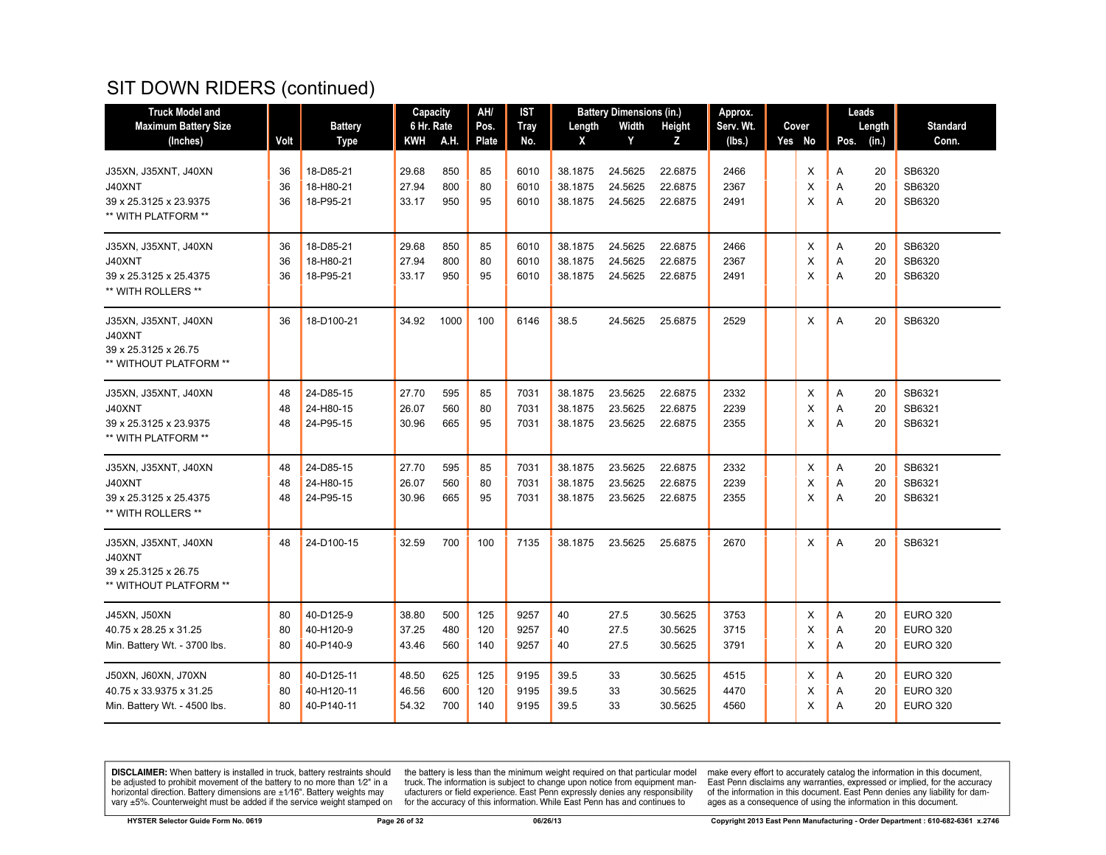| <b>Truck Model and</b>                                                           |                |                                        | Capacity                |                   | AH/               | <b>IST</b>           |                               | <b>Battery Dimensions (in.)</b> |                               | Approx.              |             | Leads                         |                                                       |
|----------------------------------------------------------------------------------|----------------|----------------------------------------|-------------------------|-------------------|-------------------|----------------------|-------------------------------|---------------------------------|-------------------------------|----------------------|-------------|-------------------------------|-------------------------------------------------------|
| <b>Maximum Battery Size</b>                                                      |                | <b>Battery</b>                         | 6 Hr. Rate              |                   | Pos.              | <b>Tray</b>          | Length                        | Width                           | Height                        | Serv. Wt.            | Cover       | Length                        | <b>Standard</b>                                       |
| (Inches)                                                                         | Volt           | <b>Type</b>                            | KWH                     | A.H.              | <b>Plate</b>      | No.                  | X                             | Y                               | Z                             | (lbs.)               | Yes No      | (in.)<br>Pos.                 | Conn.                                                 |
| J35XN, J35XNT, J40XN<br>J40XNT<br>39 x 25.3125 x 23.9375<br>** WITH PLATFORM **  | 36<br>36<br>36 | 18-D85-21<br>18-H80-21<br>18-P95-21    | 29.68<br>27.94<br>33.17 | 850<br>800<br>950 | 85<br>80<br>95    | 6010<br>6010<br>6010 | 38.1875<br>38.1875<br>38.1875 | 24.5625<br>24.5625<br>24.5625   | 22.6875<br>22.6875<br>22.6875 | 2466<br>2367<br>2491 | X<br>X<br>X | 20<br>Α<br>20<br>Α<br>Α<br>20 | SB6320<br>SB6320<br>SB6320                            |
| J35XN, J35XNT, J40XN<br>J40XNT<br>39 x 25.3125 x 25.4375<br>** WITH ROLLERS **   | 36<br>36<br>36 | 18-D85-21<br>18-H80-21<br>18-P95-21    | 29.68<br>27.94<br>33.17 | 850<br>800<br>950 | 85<br>80<br>95    | 6010<br>6010<br>6010 | 38.1875<br>38.1875<br>38.1875 | 24.5625<br>24.5625<br>24.5625   | 22.6875<br>22.6875<br>22.6875 | 2466<br>2367<br>2491 | X<br>X<br>X | Α<br>20<br>20<br>Α<br>A<br>20 | SB6320<br>SB6320<br>SB6320                            |
| J35XN, J35XNT, J40XN<br>J40XNT<br>39 x 25.3125 x 26.75<br>** WITHOUT PLATFORM ** | 36             | 18-D100-21                             | 34.92                   | 1000              | 100               | 6146                 | 38.5                          | 24.5625                         | 25.6875                       | 2529                 | X           | A<br>20                       | SB6320                                                |
| J35XN, J35XNT, J40XN<br>J40XNT<br>39 x 25.3125 x 23.9375<br>** WITH PLATFORM **  | 48<br>48<br>48 | 24-D85-15<br>24-H80-15<br>24-P95-15    | 27.70<br>26.07<br>30.96 | 595<br>560<br>665 | 85<br>80<br>95    | 7031<br>7031<br>7031 | 38.1875<br>38.1875<br>38.1875 | 23.5625<br>23.5625<br>23.5625   | 22.6875<br>22.6875<br>22.6875 | 2332<br>2239<br>2355 | X<br>X<br>X | 20<br>Α<br>20<br>Α<br>A<br>20 | SB6321<br>SB6321<br>SB6321                            |
| J35XN, J35XNT, J40XN<br>J40XNT<br>39 x 25.3125 x 25.4375<br>** WITH ROLLERS **   | 48<br>48<br>48 | 24-D85-15<br>24-H80-15<br>24-P95-15    | 27.70<br>26.07<br>30.96 | 595<br>560<br>665 | 85<br>80<br>95    | 7031<br>7031<br>7031 | 38.1875<br>38.1875<br>38.1875 | 23.5625<br>23.5625<br>23.5625   | 22.6875<br>22.6875<br>22.6875 | 2332<br>2239<br>2355 | X<br>X<br>X | Α<br>20<br>20<br>Α<br>A<br>20 | SB6321<br>SB6321<br>SB6321                            |
| J35XN, J35XNT, J40XN<br>J40XNT<br>39 x 25.3125 x 26.75<br>** WITHOUT PLATFORM ** | 48             | 24-D100-15                             | 32.59                   | 700               | 100               | 7135                 | 38.1875                       | 23.5625                         | 25.6875                       | 2670                 | X           | 20<br>A                       | SB6321                                                |
| J45XN, J50XN<br>40.75 x 28.25 x 31.25<br>Min. Battery Wt. - 3700 lbs.            | 80<br>80<br>80 | 40-D125-9<br>40-H120-9<br>40-P140-9    | 38.80<br>37.25<br>43.46 | 500<br>480<br>560 | 125<br>120<br>140 | 9257<br>9257<br>9257 | 40<br>40<br>40                | 27.5<br>27.5<br>27.5            | 30.5625<br>30.5625<br>30.5625 | 3753<br>3715<br>3791 | X<br>X<br>X | A<br>20<br>Α<br>20<br>Α<br>20 | <b>EURO 320</b><br><b>EURO 320</b><br><b>EURO 320</b> |
| J50XN, J60XN, J70XN<br>40.75 x 33.9375 x 31.25<br>Min. Battery Wt. - 4500 lbs.   | 80<br>80<br>80 | 40-D125-11<br>40-H120-11<br>40-P140-11 | 48.50<br>46.56<br>54.32 | 625<br>600<br>700 | 125<br>120<br>140 | 9195<br>9195<br>9195 | 39.5<br>39.5<br>39.5          | 33<br>33<br>33                  | 30.5625<br>30.5625<br>30.5625 | 4515<br>4470<br>4560 | X<br>X<br>X | 20<br>A<br>20<br>Α<br>Α<br>20 | <b>EURO 320</b><br><b>EURO 320</b><br><b>EURO 320</b> |

**DISCLAIMER:** When battery is installed in truck, battery restraints should be adjusted to prohibit movement of the battery to no more than  $1/2$ " in a horizontal direction. Battery dimensions are  $\pm 1/16$ ". Battery weig

the battery is less than the minimum weight required on that particular model<br>truck. The information is subject to change upon notice from equipment man-<br>ufacturers or field experience. East Penn expressly denies any respo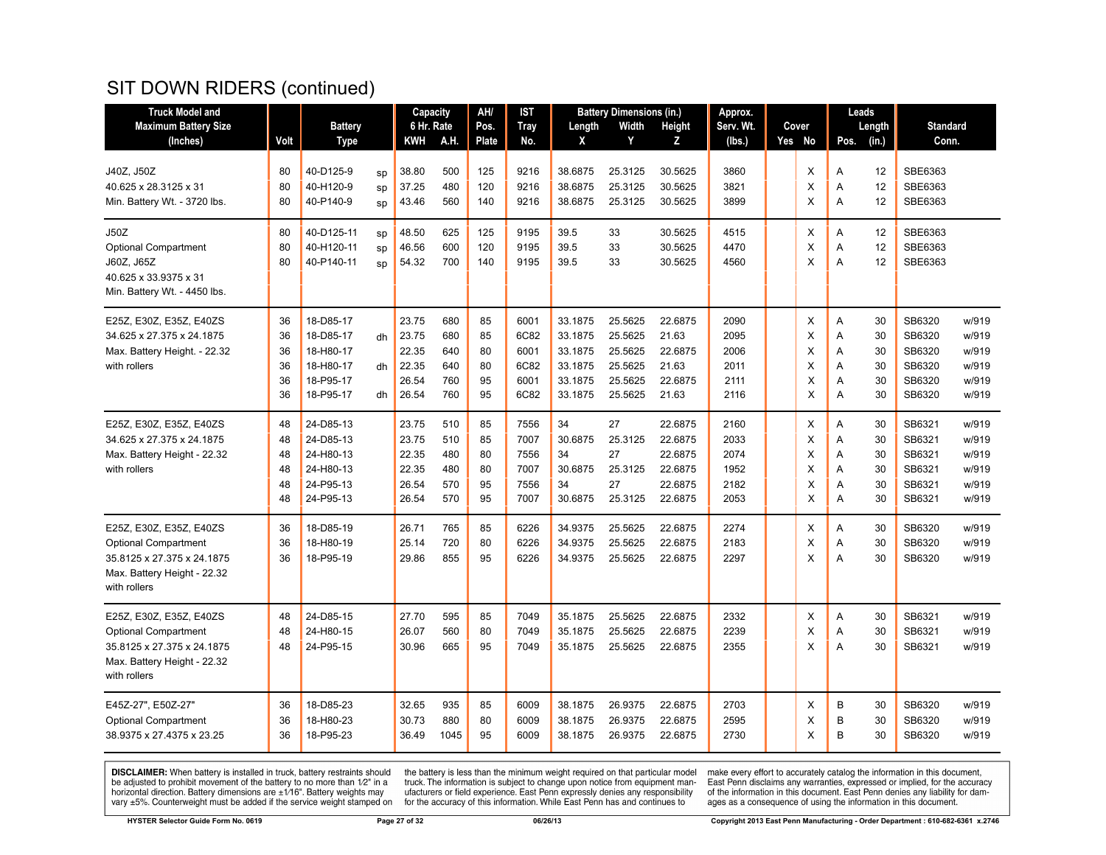| <b>Truck Model and</b>       |      |                |    | Capacity   |      | AH/   | IST         |         | <b>Battery Dimensions (in.)</b> |         | Approx.   |        |                | Leads  |                 |       |
|------------------------------|------|----------------|----|------------|------|-------|-------------|---------|---------------------------------|---------|-----------|--------|----------------|--------|-----------------|-------|
| <b>Maximum Battery Size</b>  |      | <b>Battery</b> |    | 6 Hr. Rate |      | Pos.  | <b>Tray</b> | Length  | Width                           | Height  | Serv. Wt. | Cover  |                | Length | <b>Standard</b> |       |
| (Inches)                     | Volt | <b>Type</b>    |    | KWH        | A.H. | Plate | No.         | Χ       | Y                               | Z       | (lbs.)    | Yes No | Pos.           | (in.)  | Conn.           |       |
|                              |      |                |    |            |      |       |             |         |                                 |         |           |        |                |        |                 |       |
| J40Z, J50Z                   | 80   | 40-D125-9      | SD | 38.80      | 500  | 125   | 9216        | 38.6875 | 25.3125                         | 30.5625 | 3860      | X      | A              | 12     | SBE6363         |       |
| 40.625 x 28.3125 x 31        | 80   | 40-H120-9      | sp | 37.25      | 480  | 120   | 9216        | 38.6875 | 25.3125                         | 30.5625 | 3821      | X      | A              | 12     | SBE6363         |       |
| Min. Battery Wt. - 3720 lbs. | 80   | 40-P140-9      | SD | 43.46      | 560  | 140   | 9216        | 38.6875 | 25.3125                         | 30.5625 | 3899      | X      | A              | 12     | SBE6363         |       |
| <b>J50Z</b>                  | 80   | 40-D125-11     | sp | 48.50      | 625  | 125   | 9195        | 39.5    | 33                              | 30.5625 | 4515      | X      | Α              | 12     | SBE6363         |       |
| <b>Optional Compartment</b>  | 80   | 40-H120-11     | sp | 46.56      | 600  | 120   | 9195        | 39.5    | 33                              | 30.5625 | 4470      | X      | $\overline{A}$ | 12     | SBE6363         |       |
| J60Z, J65Z                   | 80   | 40-P140-11     | SD | 54.32      | 700  | 140   | 9195        | 39.5    | 33                              | 30.5625 | 4560      | X      | A              | 12     | SBE6363         |       |
| 40.625 x 33.9375 x 31        |      |                |    |            |      |       |             |         |                                 |         |           |        |                |        |                 |       |
| Min. Battery Wt. - 4450 lbs. |      |                |    |            |      |       |             |         |                                 |         |           |        |                |        |                 |       |
| E25Z, E30Z, E35Z, E40ZS      | 36   | 18-D85-17      |    | 23.75      | 680  | 85    | 6001        | 33.1875 | 25.5625                         | 22.6875 | 2090      | X      | A              | 30     | SB6320          | w/919 |
| 34.625 x 27.375 x 24.1875    | 36   | 18-D85-17      | dh | 23.75      | 680  | 85    | 6C82        | 33.1875 | 25.5625                         | 21.63   | 2095      | X      | A              | 30     | SB6320          | w/919 |
| Max. Battery Height. - 22.32 | 36   | 18-H80-17      |    | 22.35      | 640  | 80    | 6001        | 33.1875 | 25.5625                         | 22.6875 | 2006      | X      | A              | 30     | SB6320          | w/919 |
| with rollers                 | 36   | 18-H80-17      | dh | 22.35      | 640  | 80    | 6C82        | 33.1875 | 25.5625                         | 21.63   | 2011      | X      | A              | 30     | SB6320          | w/919 |
|                              | 36   | 18-P95-17      |    | 26.54      | 760  | 95    | 6001        | 33.1875 | 25.5625                         | 22.6875 | 2111      | X      | Α              | 30     | SB6320          | w/919 |
|                              | 36   | 18-P95-17      | dh | 26.54      | 760  | 95    | 6C82        | 33.1875 | 25.5625                         | 21.63   | 2116      | X      | A              | 30     | SB6320          | w/919 |
| E25Z, E30Z, E35Z, E40ZS      | 48   | 24-D85-13      |    | 23.75      | 510  | 85    | 7556        | 34      | 27                              | 22.6875 | 2160      | X      | Α              | 30     | SB6321          | w/919 |
| 34.625 x 27.375 x 24.1875    | 48   | 24-D85-13      |    | 23.75      | 510  | 85    | 7007        | 30.6875 | 25.3125                         | 22.6875 | 2033      | X      | Α              | 30     | SB6321          | w/919 |
| Max. Battery Height - 22.32  | 48   | 24-H80-13      |    | 22.35      | 480  | 80    | 7556        | 34      | 27                              | 22.6875 | 2074      | X      | A              | 30     | SB6321          | w/919 |
| with rollers                 | 48   | 24-H80-13      |    | 22.35      | 480  | 80    | 7007        | 30.6875 | 25.3125                         | 22.6875 | 1952      | X      | A              | 30     | SB6321          | w/919 |
|                              | 48   | 24-P95-13      |    | 26.54      | 570  | 95    | 7556        | 34      | 27                              | 22.6875 | 2182      | X      | Α              | 30     | SB6321          | w/919 |
|                              | 48   | 24-P95-13      |    | 26.54      | 570  | 95    | 7007        | 30.6875 | 25.3125                         | 22.6875 | 2053      | X      | A              | 30     | SB6321          | w/919 |
| E25Z, E30Z, E35Z, E40ZS      | 36   | 18-D85-19      |    | 26.71      | 765  | 85    | 6226        | 34.9375 | 25.5625                         | 22.6875 | 2274      | X      | Α              | 30     | SB6320          | w/919 |
| <b>Optional Compartment</b>  | 36   | 18-H80-19      |    | 25.14      | 720  | 80    | 6226        | 34.9375 | 25.5625                         | 22.6875 | 2183      | X      | $\overline{A}$ | 30     | SB6320          | w/919 |
| 35.8125 x 27.375 x 24.1875   | 36   | 18-P95-19      |    | 29.86      | 855  | 95    | 6226        | 34.9375 | 25.5625                         | 22.6875 | 2297      | X      | $\overline{A}$ | 30     | SB6320          | w/919 |
| Max. Battery Height - 22.32  |      |                |    |            |      |       |             |         |                                 |         |           |        |                |        |                 |       |
| with rollers                 |      |                |    |            |      |       |             |         |                                 |         |           |        |                |        |                 |       |
| E25Z, E30Z, E35Z, E40ZS      | 48   | 24-D85-15      |    | 27.70      | 595  | 85    | 7049        | 35.1875 | 25.5625                         | 22.6875 | 2332      | X      | A              | 30     | SB6321          | w/919 |
| <b>Optional Compartment</b>  | 48   | 24-H80-15      |    | 26.07      | 560  | 80    | 7049        | 35.1875 | 25.5625                         | 22.6875 | 2239      | X      | Α              | 30     | SB6321          | w/919 |
| 35.8125 x 27.375 x 24.1875   | 48   | 24-P95-15      |    | 30.96      | 665  | 95    | 7049        | 35.1875 | 25.5625                         | 22.6875 | 2355      | X      | $\overline{A}$ | 30     | SB6321          | w/919 |
| Max. Battery Height - 22.32  |      |                |    |            |      |       |             |         |                                 |         |           |        |                |        |                 |       |
| with rollers                 |      |                |    |            |      |       |             |         |                                 |         |           |        |                |        |                 |       |
| E45Z-27", E50Z-27"           | 36   | 18-D85-23      |    | 32.65      | 935  | 85    | 6009        | 38.1875 | 26.9375                         | 22.6875 | 2703      | X      | B              | 30     | SB6320          | w/919 |
| <b>Optional Compartment</b>  | 36   | 18-H80-23      |    | 30.73      | 880  | 80    | 6009        | 38.1875 | 26.9375                         | 22.6875 | 2595      | X      | B              | 30     | SB6320          | w/919 |
| 38.9375 x 27.4375 x 23.25    | 36   | 18-P95-23      |    | 36.49      | 1045 | 95    | 6009        | 38.1875 | 26.9375                         | 22.6875 | 2730      | X      | B              | 30     | SB6320          | w/919 |
|                              |      |                |    |            |      |       |             |         |                                 |         |           |        |                |        |                 |       |

**DISCLAIMER:** When battery is installed in truck, battery restraints should be adjusted to prohibit movement of the battery to no more than  $1/2$ " in a horizontal direction. Battery dimensions are  $\pm 1/16$ ". Battery weig

the battery is less than the minimum weight required on that particular model<br>truck. The information is subject to change upon notice from equipment man-<br>ufacturers or field experience. East Penn expressly denies any respo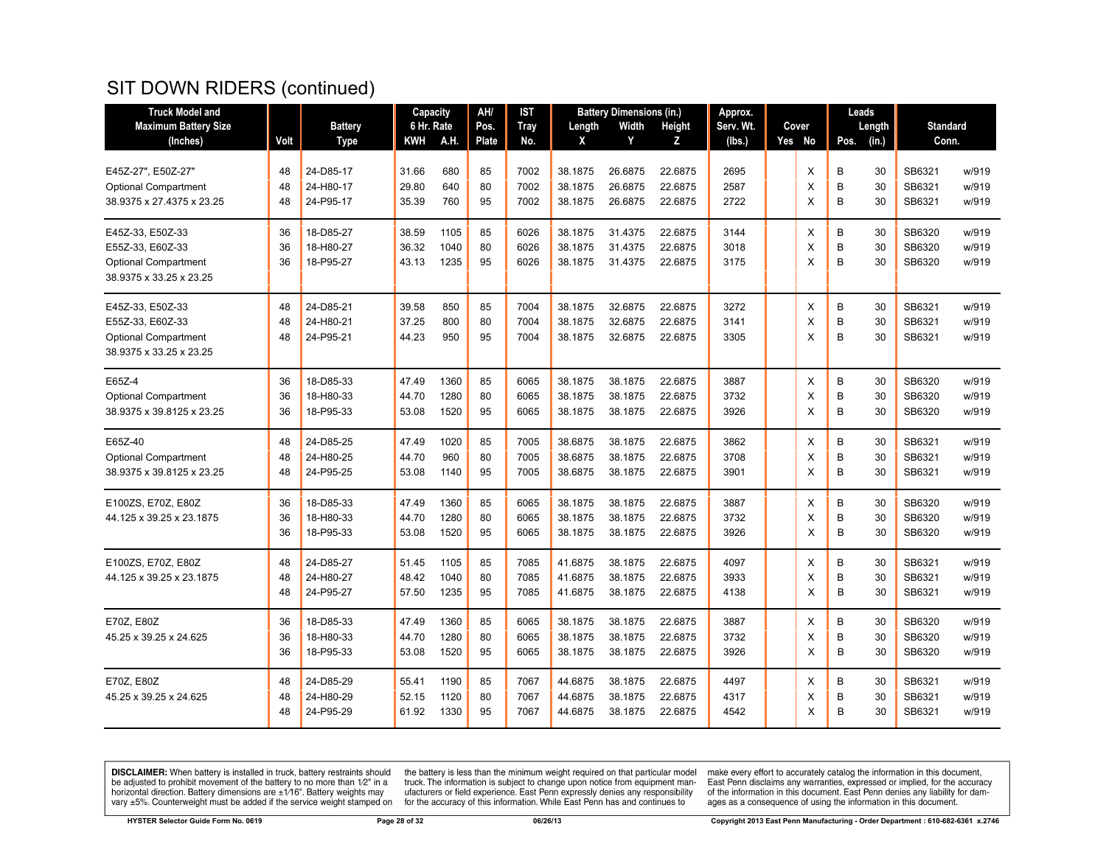| <b>Truck Model and</b>      |      |                | Capacity   |      | AH/   | IST         |         | <b>Battery Dimensions (in.)</b> |         | Approx.   |        |      | Leads  |                 |       |
|-----------------------------|------|----------------|------------|------|-------|-------------|---------|---------------------------------|---------|-----------|--------|------|--------|-----------------|-------|
| <b>Maximum Battery Size</b> |      | <b>Battery</b> | 6 Hr. Rate |      | Pos.  | <b>Tray</b> | Length  | Width                           | Height  | Serv. Wt. | Cover  |      | Length | <b>Standard</b> |       |
| (Inches)                    | Volt | <b>Type</b>    | KWH        | A.H. | Plate | No.         | X       | Y                               | z       | (Ibs.)    | Yes No | Pos. | (in.)  | Conn.           |       |
|                             |      |                |            |      |       |             |         |                                 |         |           |        |      |        |                 |       |
| E45Z-27", E50Z-27"          | 48   | 24-D85-17      | 31.66      | 680  | 85    | 7002        | 38.1875 | 26.6875                         | 22.6875 | 2695      | Х      | B    | 30     | SB6321          | w/919 |
| <b>Optional Compartment</b> | 48   | 24-H80-17      | 29.80      | 640  | 80    | 7002        | 38.1875 | 26.6875                         | 22.6875 | 2587      | X      | B    | 30     | SB6321          | w/919 |
| 38.9375 x 27.4375 x 23.25   | 48   | 24-P95-17      | 35.39      | 760  | 95    | 7002        | 38.1875 | 26.6875                         | 22.6875 | 2722      | X      | B    | 30     | SB6321          | w/919 |
| E45Z-33, E50Z-33            | 36   | 18-D85-27      | 38.59      | 1105 | 85    | 6026        | 38.1875 | 31.4375                         | 22.6875 | 3144      | X      | B    | 30     | SB6320          | w/919 |
| E55Z-33, E60Z-33            | 36   | 18-H80-27      | 36.32      | 1040 | 80    | 6026        | 38.1875 | 31.4375                         | 22.6875 | 3018      | X      | B    | 30     | SB6320          | w/919 |
| <b>Optional Compartment</b> | 36   | 18-P95-27      | 43.13      | 1235 | 95    | 6026        | 38.1875 | 31.4375                         | 22.6875 | 3175      | X      | B    | 30     | SB6320          | w/919 |
| 38.9375 x 33.25 x 23.25     |      |                |            |      |       |             |         |                                 |         |           |        |      |        |                 |       |
| E45Z-33, E50Z-33            | 48   | 24-D85-21      | 39.58      | 850  | 85    | 7004        | 38.1875 | 32.6875                         | 22.6875 | 3272      | X      | B    | 30     | SB6321          | w/919 |
| E55Z-33, E60Z-33            | 48   | 24-H80-21      | 37.25      | 800  | 80    | 7004        | 38.1875 | 32.6875                         | 22.6875 | 3141      | X      | B    | 30     | SB6321          | w/919 |
| <b>Optional Compartment</b> | 48   | 24-P95-21      | 44.23      | 950  | 95    | 7004        | 38.1875 | 32.6875                         | 22.6875 | 3305      | X      | B    | 30     | SB6321          | w/919 |
| 38.9375 x 33.25 x 23.25     |      |                |            |      |       |             |         |                                 |         |           |        |      |        |                 |       |
| E65Z-4                      | 36   | 18-D85-33      | 47.49      | 1360 | 85    | 6065        | 38.1875 | 38.1875                         | 22.6875 | 3887      | X      | B    | 30     | SB6320          | w/919 |
| <b>Optional Compartment</b> | 36   | 18-H80-33      | 44.70      | 1280 | 80    | 6065        | 38.1875 | 38.1875                         | 22.6875 | 3732      | X      | B    | 30     | SB6320          | w/919 |
| 38.9375 x 39.8125 x 23.25   | 36   | 18-P95-33      | 53.08      | 1520 | 95    | 6065        | 38.1875 | 38.1875                         | 22.6875 | 3926      | X      | B    | 30     | SB6320          | w/919 |
|                             |      |                |            |      |       |             |         |                                 |         |           |        |      |        |                 |       |
| E65Z-40                     | 48   | 24-D85-25      | 47.49      | 1020 | 85    | 7005        | 38.6875 | 38.1875                         | 22.6875 | 3862      | Х      | B    | 30     | SB6321          | w/919 |
| <b>Optional Compartment</b> | 48   | 24-H80-25      | 44.70      | 960  | 80    | 7005        | 38.6875 | 38.1875                         | 22.6875 | 3708      | X      | B    | 30     | SB6321          | w/919 |
| 38.9375 x 39.8125 x 23.25   | 48   | 24-P95-25      | 53.08      | 1140 | 95    | 7005        | 38.6875 | 38.1875                         | 22.6875 | 3901      | X      | B    | 30     | SB6321          | w/919 |
| E100ZS, E70Z, E80Z          | 36   | 18-D85-33      | 47.49      | 1360 | 85    | 6065        | 38.1875 | 38.1875                         | 22.6875 | 3887      | X      | B    | 30     | SB6320          | w/919 |
| 44.125 x 39.25 x 23.1875    | 36   | 18-H80-33      | 44.70      | 1280 | 80    | 6065        | 38.1875 | 38.1875                         | 22.6875 | 3732      | X      | B    | 30     | SB6320          | w/919 |
|                             | 36   | 18-P95-33      | 53.08      | 1520 | 95    | 6065        | 38.1875 | 38.1875                         | 22.6875 | 3926      | X      | B    | 30     | SB6320          | w/919 |
| E100ZS, E70Z, E80Z          | 48   | 24-D85-27      | 51.45      | 1105 | 85    | 7085        | 41.6875 | 38.1875                         | 22.6875 | 4097      | X      | B    | 30     | SB6321          | w/919 |
| 44.125 x 39.25 x 23.1875    | 48   | 24-H80-27      | 48.42      | 1040 | 80    | 7085        | 41.6875 | 38.1875                         | 22.6875 | 3933      | X      | B    | 30     | SB6321          | w/919 |
|                             | 48   | 24-P95-27      | 57.50      | 1235 | 95    | 7085        | 41.6875 | 38.1875                         | 22.6875 | 4138      | X      | B    | 30     | SB6321          | w/919 |
|                             |      |                |            |      |       |             |         |                                 |         |           |        |      |        |                 |       |
| E70Z. E80Z                  | 36   | 18-D85-33      | 47.49      | 1360 | 85    | 6065        | 38.1875 | 38.1875                         | 22.6875 | 3887      | X      | B    | 30     | SB6320          | w/919 |
| 45.25 x 39.25 x 24.625      | 36   | 18-H80-33      | 44.70      | 1280 | 80    | 6065        | 38.1875 | 38.1875                         | 22.6875 | 3732      | X      | B    | 30     | SB6320          | w/919 |
|                             | 36   | 18-P95-33      | 53.08      | 1520 | 95    | 6065        | 38.1875 | 38.1875                         | 22.6875 | 3926      | X      | B    | 30     | SB6320          | w/919 |
| E70Z, E80Z                  | 48   | 24-D85-29      | 55.41      | 1190 | 85    | 7067        | 44.6875 | 38.1875                         | 22.6875 | 4497      | X      | B    | 30     | SB6321          | w/919 |
| 45.25 x 39.25 x 24.625      | 48   | 24-H80-29      | 52.15      | 1120 | 80    | 7067        | 44.6875 | 38.1875                         | 22.6875 | 4317      | X      | B    | 30     | SB6321          | w/919 |
|                             | 48   | 24-P95-29      | 61.92      | 1330 | 95    | 7067        | 44.6875 | 38.1875                         | 22.6875 | 4542      | X      | B    | 30     | SB6321          | w/919 |
|                             |      |                |            |      |       |             |         |                                 |         |           |        |      |        |                 |       |

**DISCLAIMER:** When battery is installed in truck, battery restraints should be adjusted to prohibit movement of the battery to no more than  $1/2$ " in a horizontal direction. Battery dimensions are  $\pm 1/16$ ". Battery weig

the battery is less than the minimum weight required on that particular model<br>truck. The information is subject to change upon notice from equipment man-<br>ufacturers or field experience. East Penn expressly denies any respo for the accuracy of this information. While East Penn has and continues to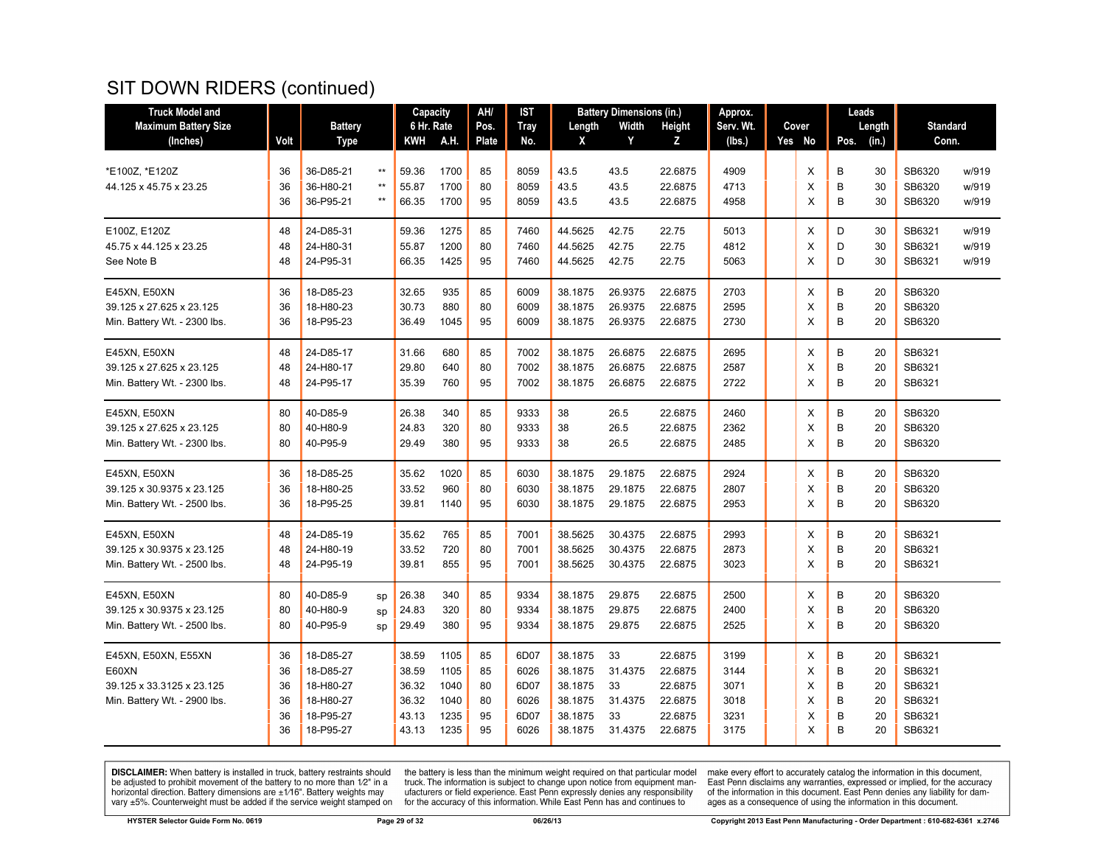| <b>Truck Model and</b>       |      |                |                 | Capacity   |      | AH/          | IST  |         | <b>Battery Dimensions (in.)</b> |         | Approx.   |        |      | Leads  |                 |       |
|------------------------------|------|----------------|-----------------|------------|------|--------------|------|---------|---------------------------------|---------|-----------|--------|------|--------|-----------------|-------|
| <b>Maximum Battery Size</b>  |      | <b>Battery</b> |                 | 6 Hr. Rate |      | Pos.         | Tray | Length  | Width                           | Height  | Serv. Wt. | Cover  |      | Length | <b>Standard</b> |       |
| (Inches)                     | Volt | <b>Type</b>    |                 | KWH        | A.H. | <b>Plate</b> | No.  | X       | Y                               | Z       | (lbs.)    | Yes No | Pos. | (in.)  | Conn.           |       |
|                              |      |                |                 |            |      |              |      |         |                                 |         |           |        |      |        |                 |       |
| *E100Z, *E120Z               | 36   | 36-D85-21      | $***$           | 59.36      | 1700 | 85           | 8059 | 43.5    | 43.5                            | 22.6875 | 4909      | X      | В    | 30     | SB6320          | w/919 |
| 44.125 x 45.75 x 23.25       | 36   | 36-H80-21      | $^{\star\star}$ | 55.87      | 1700 | 80           | 8059 | 43.5    | 43.5                            | 22.6875 | 4713      | X      | B    | 30     | SB6320          | w/919 |
|                              | 36   | 36-P95-21      | $***$           | 66.35      | 1700 | 95           | 8059 | 43.5    | 43.5                            | 22.6875 | 4958      | X      | B    | 30     | SB6320          | w/919 |
| E100Z, E120Z                 | 48   | 24-D85-31      |                 | 59.36      | 1275 | 85           | 7460 | 44.5625 | 42.75                           | 22.75   | 5013      | X      | D    | 30     | SB6321          | w/919 |
| 45.75 x 44.125 x 23.25       | 48   | 24-H80-31      |                 | 55.87      | 1200 | 80           | 7460 | 44.5625 | 42.75                           | 22.75   | 4812      | X      | D    | 30     | SB6321          | w/919 |
| See Note B                   | 48   | 24-P95-31      |                 | 66.35      | 1425 | 95           | 7460 | 44.5625 | 42.75                           | 22.75   | 5063      | X      | D    | 30     | SB6321          | w/919 |
| E45XN, E50XN                 | 36   | 18-D85-23      |                 | 32.65      | 935  | 85           | 6009 | 38.1875 | 26.9375                         | 22.6875 | 2703      | Χ      | B    | 20     | SB6320          |       |
| 39.125 x 27.625 x 23.125     | 36   | 18-H80-23      |                 | 30.73      | 880  | 80           | 6009 | 38.1875 | 26.9375                         | 22.6875 | 2595      | X      | B    | 20     | SB6320          |       |
| Min. Battery Wt. - 2300 lbs. | 36   | 18-P95-23      |                 | 36.49      | 1045 | 95           | 6009 | 38.1875 | 26.9375                         | 22.6875 | 2730      | X      | B    | 20     | SB6320          |       |
| E45XN, E50XN                 | 48   | 24-D85-17      |                 | 31.66      | 680  | 85           | 7002 | 38.1875 | 26.6875                         | 22.6875 | 2695      | X      | В    | 20     | SB6321          |       |
| 39.125 x 27.625 x 23.125     | 48   | 24-H80-17      |                 | 29.80      | 640  | 80           | 7002 | 38.1875 | 26.6875                         | 22.6875 | 2587      | X      | B    | 20     | SB6321          |       |
| Min. Battery Wt. - 2300 lbs. | 48   | 24-P95-17      |                 | 35.39      | 760  | 95           | 7002 | 38.1875 | 26.6875                         | 22.6875 | 2722      | X      | B    | 20     | SB6321          |       |
| E45XN, E50XN                 | 80   | 40-D85-9       |                 | 26.38      | 340  | 85           | 9333 | 38      | 26.5                            | 22.6875 | 2460      | X      | B    | 20     | SB6320          |       |
| 39.125 x 27.625 x 23.125     | 80   | 40-H80-9       |                 | 24.83      | 320  | 80           | 9333 | 38      | 26.5                            | 22.6875 | 2362      | X      | B    | 20     | SB6320          |       |
| Min. Battery Wt. - 2300 lbs. | 80   | 40-P95-9       |                 | 29.49      | 380  | 95           | 9333 | 38      | 26.5                            | 22.6875 | 2485      | X      | B    | 20     | SB6320          |       |
| E45XN, E50XN                 | 36   | 18-D85-25      |                 | 35.62      | 1020 | 85           | 6030 | 38.1875 | 29.1875                         | 22.6875 | 2924      | X      | B    | 20     | SB6320          |       |
| 39.125 x 30.9375 x 23.125    | 36   | 18-H80-25      |                 | 33.52      | 960  | 80           | 6030 | 38.1875 | 29.1875                         | 22.6875 | 2807      | X      | В    | 20     | SB6320          |       |
| Min. Battery Wt. - 2500 lbs. | 36   | 18-P95-25      |                 | 39.81      | 1140 | 95           | 6030 | 38.1875 | 29.1875                         | 22.6875 | 2953      | X      | B    | 20     | SB6320          |       |
| E45XN, E50XN                 | 48   | 24-D85-19      |                 | 35.62      | 765  | 85           | 7001 | 38.5625 | 30.4375                         | 22.6875 | 2993      | X      | В    | 20     | SB6321          |       |
| 39.125 x 30.9375 x 23.125    | 48   | 24-H80-19      |                 | 33.52      | 720  | 80           | 7001 | 38.5625 | 30.4375                         | 22.6875 | 2873      | X      | B    | 20     | SB6321          |       |
| Min. Battery Wt. - 2500 lbs. | 48   | 24-P95-19      |                 | 39.81      | 855  | 95           | 7001 | 38.5625 | 30.4375                         | 22.6875 | 3023      | X      | B    | 20     | SB6321          |       |
| E45XN, E50XN                 | 80   | 40-D85-9       | sp              | 26.38      | 340  | 85           | 9334 | 38.1875 | 29.875                          | 22.6875 | 2500      | X      | В    | 20     | SB6320          |       |
| 39.125 x 30.9375 x 23.125    | 80   | 40-H80-9       | sp              | 24.83      | 320  | 80           | 9334 | 38.1875 | 29.875                          | 22.6875 | 2400      | X      | В    | 20     | SB6320          |       |
| Min. Battery Wt. - 2500 lbs. | 80   | 40-P95-9       | SD              | 29.49      | 380  | 95           | 9334 | 38.1875 | 29.875                          | 22.6875 | 2525      | X      | B    | 20     | SB6320          |       |
| E45XN, E50XN, E55XN          | 36   | 18-D85-27      |                 | 38.59      | 1105 | 85           | 6D07 | 38.1875 | 33                              | 22.6875 | 3199      | X      | B    | 20     | SB6321          |       |
| E60XN                        | 36   | 18-D85-27      |                 | 38.59      | 1105 | 85           | 6026 | 38.1875 | 31.4375                         | 22.6875 | 3144      | X      | В    | 20     | SB6321          |       |
| 39.125 x 33.3125 x 23.125    | 36   | 18-H80-27      |                 | 36.32      | 1040 | 80           | 6D07 | 38.1875 | 33                              | 22.6875 | 3071      | X      | B    | 20     | SB6321          |       |
| Min. Battery Wt. - 2900 lbs. | 36   | 18-H80-27      |                 | 36.32      | 1040 | 80           | 6026 | 38.1875 | 31.4375                         | 22.6875 | 3018      | X      | B    | 20     | SB6321          |       |
|                              | 36   | 18-P95-27      |                 | 43.13      | 1235 | 95           | 6D07 | 38.1875 | 33                              | 22.6875 | 3231      | х      | B    | 20     | SB6321          |       |
|                              | 36   | 18-P95-27      |                 | 43.13      | 1235 | 95           | 6026 | 38.1875 | 31.4375                         | 22.6875 | 3175      | X      | B    | 20     | SB6321          |       |

**DISCLAIMER:** When battery is installed in truck, battery restraints should be adjusted to prohibit movement of the battery to no more than  $1/2$ " in a horizontal direction. Battery dimensions are  $\pm 1/16$ ". Battery weig

the battery is less than the minimum weight required on that particular model<br>truck. The information is subject to change upon notice from equipment man-<br>ufacturers or field experience. East Penn expressly denies any respo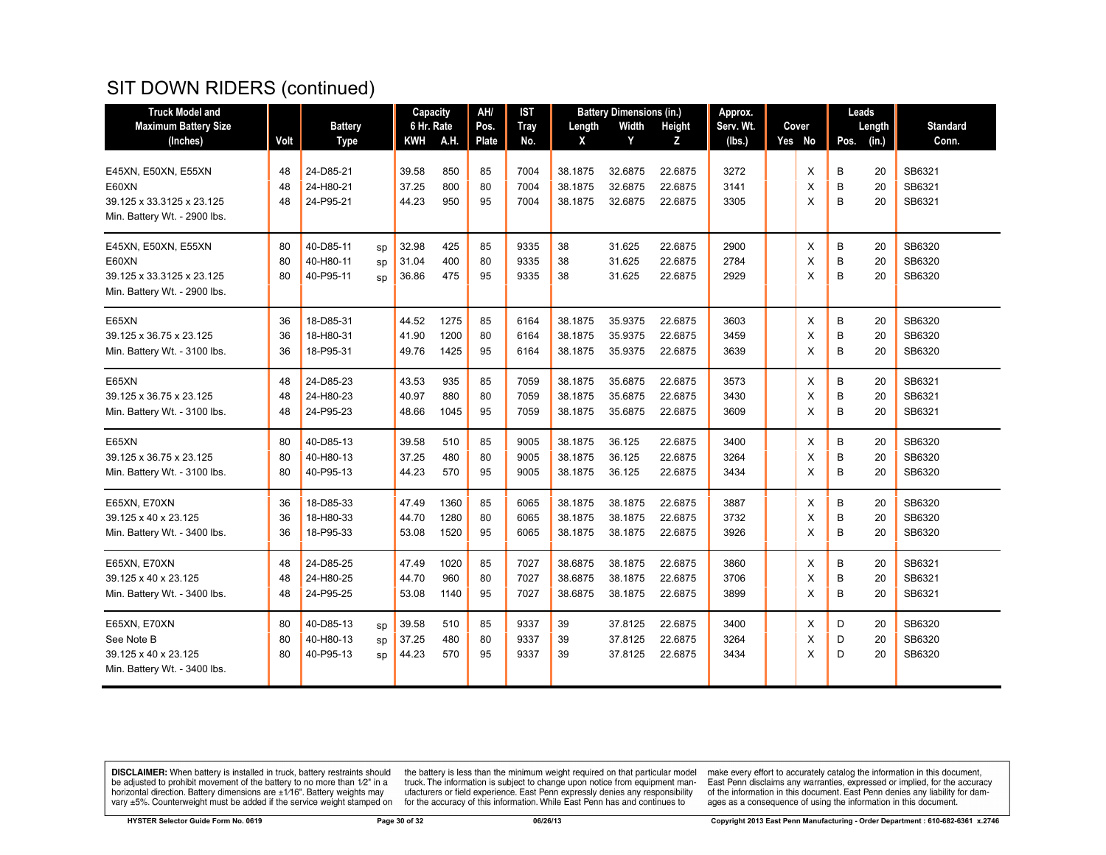| <b>Truck Model and</b>       |      |                        |    | Capacity   |              | AH/          | <b>IST</b>  |         | <b>Battery Dimensions (in.)</b> |         | Approx.      |        |        | Leads  |                  |
|------------------------------|------|------------------------|----|------------|--------------|--------------|-------------|---------|---------------------------------|---------|--------------|--------|--------|--------|------------------|
| <b>Maximum Battery Size</b>  |      | <b>Battery</b>         |    | 6 Hr. Rate |              | Pos.         | <b>Tray</b> | Length  | Width                           | Height  | Serv. Wt.    | Cover  |        | Length | <b>Standard</b>  |
| (Inches)                     | Volt | <b>Type</b>            |    | KWH        | A.H.         | <b>Plate</b> | No.         | X       | Y                               | z       | (lbs.)       | Yes No | Pos.   | (in.)  | Conn.            |
|                              |      |                        |    |            |              |              |             |         |                                 |         |              |        |        |        |                  |
| E45XN, E50XN, E55XN          | 48   | 24-D85-21              |    | 39.58      | 850          | 85           | 7004        | 38.1875 | 32.6875                         | 22.6875 | 3272         | X      | В      | 20     | SB6321           |
| <b>E60XN</b>                 | 48   | 24-H80-21              |    | 37.25      | 800          | 80           | 7004        | 38.1875 | 32.6875                         | 22.6875 | 3141         | X      | B      | 20     | SB6321           |
| 39.125 x 33.3125 x 23.125    | 48   | 24-P95-21              |    | 44.23      | 950          | 95           | 7004        | 38.1875 | 32.6875                         | 22.6875 | 3305         | X      | B      | 20     | SB6321           |
| Min. Battery Wt. - 2900 lbs. |      |                        |    |            |              |              |             |         |                                 |         |              |        |        |        |                  |
| E45XN, E50XN, E55XN          | 80   | 40-D85-11              | sp | 32.98      | 425          | 85           | 9335        | 38      | 31.625                          | 22.6875 | 2900         | Χ      | B      | 20     | SB6320           |
| <b>E60XN</b>                 | 80   | 40-H80-11              | sp | 31.04      | 400          | 80           | 9335        | 38      | 31.625                          | 22.6875 | 2784         | X      | B      | 20     | SB6320           |
| 39.125 x 33.3125 x 23.125    | 80   | 40-P95-11              | SD | 36.86      | 475          | 95           | 9335        | 38      | 31.625                          | 22.6875 | 2929         | X      | B      | 20     | SB6320           |
| Min. Battery Wt. - 2900 lbs. |      |                        |    |            |              |              |             |         |                                 |         |              |        |        |        |                  |
| E65XN                        | 36   | 18-D85-31              |    | 44.52      | 1275         | 85           | 6164        | 38.1875 | 35.9375                         | 22.6875 | 3603         | Χ      | В      | 20     | SB6320           |
| 39.125 x 36.75 x 23.125      | 36   | 18-H80-31              |    | 41.90      | 1200         | 80           | 6164        | 38.1875 | 35.9375                         | 22.6875 | 3459         | X      | B      | 20     | SB6320           |
| Min. Battery Wt. - 3100 lbs. | 36   | 18-P95-31              |    | 49.76      | 1425         | 95           | 6164        | 38.1875 | 35.9375                         | 22.6875 | 3639         | X      | В      | 20     | SB6320           |
|                              |      |                        |    |            |              |              |             |         |                                 |         |              |        |        |        |                  |
| E65XN                        | 48   | 24-D85-23              |    | 43.53      | 935          | 85           | 7059        | 38.1875 | 35.6875                         | 22.6875 | 3573         | Χ      | В      | 20     | SB6321           |
| 39.125 x 36.75 x 23.125      | 48   | 24-H80-23              |    | 40.97      | 880          | 80           | 7059        | 38.1875 | 35.6875                         | 22.6875 | 3430         | X      | B      | 20     | SB6321           |
| Min. Battery Wt. - 3100 lbs. | 48   | 24-P95-23              |    | 48.66      | 1045         | 95           | 7059        | 38.1875 | 35.6875                         | 22.6875 | 3609         | X      | B      | 20     | SB6321           |
| <b>E65XN</b>                 | 80   | 40-D85-13              |    | 39.58      | 510          | 85           | 9005        | 38.1875 | 36.125                          | 22.6875 | 3400         | X      | B      | 20     | SB6320           |
| 39.125 x 36.75 x 23.125      | 80   | 40-H80-13              |    | 37.25      | 480          | 80           | 9005        | 38.1875 | 36.125                          | 22.6875 | 3264         | X      | B      | 20     | SB6320           |
| Min. Battery Wt. - 3100 lbs. | 80   | 40-P95-13              |    | 44.23      | 570          | 95           | 9005        | 38.1875 | 36.125                          | 22.6875 | 3434         | X      | B      | 20     | SB6320           |
|                              |      |                        |    |            |              |              |             |         |                                 |         |              |        |        |        |                  |
| E65XN, E70XN                 | 36   | 18-D85-33<br>18-H80-33 |    | 47.49      | 1360<br>1280 | 85           | 6065        | 38.1875 | 38.1875                         | 22.6875 | 3887<br>3732 | Χ      | В<br>B | 20     | SB6320<br>SB6320 |
| 39.125 x 40 x 23.125         | 36   |                        |    | 44.70      |              | 80           | 6065        | 38.1875 | 38.1875                         | 22.6875 |              | X      |        | 20     |                  |
| Min. Battery Wt. - 3400 lbs. | 36   | 18-P95-33              |    | 53.08      | 1520         | 95           | 6065        | 38.1875 | 38.1875                         | 22.6875 | 3926         | X      | B      | 20     | SB6320           |
| E65XN, E70XN                 | 48   | 24-D85-25              |    | 47.49      | 1020         | 85           | 7027        | 38.6875 | 38.1875                         | 22.6875 | 3860         | X      | В      | 20     | SB6321           |
| 39.125 x 40 x 23.125         | 48   | 24-H80-25              |    | 44.70      | 960          | 80           | 7027        | 38.6875 | 38.1875                         | 22.6875 | 3706         | X      | B      | 20     | SB6321           |
| Min. Battery Wt. - 3400 lbs. | 48   | 24-P95-25              |    | 53.08      | 1140         | 95           | 7027        | 38.6875 | 38.1875                         | 22.6875 | 3899         | X      | B      | 20     | SB6321           |
|                              |      |                        |    |            |              |              |             |         |                                 |         |              |        |        |        |                  |
| E65XN, E70XN                 | 80   | 40-D85-13              | sp | 39.58      | 510          | 85           | 9337        | 39      | 37.8125                         | 22.6875 | 3400         | X      | D      | 20     | SB6320           |
| See Note B                   | 80   | 40-H80-13              | sp | 37.25      | 480          | 80           | 9337        | 39      | 37.8125                         | 22.6875 | 3264         | X      | D      | 20     | SB6320           |
| 39.125 x 40 x 23.125         | 80   | 40-P95-13              | SD | 44.23      | 570          | 95           | 9337        | 39      | 37.8125                         | 22.6875 | 3434         | X      | D      | 20     | SB6320           |
| Min. Battery Wt. - 3400 lbs. |      |                        |    |            |              |              |             |         |                                 |         |              |        |        |        |                  |
|                              |      |                        |    |            |              |              |             |         |                                 |         |              |        |        |        |                  |

**DISCLAIMER:** When battery is installed in truck, battery restraints should be adjusted to prohibit movement of the battery to no more than  $1/2$ " in a horizontal direction. Battery dimensions are  $\pm 1/16$ ". Battery weig

the battery is less than the minimum weight required on that particular model<br>truck. The information is subject to change upon notice from equipment man-<br>ufacturers or field experience. East Penn expressly denies any respo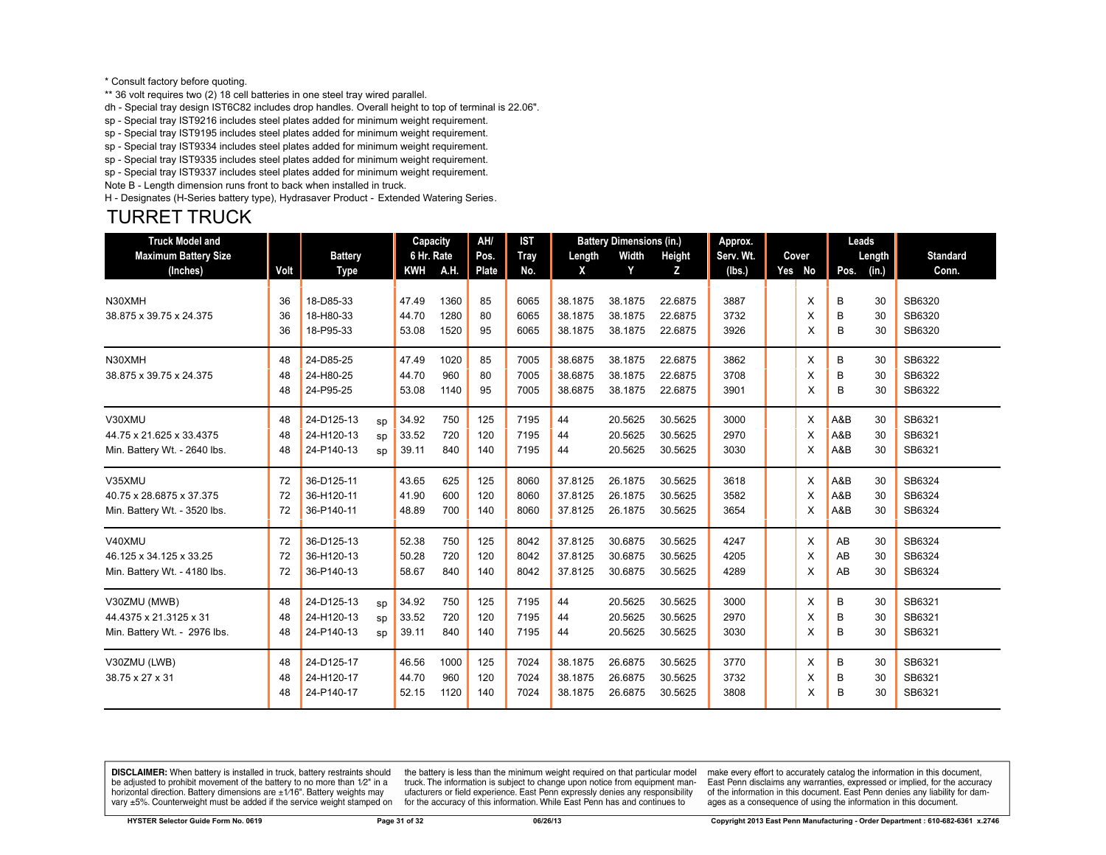#### \* Consult factory before quoting.

\*\* 36 volt requires two (2) 18 cell batteries in one steel tray wired parallel.

dh - Special tray design IST6C82 includes drop handles. Overall height to top of terminal is 22.06".

sp - Special tray IST9216 includes steel plates added for minimum weight requirement.

sp - Special tray IST9195 includes steel plates added for minimum weight requirement.

sp - Special tray IST9334 includes steel plates added for minimum weight requirement.

sp - Special tray IST9335 includes steel plates added for minimum weight requirement. sp - Special tray IST9337 includes steel plates added for minimum weight requirement.

Note B - Length dimension runs front to back when installed in truck.

H - Designates (H-Series battery type), Hydrasaver Product - Extended Watering Series.

#### TURRET TRUCK

| <b>Truck Model and</b>       |      |                |    | Capacity   |      | AH/          | <b>IST</b> |         | <b>Battery Dimensions (in.)</b> |         | Approx.   |        | Leads |        |                 |
|------------------------------|------|----------------|----|------------|------|--------------|------------|---------|---------------------------------|---------|-----------|--------|-------|--------|-----------------|
| <b>Maximum Battery Size</b>  |      | <b>Battery</b> |    | 6 Hr. Rate |      | Pos.         | Tray       | Length  | Width                           | Height  | Serv. Wt. | Cover  |       | Length | <b>Standard</b> |
| (Inches)                     | Volt | <b>Type</b>    |    | <b>KWH</b> | A.H. | <b>Plate</b> | No.        | X       | Y                               | Z       | (lbs.)    | Yes No | Pos.  | (in.)  | Conn.           |
| N30XMH                       | 36   | 18-D85-33      |    | 47.49      | 1360 | 85           | 6065       | 38.1875 | 38.1875                         | 22.6875 | 3887      | X      | B     | 30     | SB6320          |
| 38.875 x 39.75 x 24.375      | 36   | 18-H80-33      |    | 44.70      | 1280 | 80           | 6065       | 38.1875 | 38.1875                         | 22.6875 | 3732      | X      | B     | 30     | SB6320          |
|                              | 36   | 18-P95-33      |    | 53.08      | 1520 | 95           | 6065       | 38.1875 | 38.1875                         | 22.6875 | 3926      | X      | B     | 30     | SB6320          |
| N30XMH                       | 48   | 24-D85-25      |    | 47.49      | 1020 | 85           | 7005       | 38.6875 | 38.1875                         | 22.6875 | 3862      | X      | B     | 30     | SB6322          |
| 38.875 x 39.75 x 24.375      | 48   | 24-H80-25      |    | 44.70      | 960  | 80           | 7005       | 38.6875 | 38.1875                         | 22.6875 | 3708      | X      | B     | 30     | SB6322          |
|                              | 48   | 24-P95-25      |    | 53.08      | 1140 | 95           | 7005       | 38.6875 | 38.1875                         | 22.6875 | 3901      | X      | В     | 30     | SB6322          |
| V30XMU                       | 48   | 24-D125-13     | sp | 34.92      | 750  | 125          | 7195       | 44      | 20.5625                         | 30.5625 | 3000      | Х      | A&B   | 30     | SB6321          |
| 44.75 x 21.625 x 33.4375     | 48   | 24-H120-13     | sp | 33.52      | 720  | 120          | 7195       | 44      | 20.5625                         | 30.5625 | 2970      | X      | A&B   | 30     | SB6321          |
| Min. Battery Wt. - 2640 lbs. | 48   | 24-P140-13     | sp | 39.11      | 840  | 140          | 7195       | 44      | 20.5625                         | 30.5625 | 3030      | X      | A&B   | 30     | SB6321          |
| V35XMU                       | 72   | 36-D125-11     |    | 43.65      | 625  | 125          | 8060       | 37.8125 | 26.1875                         | 30.5625 | 3618      | X      | A&B   | 30     | SB6324          |
| 40.75 x 28.6875 x 37.375     | 72   | 36-H120-11     |    | 41.90      | 600  | 120          | 8060       | 37.8125 | 26.1875                         | 30.5625 | 3582      | X      | A&B   | 30     | SB6324          |
| Min. Battery Wt. - 3520 lbs. | 72   | 36-P140-11     |    | 48.89      | 700  | 140          | 8060       | 37.8125 | 26.1875                         | 30.5625 | 3654      | X      | A&B   | 30     | SB6324          |
| V40XMU                       | 72   | 36-D125-13     |    | 52.38      | 750  | 125          | 8042       | 37.8125 | 30.6875                         | 30.5625 | 4247      | X      | AB    | 30     | SB6324          |
| 46.125 x 34.125 x 33.25      | 72   | 36-H120-13     |    | 50.28      | 720  | 120          | 8042       | 37.8125 | 30.6875                         | 30.5625 | 4205      | X      | AB    | 30     | SB6324          |
| Min. Battery Wt. - 4180 lbs. | 72   | 36-P140-13     |    | 58.67      | 840  | 140          | 8042       | 37.8125 | 30.6875                         | 30.5625 | 4289      | X      | AB    | 30     | SB6324          |
| V30ZMU (MWB)                 | 48   | 24-D125-13     | sp | 34.92      | 750  | 125          | 7195       | 44      | 20.5625                         | 30.5625 | 3000      | X      | В     | 30     | SB6321          |
| 44.4375 x 21.3125 x 31       | 48   | 24-H120-13     | SD | 33.52      | 720  | 120          | 7195       | 44      | 20.5625                         | 30.5625 | 2970      | X      | B     | 30     | SB6321          |
| Min. Battery Wt. - 2976 lbs. | 48   | 24-P140-13     | sp | 39.11      | 840  | 140          | 7195       | 44      | 20.5625                         | 30.5625 | 3030      | X      | B     | 30     | SB6321          |
| V30ZMU (LWB)                 | 48   | 24-D125-17     |    | 46.56      | 1000 | 125          | 7024       | 38.1875 | 26.6875                         | 30.5625 | 3770      | X      | B     | 30     | SB6321          |
| 38.75 x 27 x 31              | 48   | 24-H120-17     |    | 44.70      | 960  | 120          | 7024       | 38.1875 | 26.6875                         | 30.5625 | 3732      | X      | B     | 30     | SB6321          |
|                              | 48   | 24-P140-17     |    | 52.15      | 1120 | 140          | 7024       | 38.1875 | 26.6875                         | 30.5625 | 3808      | X      | B     | 30     | SB6321          |

**DISCLAIMER:** When battery is installed in truck, battery restraints should be adjusted to prohibit movement of the battery to no more than 1/2" in a horizontal direction. Battery dimensions are  $\pm 1/16$ ". Battery weights may vary ±5%. Counterweight must be added if the service weight stamped on

the battery is less than the minimum weight required on that particular model truck. The information is subject to change upon notice from equipment manufacturers or field experience. East Penn expressly denies any responsibility for the accuracy of this information. While East Penn has and continues to